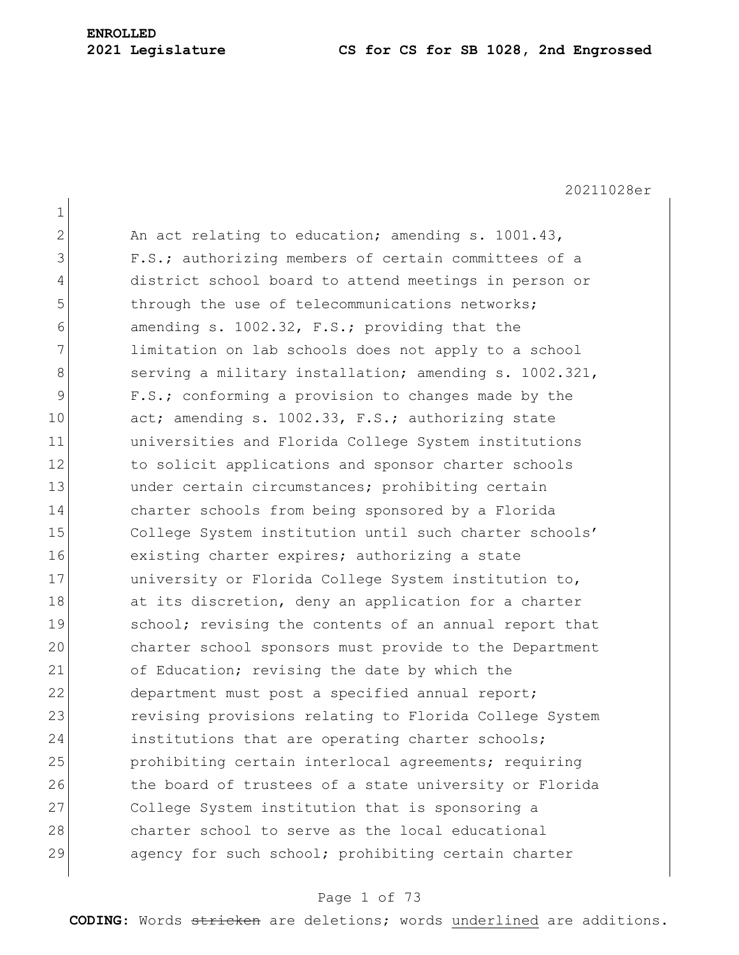1 2 An act relating to education; amending s. 1001.43, 3 F.S.; authorizing members of certain committees of a 4 district school board to attend meetings in person or 5 5 through the use of telecommunications networks; 6 amending s. 1002.32, F.S.; providing that the 7 1imitation on lab schools does not apply to a school 8 serving a military installation; amending s. 1002.321, 9 F.S.; conforming a provision to changes made by the 10 act; amending s. 1002.33, F.S.; authorizing state 11 universities and Florida College System institutions 12 to solicit applications and sponsor charter schools 13 under certain circumstances; prohibiting certain 14 charter schools from being sponsored by a Florida 15 College System institution until such charter schools' 16 existing charter expires; authorizing a state 17 university or Florida College System institution to, 18 at its discretion, deny an application for a charter 19 School; revising the contents of an annual report that 20 charter school sponsors must provide to the Department 21 of Education; revising the date by which the 22 department must post a specified annual report; 23 revising provisions relating to Florida College System 24 institutions that are operating charter schools; 25 **prohibiting certain interlocal agreements;** requiring 26 the board of trustees of a state university or Florida 27 College System institution that is sponsoring a 28 charter school to serve as the local educational 29 agency for such school; prohibiting certain charter

# Page 1 of 73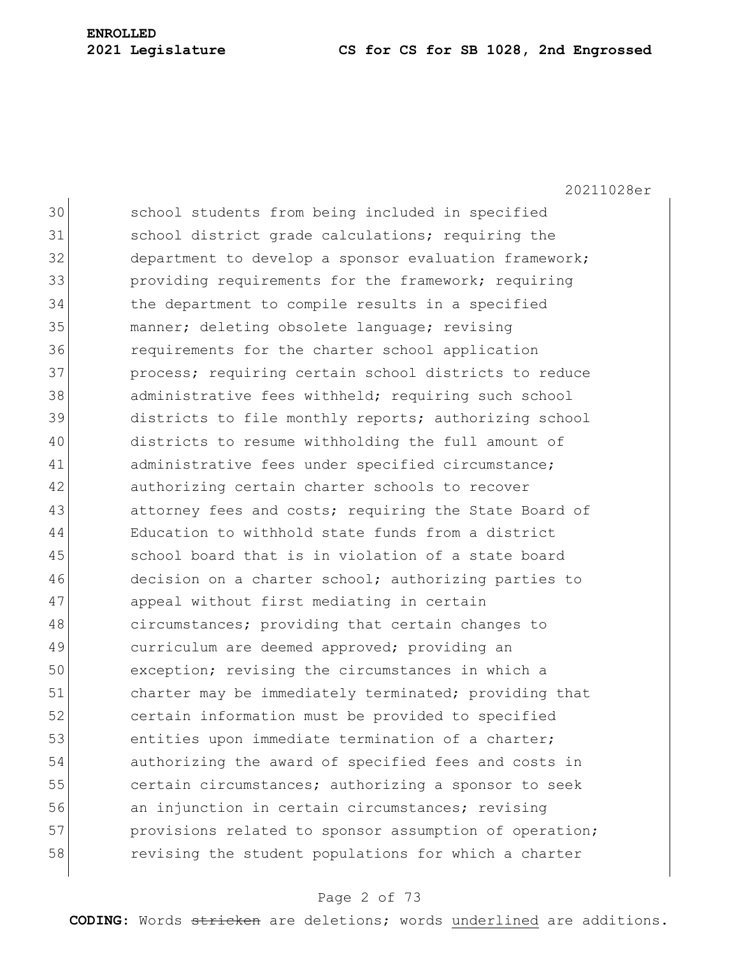20211028er

30 school students from being included in specified 31 school district grade calculations; requiring the 32 department to develop a sponsor evaluation framework; 33 providing requirements for the framework; requiring 34 the department to compile results in a specified 35 manner; deleting obsolete language; revising 36 requirements for the charter school application 37 process; requiring certain school districts to reduce 38 administrative fees withheld; requiring such school 39 districts to file monthly reports; authorizing school 40 districts to resume withholding the full amount of 41 administrative fees under specified circumstance; 42 authorizing certain charter schools to recover 43 attorney fees and costs; requiring the State Board of 44 Education to withhold state funds from a district 45 school board that is in violation of a state board 46 decision on a charter school; authorizing parties to 47 appeal without first mediating in certain 48 circumstances; providing that certain changes to 49 curriculum are deemed approved; providing an 50 exception; revising the circumstances in which a 51 charter may be immediately terminated; providing that 52 certain information must be provided to specified 53 entities upon immediate termination of a charter; 54 authorizing the award of specified fees and costs in 55 **certain circumstances; authorizing a sponsor to seek** 56 an injunction in certain circumstances; revising 57 provisions related to sponsor assumption of operation; 58 revising the student populations for which a charter

# Page 2 of 73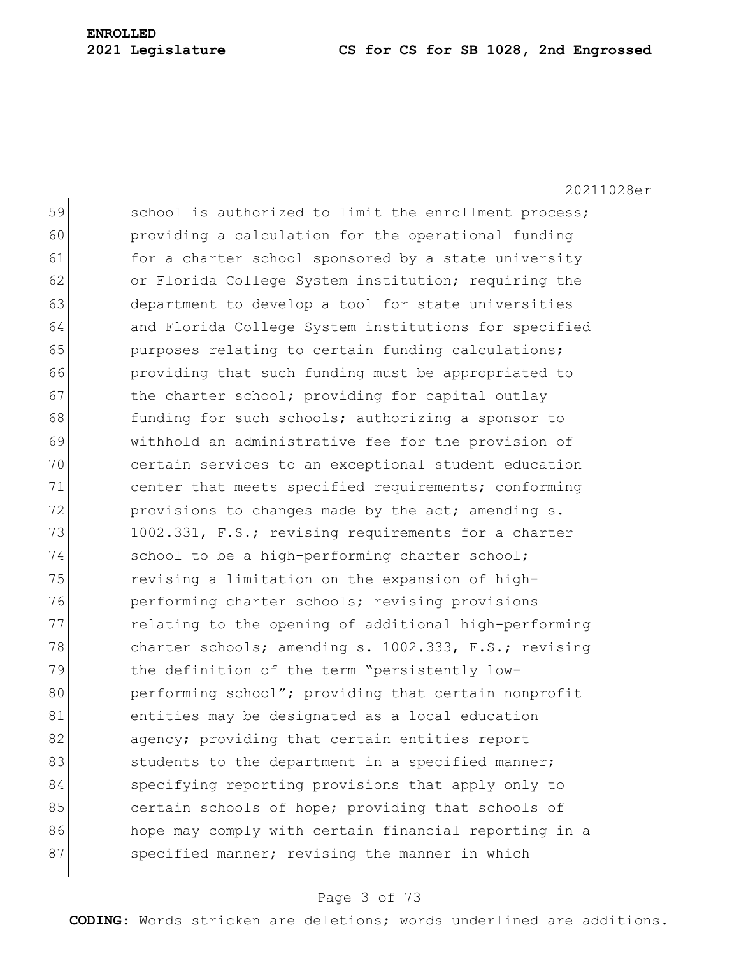20211028er 59 school is authorized to limit the enrollment process; 60 providing a calculation for the operational funding 61 for a charter school sponsored by a state university 62 or Florida College System institution; requiring the 63 department to develop a tool for state universities 64 and Florida College System institutions for specified 65 purposes relating to certain funding calculations; 66 providing that such funding must be appropriated to 67 the charter school; providing for capital outlay 68 funding for such schools; authorizing a sponsor to 69 withhold an administrative fee for the provision of 70 certain services to an exceptional student education 71 center that meets specified requirements; conforming  $72$  provisions to changes made by the act; amending s. 73 1002.331, F.S.; revising requirements for a charter 74 school to be a high-performing charter school; 75 revising a limitation on the expansion of high-76 performing charter schools; revising provisions 77 relating to the opening of additional high-performing 78 charter schools; amending s. 1002.333, F.S.; revising 79 the definition of the term "persistently low-80 performing school"; providing that certain nonprofit 81 entities may be designated as a local education 82 agency; providing that certain entities report 83 students to the department in a specified manner; 84 specifying reporting provisions that apply only to 85 85 certain schools of hope; providing that schools of 86 hope may comply with certain financial reporting in a 87 specified manner; revising the manner in which

# Page 3 of 73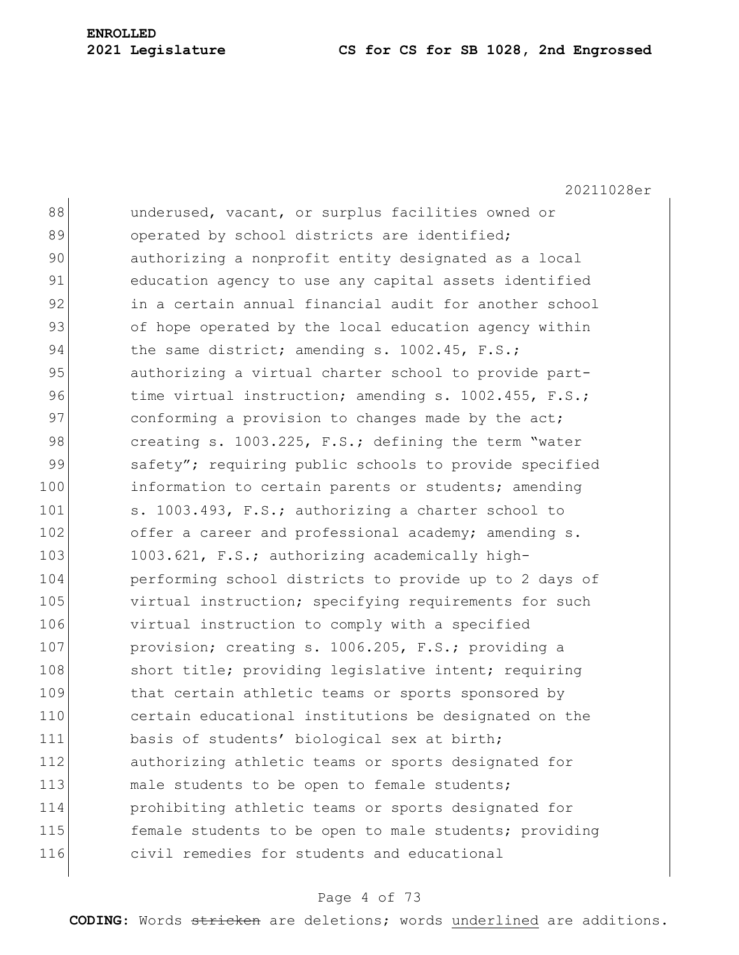20211028er

88 underused, vacant, or surplus facilities owned or 89 operated by school districts are identified; 90 authorizing a nonprofit entity designated as a local 91 education agency to use any capital assets identified 92 in a certain annual financial audit for another school 93 of hope operated by the local education agency within 94 the same district; amending s. 1002.45, F.S.; 95 authorizing a virtual charter school to provide part-96 time virtual instruction; amending s. 1002.455, F.S.; 97 conforming a provision to changes made by the act; 98 creating s. 1003.225, F.S.; defining the term "water 99 safety"; requiring public schools to provide specified 100 information to certain parents or students; amending 101 s. 1003.493, F.S.; authorizing a charter school to 102 offer a career and professional academy; amending s. 103 1003.621, F.S.; authorizing academically high-104 performing school districts to provide up to 2 days of 105 virtual instruction; specifying requirements for such 106 virtual instruction to comply with a specified 107 provision; creating s. 1006.205, F.S.; providing a 108 short title; providing legislative intent; requiring 109 that certain athletic teams or sports sponsored by 110 certain educational institutions be designated on the 111 basis of students' biological sex at birth; 112 authorizing athletic teams or sports designated for 113 male students to be open to female students; 114 prohibiting athletic teams or sports designated for 115 **female students to be open to male students;** providing 116 civil remedies for students and educational

# Page 4 of 73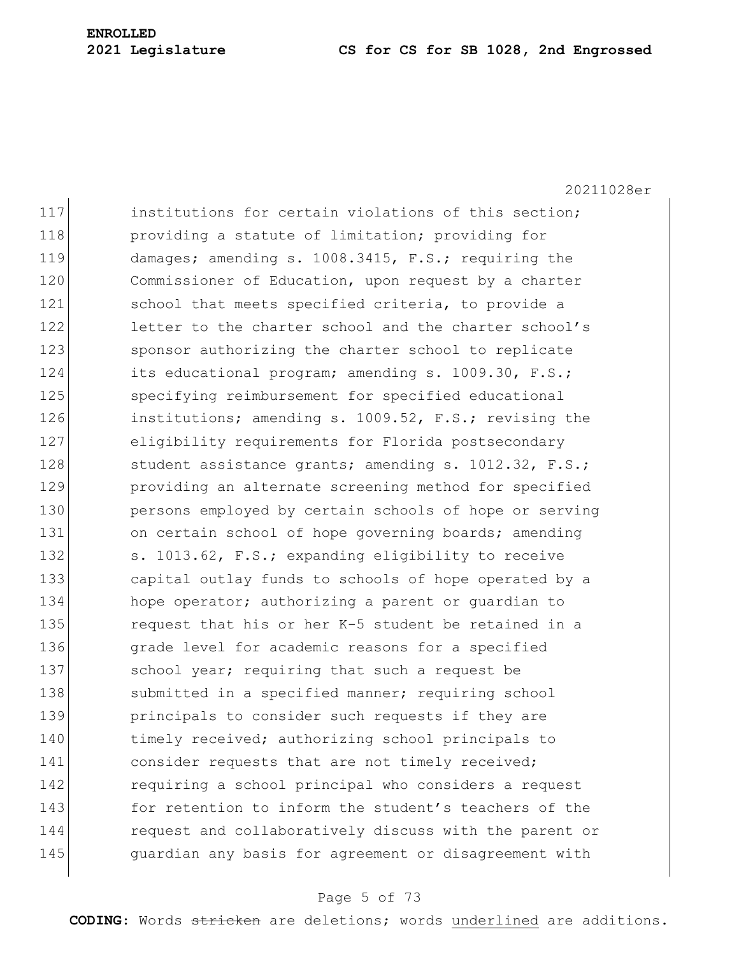20211028er

117 **institutions for certain violations of this section:** 118 **providing a statute of limitation;** providing for 119 damages; amending s. 1008.3415, F.S.; requiring the 120 Commissioner of Education, upon request by a charter 121 School that meets specified criteria, to provide a 122 letter to the charter school and the charter school's 123 sponsor authorizing the charter school to replicate 124 its educational program; amending s. 1009.30, F.S.; 125 specifying reimbursement for specified educational 126 institutions; amending s. 1009.52, F.S.; revising the 127 eligibility requirements for Florida postsecondary 128 student assistance grants; amending s. 1012.32, F.S.; 129 **providing an alternate screening method for specified** 130 persons employed by certain schools of hope or serving 131 on certain school of hope governing boards; amending 132 s. 1013.62, F.S.; expanding eligibility to receive 133 capital outlay funds to schools of hope operated by a 134 hope operator; authorizing a parent or quardian to 135 request that his or her K-5 student be retained in a 136 grade level for academic reasons for a specified 137 school year; requiring that such a request be 138 submitted in a specified manner; requiring school 139 principals to consider such requests if they are 140 timely received; authorizing school principals to 141 consider requests that are not timely received; 142 requiring a school principal who considers a request 143 for retention to inform the student's teachers of the 144 request and collaboratively discuss with the parent or 145 **guardian any basis for agreement or disagreement with** 

# Page 5 of 73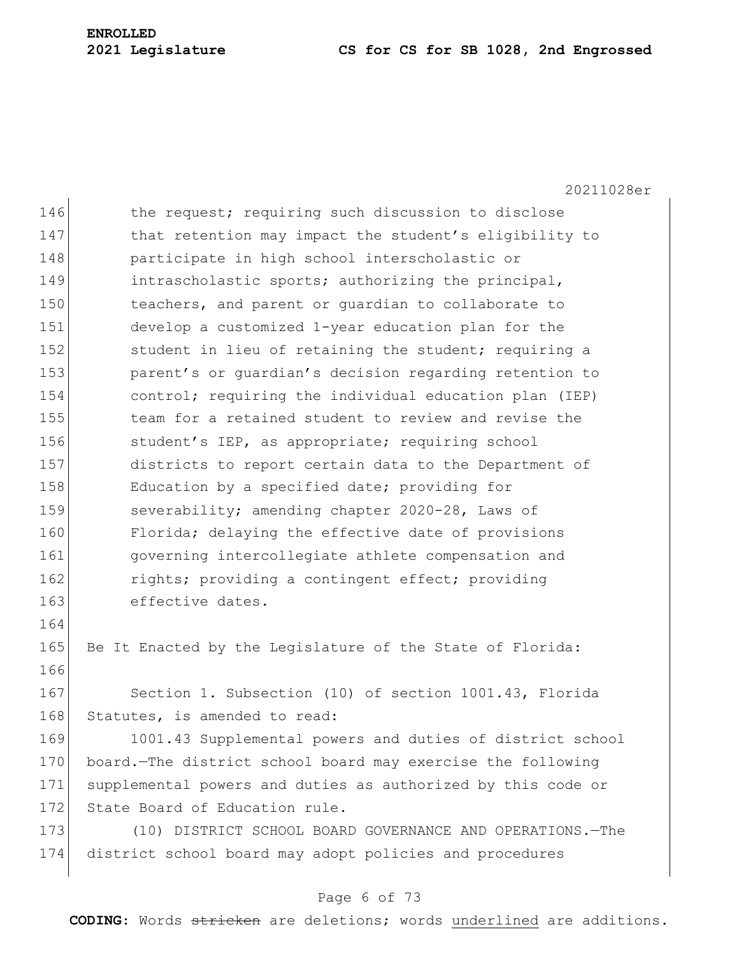20211028er 146 the request; requiring such discussion to disclose 147 that retention may impact the student's eligibility to 148 **participate in high school interscholastic or** 149 intrascholastic sports; authorizing the principal, 150 teachers, and parent or quardian to collaborate to 151 develop a customized 1-year education plan for the 152 student in lieu of retaining the student; requiring a 153 parent's or quardian's decision regarding retention to 154 control; requiring the individual education plan (IEP) 155 team for a retained student to review and revise the 156 student's IEP, as appropriate; requiring school 157 districts to report certain data to the Department of 158 Education by a specified date; providing for 159 severability; amending chapter 2020-28, Laws of 160 Florida; delaying the effective date of provisions 161 governing intercollegiate athlete compensation and 162 rights; providing a contingent effect; providing 163 effective dates. 164 165 Be It Enacted by the Legislature of the State of Florida: 166 167 Section 1. Subsection (10) of section 1001.43, Florida 168 Statutes, is amended to read: 169 1001.43 Supplemental powers and duties of district school 170 board.—The district school board may exercise the following 171 supplemental powers and duties as authorized by this code or 172 State Board of Education rule. 173 (10) DISTRICT SCHOOL BOARD GOVERNANCE AND OPERATIONS.—The 174 district school board may adopt policies and procedures

# Page 6 of 73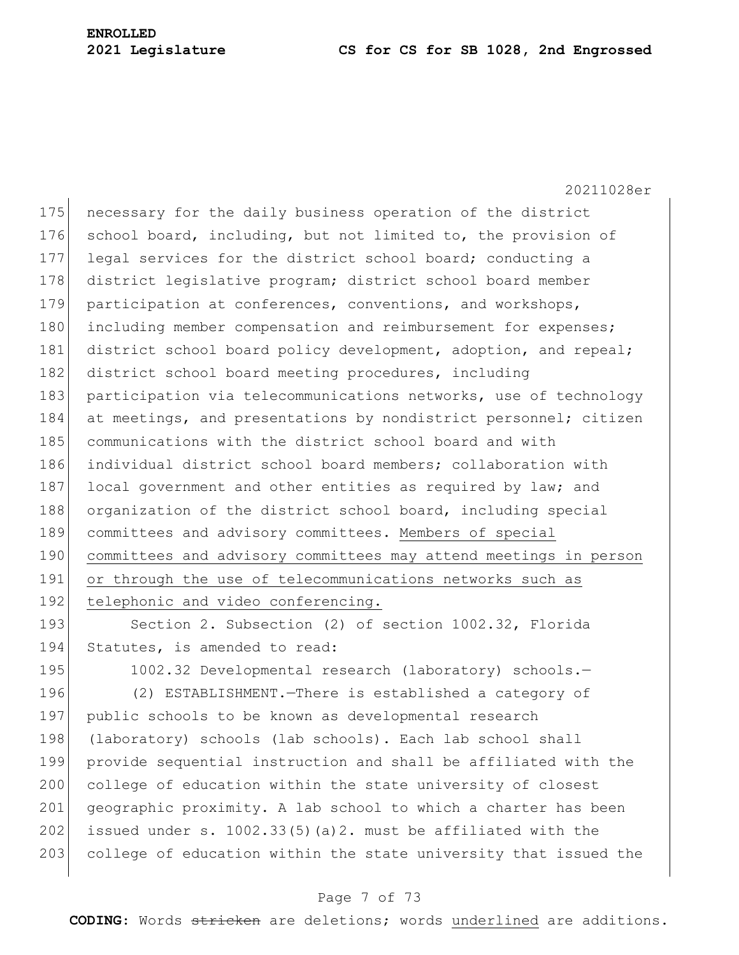20211028er 175 necessary for the daily business operation of the district 176 school board, including, but not limited to, the provision of 177 legal services for the district school board; conducting a 178 district legislative program; district school board member 179 participation at conferences, conventions, and workshops, 180 including member compensation and reimbursement for expenses; 181 district school board policy development, adoption, and repeal; 182 district school board meeting procedures, including 183 participation via telecommunications networks, use of technology 184 at meetings, and presentations by nondistrict personnel; citizen 185 communications with the district school board and with 186 individual district school board members; collaboration with 187 local government and other entities as required by law; and 188 organization of the district school board, including special 189 committees and advisory committees. Members of special 190 committees and advisory committees may attend meetings in person 191 or through the use of telecommunications networks such as 192 telephonic and video conferencing. 193 Section 2. Subsection (2) of section 1002.32, Florida

194 Statutes, is amended to read:

195 1002.32 Developmental research (laboratory) schools.-196 (2) ESTABLISHMENT.—There is established a category of 197 public schools to be known as developmental research 198 (laboratory) schools (lab schools). Each lab school shall 199 provide sequential instruction and shall be affiliated with the 200 college of education within the state university of closest 201 geographic proximity. A lab school to which a charter has been 202 issued under s. 1002.33(5)(a)2. must be affiliated with the 203 college of education within the state university that issued the

# Page 7 of 73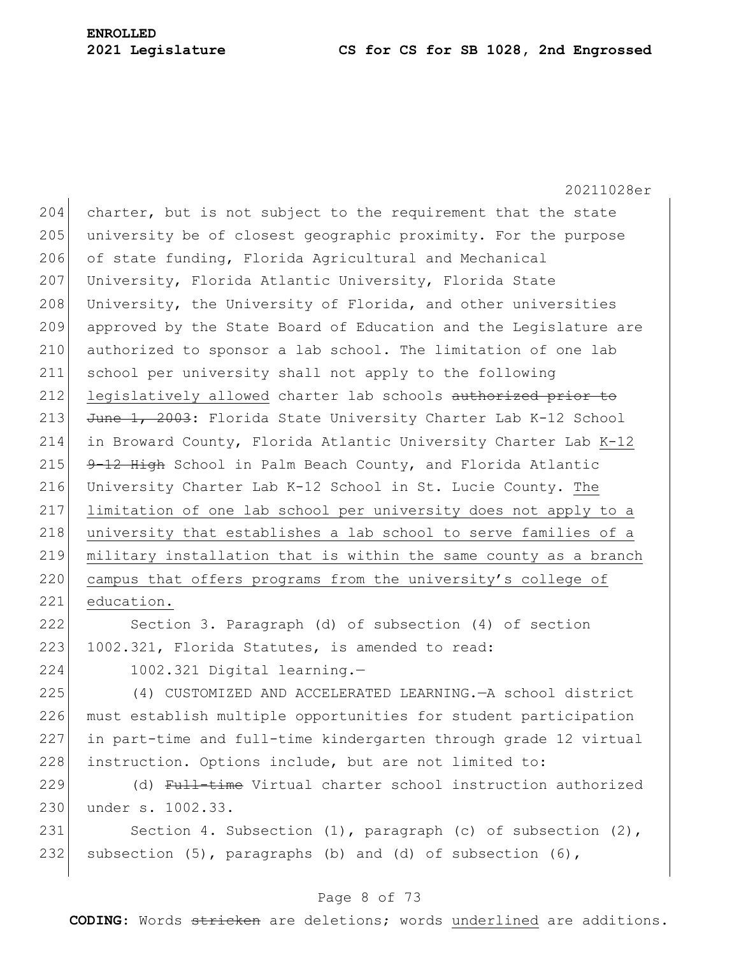20211028er 204 charter, but is not subject to the requirement that the state 205 university be of closest geographic proximity. For the purpose 206 of state funding, Florida Agricultural and Mechanical 207 University, Florida Atlantic University, Florida State 208 University, the University of Florida, and other universities 209 approved by the State Board of Education and the Legislature are 210 authorized to sponsor a lab school. The limitation of one lab 211 school per university shall not apply to the following 212 legislatively allowed charter lab schools authorized prior to 213 June 1, 2003: Florida State University Charter Lab K-12 School 214 in Broward County, Florida Atlantic University Charter Lab K-12 215  $9-12$  High School in Palm Beach County, and Florida Atlantic 216 University Charter Lab K-12 School in St. Lucie County. The 217 limitation of one lab school per university does not apply to a 218 university that establishes a lab school to serve families of a 219 military installation that is within the same county as a branch 220 campus that offers programs from the university's college of 221 education.

222 Section 3. Paragraph (d) of subsection (4) of section 223 1002.321, Florida Statutes, is amended to read:

224 1002.321 Digital learning.—

225 (4) CUSTOMIZED AND ACCELERATED LEARNING.—A school district 226 must establish multiple opportunities for student participation 227 in part-time and full-time kindergarten through grade 12 virtual 228 instruction. Options include, but are not limited to:

229 (d) Full-time Virtual charter school instruction authorized 230 under s. 1002.33.

231 Section 4. Subsection (1), paragraph (c) of subsection (2), 232 subsection  $(5)$ , paragraphs (b) and (d) of subsection  $(6)$ ,

# Page 8 of 73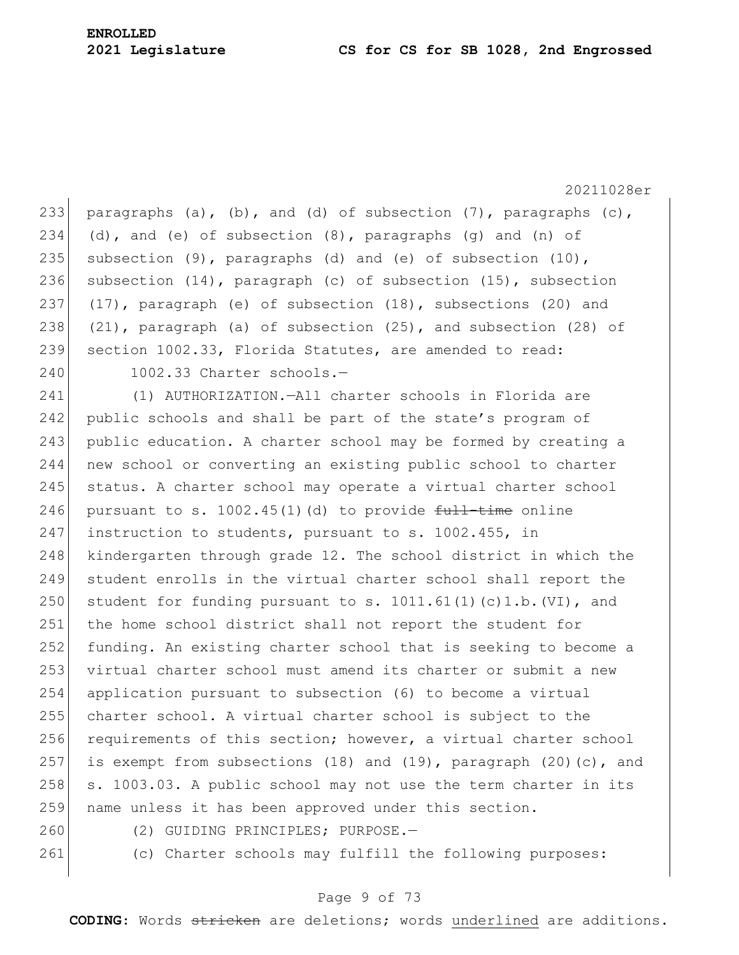233 paragraphs (a), (b), and (d) of subsection (7), paragraphs (c), 234 (d), and (e) of subsection  $(8)$ , paragraphs  $(q)$  and  $(n)$  of 235 subsection  $(9)$ , paragraphs  $(d)$  and  $(e)$  of subsection  $(10)$ , 236 subsection  $(14)$ , paragraph  $(c)$  of subsection  $(15)$ , subsection 237 (17), paragraph (e) of subsection (18), subsections (20) and 238 (21), paragraph (a) of subsection (25), and subsection (28) of 239 section 1002.33, Florida Statutes, are amended to read: 240 1002.33 Charter schools.-241 (1) AUTHORIZATION.—All charter schools in Florida are 242 public schools and shall be part of the state's program of 243 public education. A charter school may be formed by creating a 244 new school or converting an existing public school to charter 245 status. A charter school may operate a virtual charter school 246 pursuant to s. 1002.45(1)(d) to provide  $f_{\text{ul}-time}$  online 247 instruction to students, pursuant to s. 1002.455, in 248 kindergarten through grade 12. The school district in which the 249 student enrolls in the virtual charter school shall report the 250 student for funding pursuant to s.  $1011.61(1)(c)1.b.$  (VI), and 251 the home school district shall not report the student for 252 funding. An existing charter school that is seeking to become a 253 virtual charter school must amend its charter or submit a new 254 application pursuant to subsection (6) to become a virtual 255 charter school. A virtual charter school is subject to the 256 requirements of this section; however, a virtual charter school 257 is exempt from subsections  $(18)$  and  $(19)$ , paragraph  $(20)$  (c), and  $258$  s. 1003.03. A public school may not use the term charter in its 259 name unless it has been approved under this section. 260 (2) GUIDING PRINCIPLES; PURPOSE.

261 (c) Charter schools may fulfill the following purposes:

#### Page 9 of 73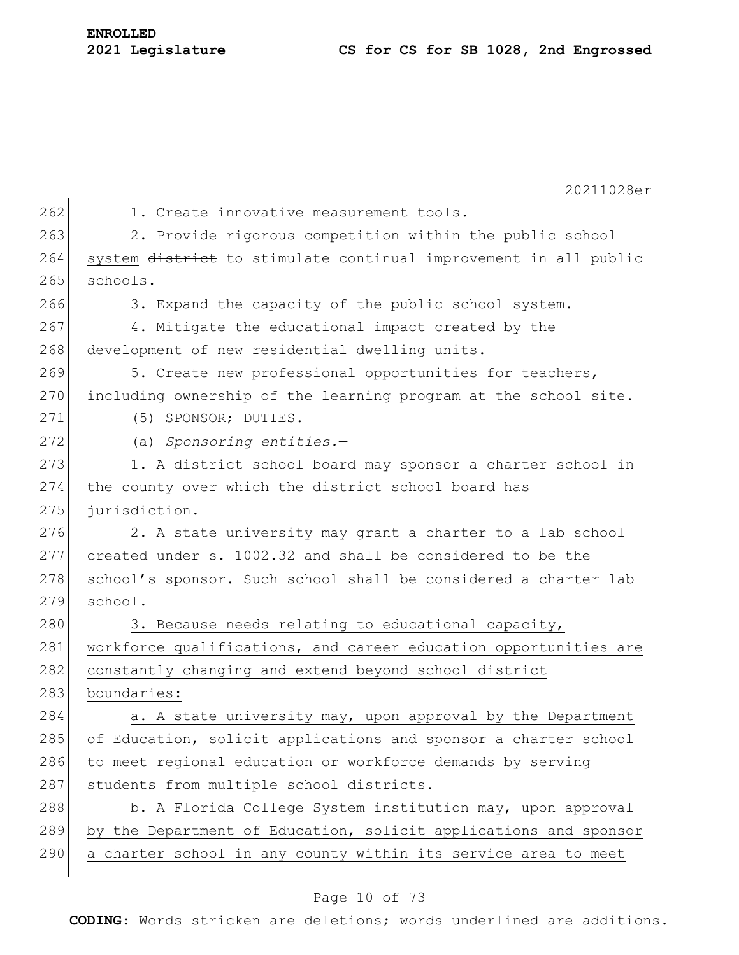20211028er 262 1. Create innovative measurement tools. 263 2. Provide rigorous competition within the public school 264 system district to stimulate continual improvement in all public  $265$  schools. 266 3. Expand the capacity of the public school system. 267 4. Mitigate the educational impact created by the 268 development of new residential dwelling units. 269 5. Create new professional opportunities for teachers, 270 including ownership of the learning program at the school site. 271 (5) SPONSOR; DUTIES. 272 (a) *Sponsoring entities.*— 273 1. A district school board may sponsor a charter school in 274 the county over which the district school board has 275 jurisdiction. 276 2. A state university may grant a charter to a lab school 277 created under s. 1002.32 and shall be considered to be the 278 school's sponsor. Such school shall be considered a charter lab 279 school.  $280$  3. Because needs relating to educational capacity, 281 | workforce qualifications, and career education opportunities are 282 constantly changing and extend beyond school district 283 boundaries: 284 a. A state university may, upon approval by the Department 285 of Education, solicit applications and sponsor a charter school 286 to meet regional education or workforce demands by serving 287 students from multiple school districts. 288 b. A Florida College System institution may, upon approval 289 by the Department of Education, solicit applications and sponsor 290 a charter school in any county within its service area to meet

# Page 10 of 73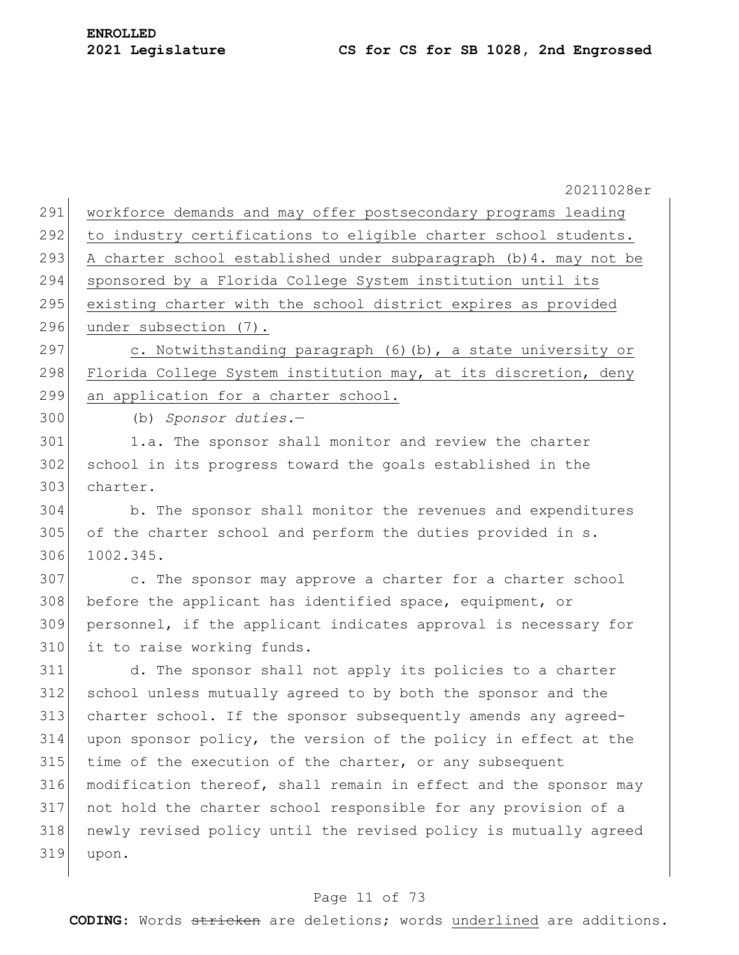|     | 20211028er                                                        |
|-----|-------------------------------------------------------------------|
| 291 | workforce demands and may offer postsecondary programs leading    |
| 292 | to industry certifications to eligible charter school students.   |
| 293 | A charter school established under subparagraph (b) 4. may not be |
| 294 | sponsored by a Florida College System institution until its       |
| 295 | existing charter with the school district expires as provided     |
| 296 | under subsection (7).                                             |
| 297 | c. Notwithstanding paragraph (6)(b), a state university or        |
| 298 | Florida College System institution may, at its discretion, deny   |
| 299 | an application for a charter school.                              |
| 300 | (b) Sponsor duties.-                                              |
| 301 | 1.a. The sponsor shall monitor and review the charter             |
| 302 | school in its progress toward the goals established in the        |
| 303 | charter.                                                          |
| 304 | b. The sponsor shall monitor the revenues and expenditures        |
| 305 | of the charter school and perform the duties provided in s.       |
| 306 | 1002.345.                                                         |
| 307 | c. The sponsor may approve a charter for a charter school         |
| 308 | before the applicant has identified space, equipment, or          |
| 309 | personnel, if the applicant indicates approval is necessary for   |
| 310 | it to raise working funds.                                        |
| 311 | d. The sponsor shall not apply its policies to a charter          |
| 312 | school unless mutually agreed to by both the sponsor and the      |
| 313 | charter school. If the sponsor subsequently amends any agreed-    |
| 314 | upon sponsor policy, the version of the policy in effect at the   |
| 315 | time of the execution of the charter, or any subsequent           |
| 316 | modification thereof, shall remain in effect and the sponsor may  |
| 317 | not hold the charter school responsible for any provision of a    |
| 318 | newly revised policy until the revised policy is mutually agreed  |
| 319 | upon.                                                             |
|     |                                                                   |
|     |                                                                   |

# Page 11 of 73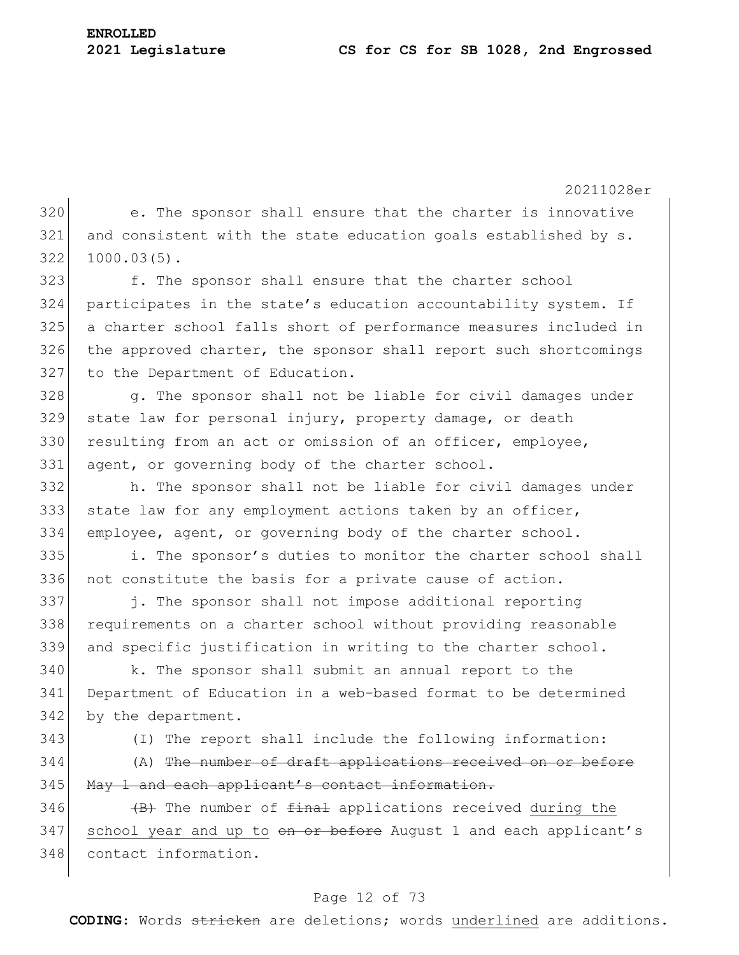320 e. The sponsor shall ensure that the charter is innovative 321 and consistent with the state education goals established by s. 322 1000.03(5).

 f. The sponsor shall ensure that the charter school participates in the state's education accountability system. If a charter school falls short of performance measures included in the approved charter, the sponsor shall report such shortcomings 327 to the Department of Education.

328 g. The sponsor shall not be liable for civil damages under 329 state law for personal injury, property damage, or death 330 resulting from an act or omission of an officer, employee, 331 agent, or governing body of the charter school.

332 h. The sponsor shall not be liable for civil damages under 333 state law for any employment actions taken by an officer, 334 employee, agent, or governing body of the charter school.

335 i. The sponsor's duties to monitor the charter school shall 336 not constitute the basis for a private cause of action.

337 j. The sponsor shall not impose additional reporting 338 requirements on a charter school without providing reasonable 339 and specific justification in writing to the charter school.

340 k. The sponsor shall submit an annual report to the 341 Department of Education in a web-based format to be determined 342 by the department.

343 (I) The report shall include the following information:

344 (A) The number of draft applications received on or before 345 May 1 and each applicant's contact information.

346  $\left(\frac{B}{B}\right)$  The number of <del>final</del> applications received during the 347 school year and up to on or before August 1 and each applicant's 348 contact information.

# Page 12 of 73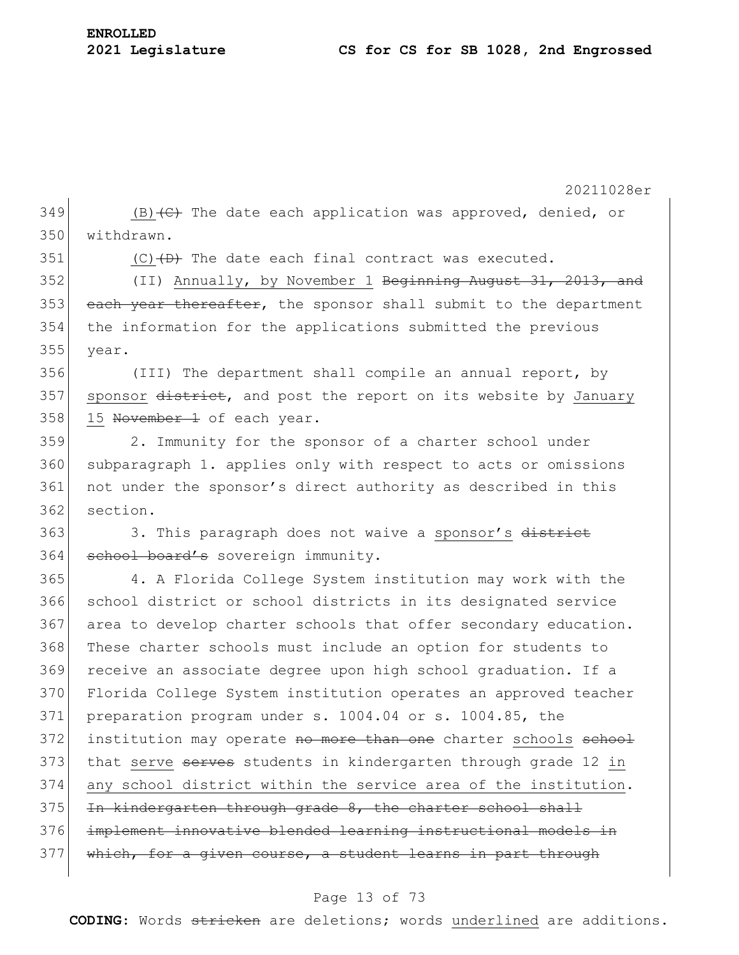349 (B)<del>(C)</del> The date each application was approved, denied, or 350 withdrawn.

351  $(C)$   $(D)$  The date each final contract was executed.

352 (II) Annually, by November 1 <del>Beginning August 31, 2013, and</del> 353 each year thereafter, the sponsor shall submit to the department 354 the information for the applications submitted the previous 355 year.

356 (III) The department shall compile an annual report, by 357 sponsor district, and post the report on its website by January 358 15 November 1 of each year.

359 2. Immunity for the sponsor of a charter school under 360 subparagraph 1. applies only with respect to acts or omissions 361 not under the sponsor's direct authority as described in this 362 section.

363 3. This paragraph does not waive a sponsor's district 364 school board's sovereign immunity.

 4. A Florida College System institution may work with the school district or school districts in its designated service area to develop charter schools that offer secondary education. These charter schools must include an option for students to receive an associate degree upon high school graduation. If a Florida College System institution operates an approved teacher preparation program under s. 1004.04 or s. 1004.85, the 372 institution may operate no more than one charter schools school 373 that serve serves students in kindergarten through grade 12 in any school district within the service area of the institution. In kindergarten through grade 8, the charter school shall implement innovative blended learning instructional models in 377 which, for a given course, a student learns in part through

#### Page 13 of 73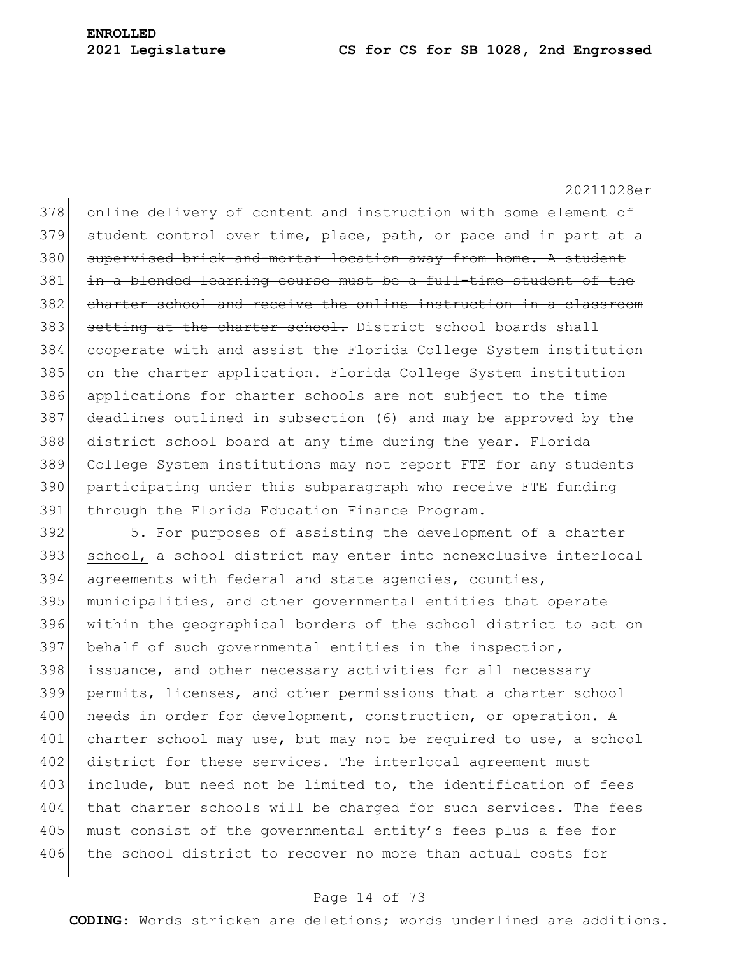378 online delivery of content and instruction with some element of 379 student control over time, place, path, or pace and in part at a 380 supervised brick-and-mortar location away from home. A student in a blended learning course must be a full-time student of the charter school and receive the online instruction in a classroom 383 setting at the charter school. District school boards shall cooperate with and assist the Florida College System institution on the charter application. Florida College System institution applications for charter schools are not subject to the time deadlines outlined in subsection (6) and may be approved by the district school board at any time during the year. Florida College System institutions may not report FTE for any students participating under this subparagraph who receive FTE funding 391 through the Florida Education Finance Program.

392 5. For purposes of assisting the development of a charter 393 school, a school district may enter into nonexclusive interlocal 394 agreements with federal and state agencies, counties, 395 municipalities, and other governmental entities that operate 396 within the geographical borders of the school district to act on 397 behalf of such governmental entities in the inspection, 398 issuance, and other necessary activities for all necessary 399 permits, licenses, and other permissions that a charter school 400 needs in order for development, construction, or operation. A 401 charter school may use, but may not be required to use, a school 402 district for these services. The interlocal agreement must 403 include, but need not be limited to, the identification of fees 404 that charter schools will be charged for such services. The fees 405 must consist of the governmental entity's fees plus a fee for 406 the school district to recover no more than actual costs for

# Page 14 of 73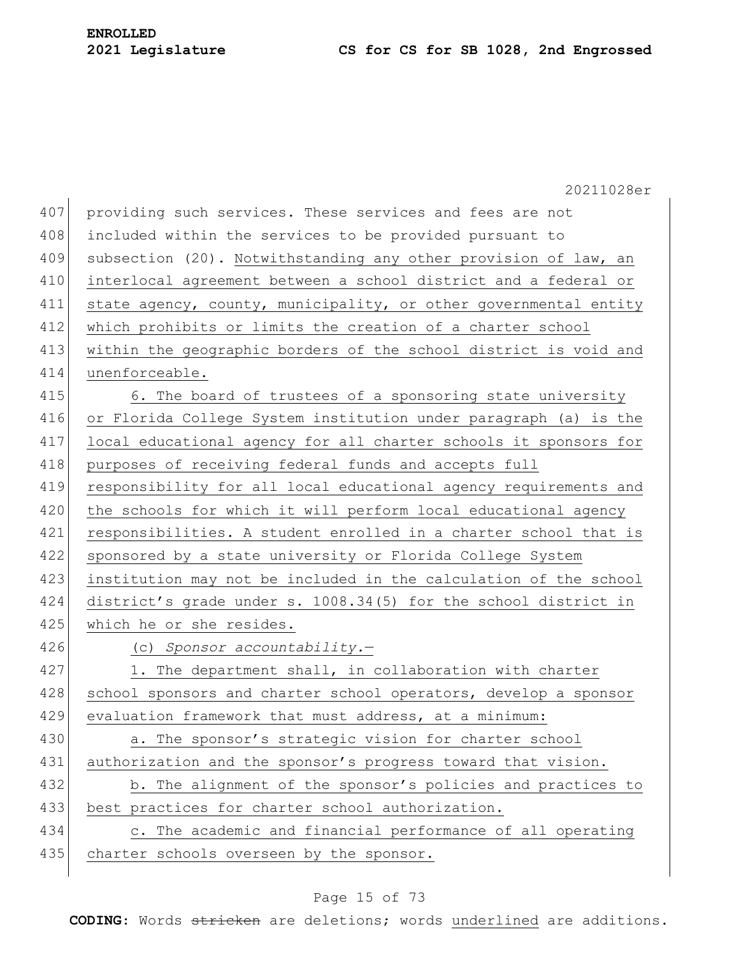|     | 20211028er                                                       |
|-----|------------------------------------------------------------------|
| 407 | providing such services. These services and fees are not         |
| 408 | included within the services to be provided pursuant to          |
| 409 | subsection (20). Notwithstanding any other provision of law, an  |
| 410 | interlocal agreement between a school district and a federal or  |
| 411 | state agency, county, municipality, or other governmental entity |
| 412 | which prohibits or limits the creation of a charter school       |
| 413 | within the geographic borders of the school district is void and |
| 414 | unenforceable.                                                   |
| 415 | 6. The board of trustees of a sponsoring state university        |
| 416 | or Florida College System institution under paragraph (a) is the |
| 417 | local educational agency for all charter schools it sponsors for |
| 418 | purposes of receiving federal funds and accepts full             |
| 419 | responsibility for all local educational agency requirements and |
| 420 | the schools for which it will perform local educational agency   |
| 421 | responsibilities. A student enrolled in a charter school that is |
| 422 | sponsored by a state university or Florida College System        |
| 423 | institution may not be included in the calculation of the school |
| 424 | district's grade under s. 1008.34(5) for the school district in  |
| 425 | which he or she resides.                                         |
| 426 | (c) Sponsor accountability.-                                     |
| 427 | 1. The department shall, in collaboration with charter           |
| 428 | school sponsors and charter school operators, develop a sponsor  |
| 429 | evaluation framework that must address, at a minimum:            |
| 430 | a. The sponsor's strategic vision for charter school             |
| 431 | authorization and the sponsor's progress toward that vision.     |
| 432 | b. The alignment of the sponsor's policies and practices to      |
| 433 | best practices for charter school authorization.                 |
| 434 | c. The academic and financial performance of all operating       |
| 435 | charter schools overseen by the sponsor.                         |
|     |                                                                  |

# Page 15 of 73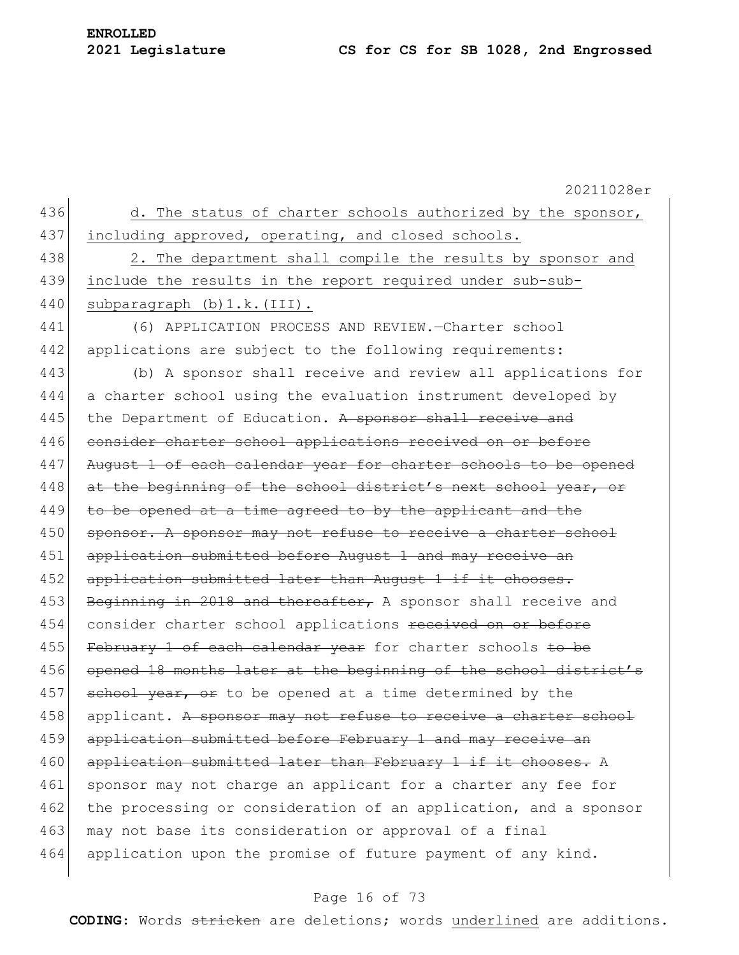20211028er 436 d. The status of charter schools authorized by the sponsor, 437 including approved, operating, and closed schools. 438 2. The department shall compile the results by sponsor and 439 include the results in the report required under sub-sub-440 subparagraph (b) 1.k. (III). 441 (6) APPLICATION PROCESS AND REVIEW.—Charter school 442 applications are subject to the following requirements: 443 (b) A sponsor shall receive and review all applications for 444 a charter school using the evaluation instrument developed by 445 the Department of Education. A sponsor shall receive and 446 consider charter school applications received on or before 447 August 1 of each calendar year for charter schools to be opened 448 at the beginning of the school district's next school year, or 449 to be opened at a time agreed to by the applicant and the 450 sponsor. A sponsor may not refuse to receive a charter school 451 application submitted before August 1 and may receive an 452 application submitted later than August 1 if it chooses. 453 Beginning in 2018 and thereafter, A sponsor shall receive and 454 consider charter school applications received on or before 455 February 1 of each calendar year for charter schools to be 456 opened 18 months later at the beginning of the school district's 457 school year, or to be opened at a time determined by the 458 applicant. A sponsor may not refuse to receive a charter school 459 application submitted before February 1 and may receive an 460 application submitted later than February 1 if it chooses. A 461 sponsor may not charge an applicant for a charter any fee for 462 the processing or consideration of an application, and a sponsor 463 may not base its consideration or approval of a final 464 application upon the promise of future payment of any kind.

#### Page 16 of 73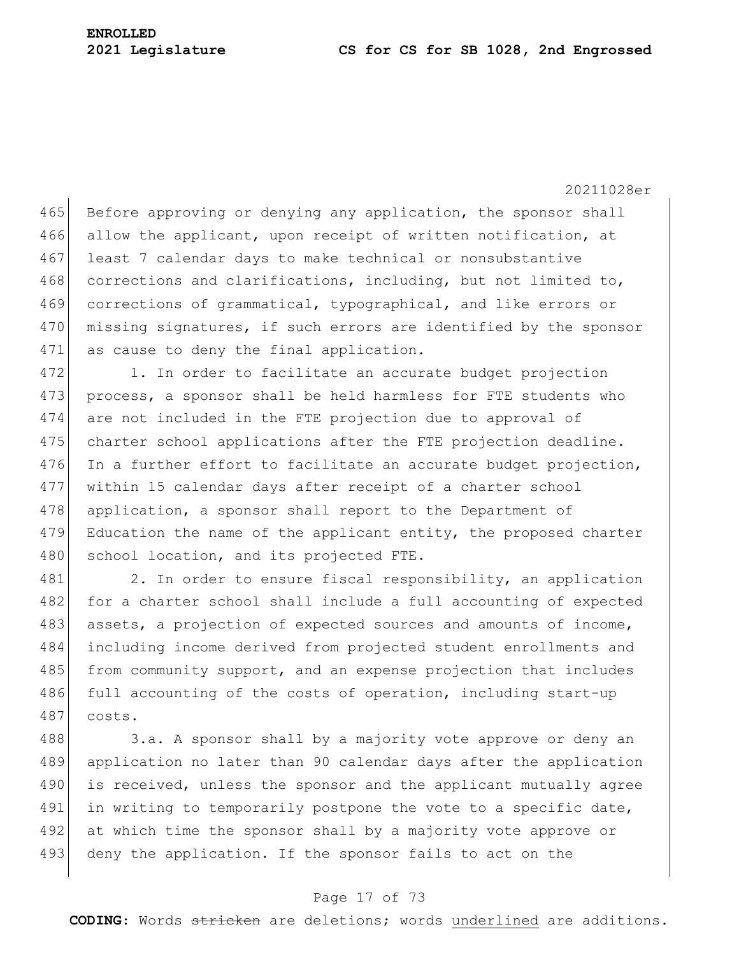465 Before approving or denying any application, the sponsor shall 466 allow the applicant, upon receipt of written notification, at 467 least 7 calendar days to make technical or nonsubstantive 468 corrections and clarifications, including, but not limited to, 469 corrections of grammatical, typographical, and like errors or 470 missing signatures, if such errors are identified by the sponsor 471 as cause to deny the final application.

472 1. In order to facilitate an accurate budget projection 473 process, a sponsor shall be held harmless for FTE students who 474 are not included in the FTE projection due to approval of 475 charter school applications after the FTE projection deadline. 476 In a further effort to facilitate an accurate budget projection, 477 within 15 calendar days after receipt of a charter school 478 application, a sponsor shall report to the Department of 479 Education the name of the applicant entity, the proposed charter 480 school location, and its projected FTE.

481 2. In order to ensure fiscal responsibility, an application 482 for a charter school shall include a full accounting of expected 483 assets, a projection of expected sources and amounts of income, 484 including income derived from projected student enrollments and 485 from community support, and an expense projection that includes 486 full accounting of the costs of operation, including start-up 487 costs.

488 3.a. A sponsor shall by a majority vote approve or deny an 489 application no later than 90 calendar days after the application 490 is received, unless the sponsor and the applicant mutually agree 491 in writing to temporarily postpone the vote to a specific date, 492 at which time the sponsor shall by a majority vote approve or 493 deny the application. If the sponsor fails to act on the

#### Page 17 of 73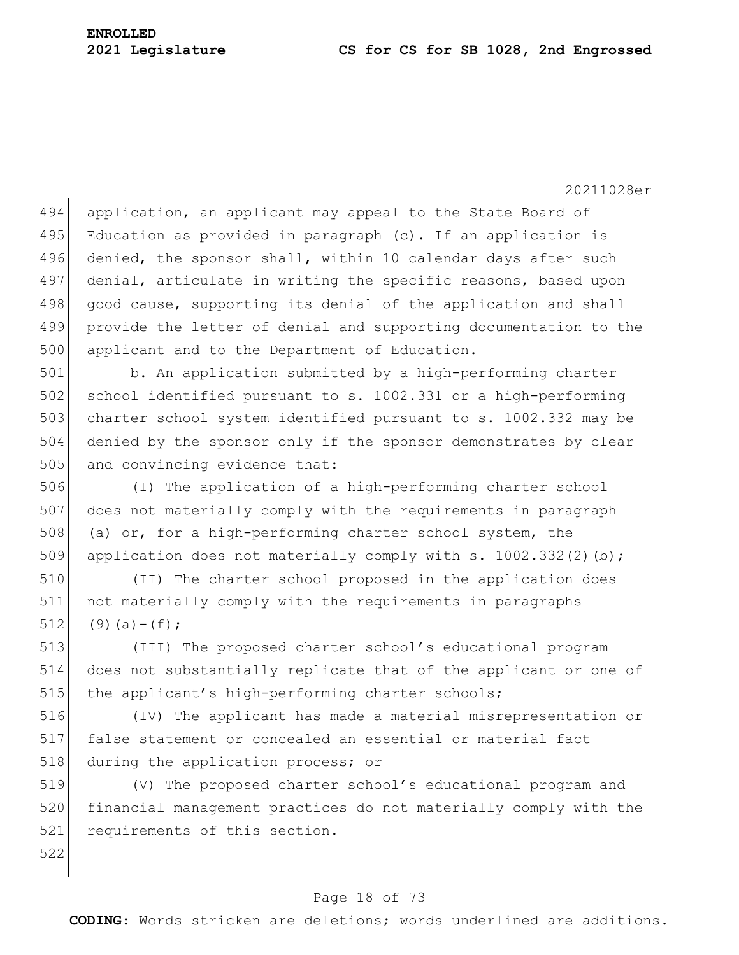522

20211028er

494 application, an applicant may appeal to the State Board of 495 Education as provided in paragraph (c). If an application is 496 denied, the sponsor shall, within 10 calendar days after such 497 denial, articulate in writing the specific reasons, based upon 498 good cause, supporting its denial of the application and shall 499 provide the letter of denial and supporting documentation to the 500 applicant and to the Department of Education.

501 b. An application submitted by a high-performing charter 502 school identified pursuant to s. 1002.331 or a high-performing 503 charter school system identified pursuant to s. 1002.332 may be 504 denied by the sponsor only if the sponsor demonstrates by clear 505 and convincing evidence that:

506 (I) The application of a high-performing charter school 507 does not materially comply with the requirements in paragraph 508 (a) or, for a high-performing charter school system, the 509 application does not materially comply with s.  $1002.332(2)(b)$ ;

510 (II) The charter school proposed in the application does 511 not materially comply with the requirements in paragraphs 512 (9)(a) – (f);

513 (III) The proposed charter school's educational program 514 does not substantially replicate that of the applicant or one of 515 the applicant's high-performing charter schools;

516 (IV) The applicant has made a material misrepresentation or 517 false statement or concealed an essential or material fact 518 during the application process; or

519 (V) The proposed charter school's educational program and 520 financial management practices do not materially comply with the 521 requirements of this section.

# Page 18 of 73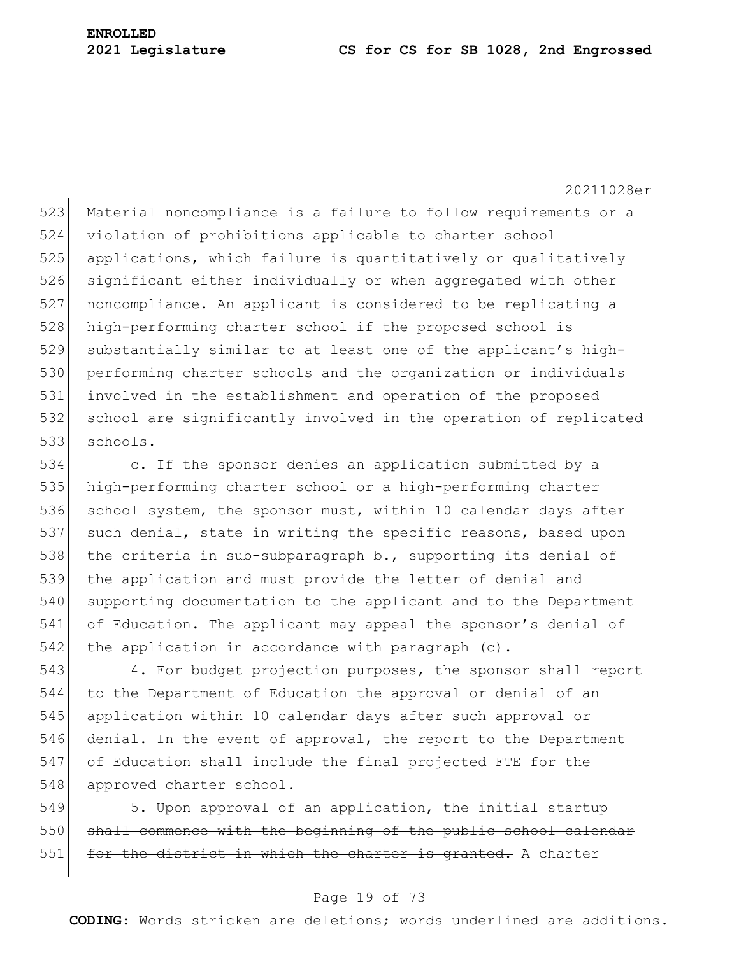523 Material noncompliance is a failure to follow requirements or a 524 violation of prohibitions applicable to charter school 525 applications, which failure is quantitatively or qualitatively 526 significant either individually or when aggregated with other 527 noncompliance. An applicant is considered to be replicating a 528 high-performing charter school if the proposed school is 529 substantially similar to at least one of the applicant's high-530 performing charter schools and the organization or individuals 531 involved in the establishment and operation of the proposed 532 school are significantly involved in the operation of replicated 533 schools.

534 c. If the sponsor denies an application submitted by a 535 high-performing charter school or a high-performing charter 536 school system, the sponsor must, within 10 calendar days after 537 such denial, state in writing the specific reasons, based upon 538 the criteria in sub-subparagraph b., supporting its denial of 539 the application and must provide the letter of denial and 540 supporting documentation to the applicant and to the Department 541 of Education. The applicant may appeal the sponsor's denial of 542 the application in accordance with paragraph  $(c)$ .

543 4. For budget projection purposes, the sponsor shall report 544 to the Department of Education the approval or denial of an 545 application within 10 calendar days after such approval or 546 denial. In the event of approval, the report to the Department 547 of Education shall include the final projected FTE for the 548 approved charter school.

549 5. Upon approval of an application, the initial startup 550 shall commence with the beginning of the public school calendar 551 for the district in which the charter is granted. A charter

# Page 19 of 73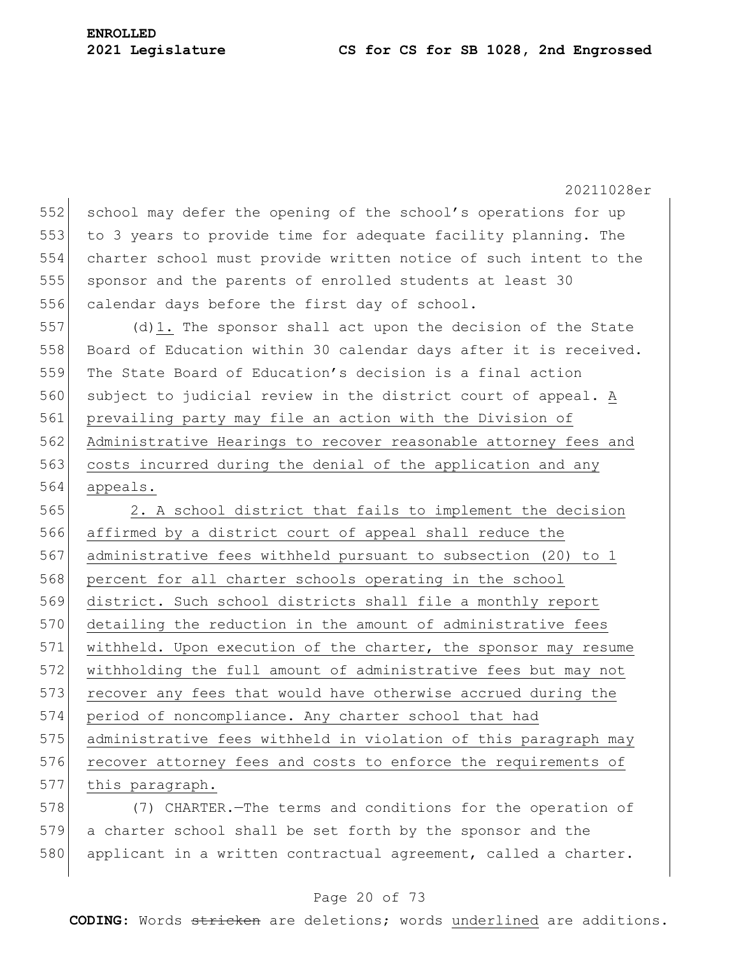20211028er 552 school may defer the opening of the school's operations for up 553 to 3 years to provide time for adequate facility planning. The 554 charter school must provide written notice of such intent to the 555 sponsor and the parents of enrolled students at least 30 556 calendar days before the first day of school. 557 (d)1. The sponsor shall act upon the decision of the State 558 Board of Education within 30 calendar days after it is received. 559 The State Board of Education's decision is a final action 560 subject to judicial review in the district court of appeal. A 561 prevailing party may file an action with the Division of 562 Administrative Hearings to recover reasonable attorney fees and 563 costs incurred during the denial of the application and any 564 appeals. 565 2. A school district that fails to implement the decision 566 affirmed by a district court of appeal shall reduce the 567 administrative fees withheld pursuant to subsection (20) to 1 568 percent for all charter schools operating in the school 569 district. Such school districts shall file a monthly report 570 detailing the reduction in the amount of administrative fees 571 withheld. Upon execution of the charter, the sponsor may resume 572 withholding the full amount of administrative fees but may not 573 recover any fees that would have otherwise accrued during the 574 period of noncompliance. Any charter school that had 575 administrative fees withheld in violation of this paragraph may 576 recover attorney fees and costs to enforce the requirements of 577 this paragraph. 578 (7) CHARTER.—The terms and conditions for the operation of 579 a charter school shall be set forth by the sponsor and the

# Page 20 of 73

580 applicant in a written contractual agreement, called a charter.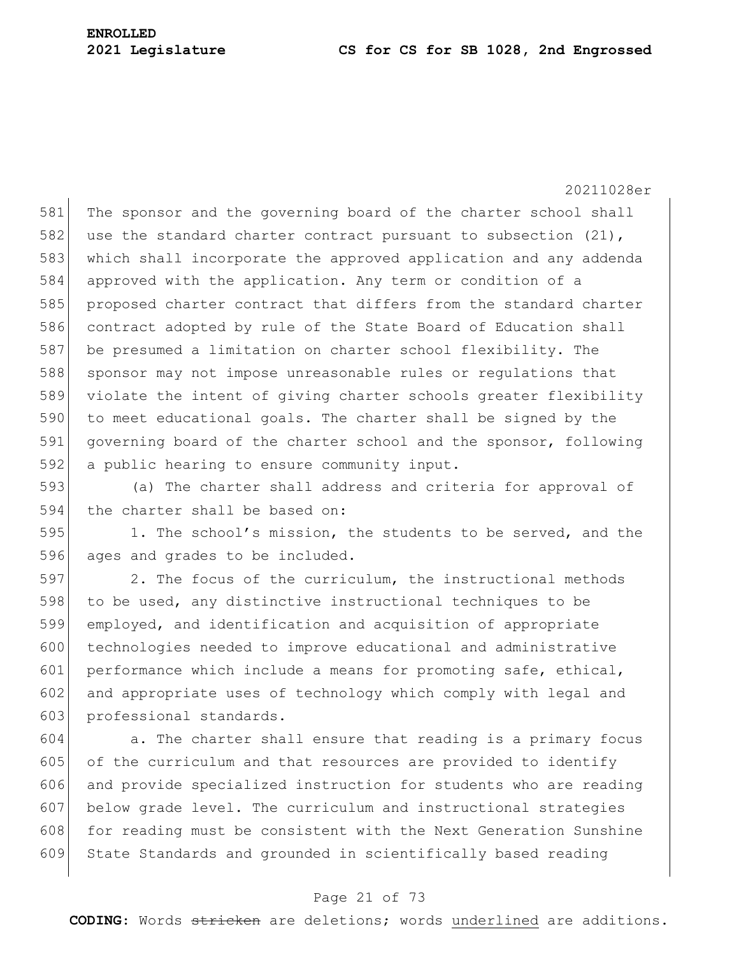581 The sponsor and the governing board of the charter school shall 582 use the standard charter contract pursuant to subsection  $(21)$ , 583 which shall incorporate the approved application and any addenda 584 approved with the application. Any term or condition of a 585 proposed charter contract that differs from the standard charter 586 contract adopted by rule of the State Board of Education shall 587 be presumed a limitation on charter school flexibility. The 588 sponsor may not impose unreasonable rules or regulations that 589 violate the intent of giving charter schools greater flexibility 590 to meet educational goals. The charter shall be signed by the 591 governing board of the charter school and the sponsor, following 592 a public hearing to ensure community input.

593 (a) The charter shall address and criteria for approval of 594 the charter shall be based on:

595 1. The school's mission, the students to be served, and the 596 ages and grades to be included.

597 2. The focus of the curriculum, the instructional methods  $598$  to be used, any distinctive instructional techniques to be 599 employed, and identification and acquisition of appropriate 600 technologies needed to improve educational and administrative 601 performance which include a means for promoting safe, ethical, 602 and appropriate uses of technology which comply with legal and 603 professional standards.

 a. The charter shall ensure that reading is a primary focus of the curriculum and that resources are provided to identify and provide specialized instruction for students who are reading below grade level. The curriculum and instructional strategies 608 for reading must be consistent with the Next Generation Sunshine State Standards and grounded in scientifically based reading

# Page 21 of 73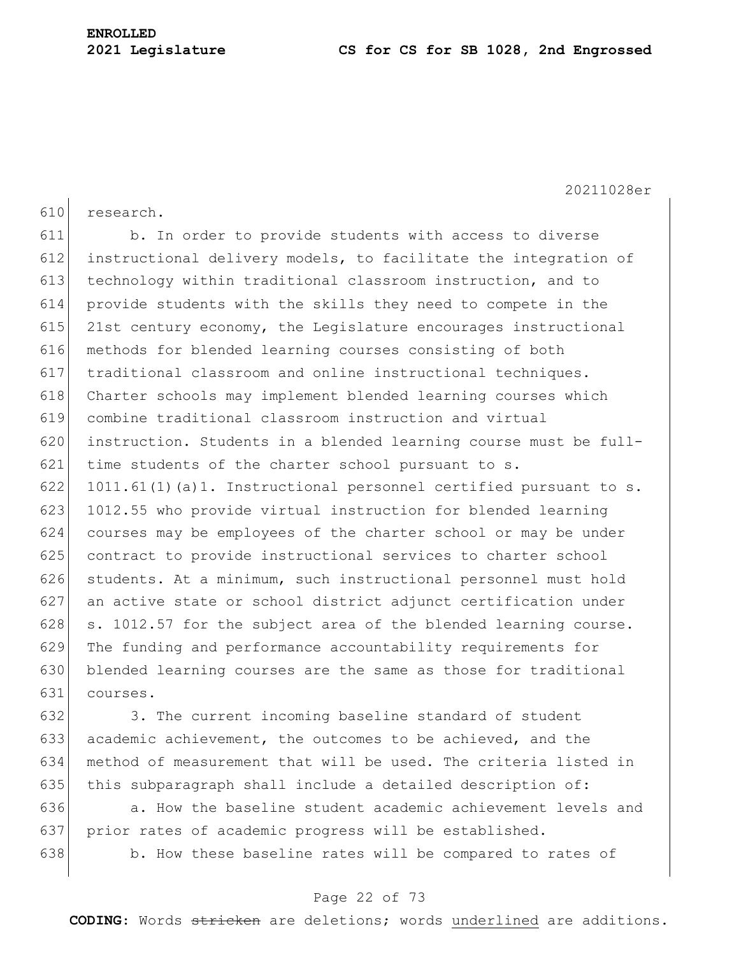610 research.

20211028er

611 b. In order to provide students with access to diverse 612 instructional delivery models, to facilitate the integration of 613 technology within traditional classroom instruction, and to 614 provide students with the skills they need to compete in the 615 21st century economy, the Legislature encourages instructional 616 methods for blended learning courses consisting of both 617 traditional classroom and online instructional techniques. 618 Charter schools may implement blended learning courses which 619 combine traditional classroom instruction and virtual 620 instruction. Students in a blended learning course must be full-621 time students of the charter school pursuant to s. 622 1011.61(1)(a)1. Instructional personnel certified pursuant to s. 623 1012.55 who provide virtual instruction for blended learning 624 courses may be employees of the charter school or may be under 625 contract to provide instructional services to charter school 626 students. At a minimum, such instructional personnel must hold 627 an active state or school district adjunct certification under 628 s. 1012.57 for the subject area of the blended learning course. 629 The funding and performance accountability requirements for 630 blended learning courses are the same as those for traditional 631 courses. 632 3. The current incoming baseline standard of student

633 academic achievement, the outcomes to be achieved, and the 634 method of measurement that will be used. The criteria listed in 635 this subparagraph shall include a detailed description of:

636 636 636 a. How the baseline student academic achievement levels and 637 prior rates of academic progress will be established. 638 b. How these baseline rates will be compared to rates of

# Page 22 of 73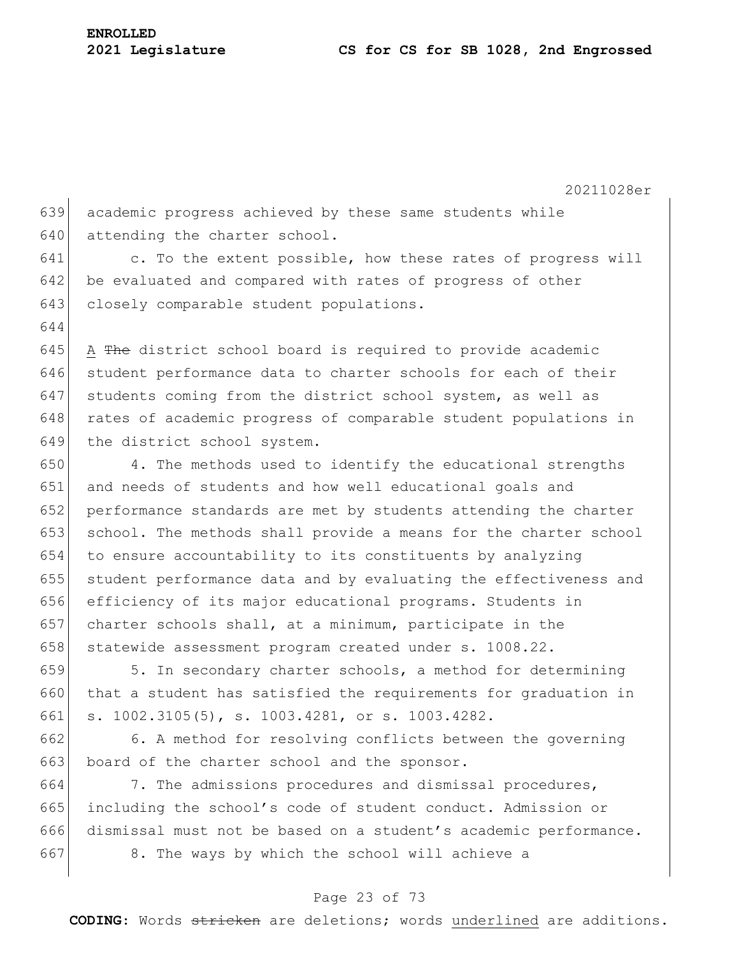644

20211028er

639 academic progress achieved by these same students while 640 attending the charter school.

641 c. To the extent possible, how these rates of progress will 642 be evaluated and compared with rates of progress of other 643 closely comparable student populations.

 $645$  A The district school board is required to provide academic 646 student performance data to charter schools for each of their 647 students coming from the district school system, as well as 648 rates of academic progress of comparable student populations in 649 the district school system.

 4. The methods used to identify the educational strengths and needs of students and how well educational goals and performance standards are met by students attending the charter 653 school. The methods shall provide a means for the charter school to ensure accountability to its constituents by analyzing student performance data and by evaluating the effectiveness and efficiency of its major educational programs. Students in charter schools shall, at a minimum, participate in the 658 statewide assessment program created under s. 1008.22.

659  $\vert$  5. In secondary charter schools, a method for determining 660 that a student has satisfied the requirements for graduation in 661 s. 1002.3105(5), s. 1003.4281, or s. 1003.4282.

662 6. A method for resolving conflicts between the governing 663 board of the charter school and the sponsor.

 7. The admissions procedures and dismissal procedures, including the school's code of student conduct. Admission or dismissal must not be based on a student's academic performance. 8. The ways by which the school will achieve a

# Page 23 of 73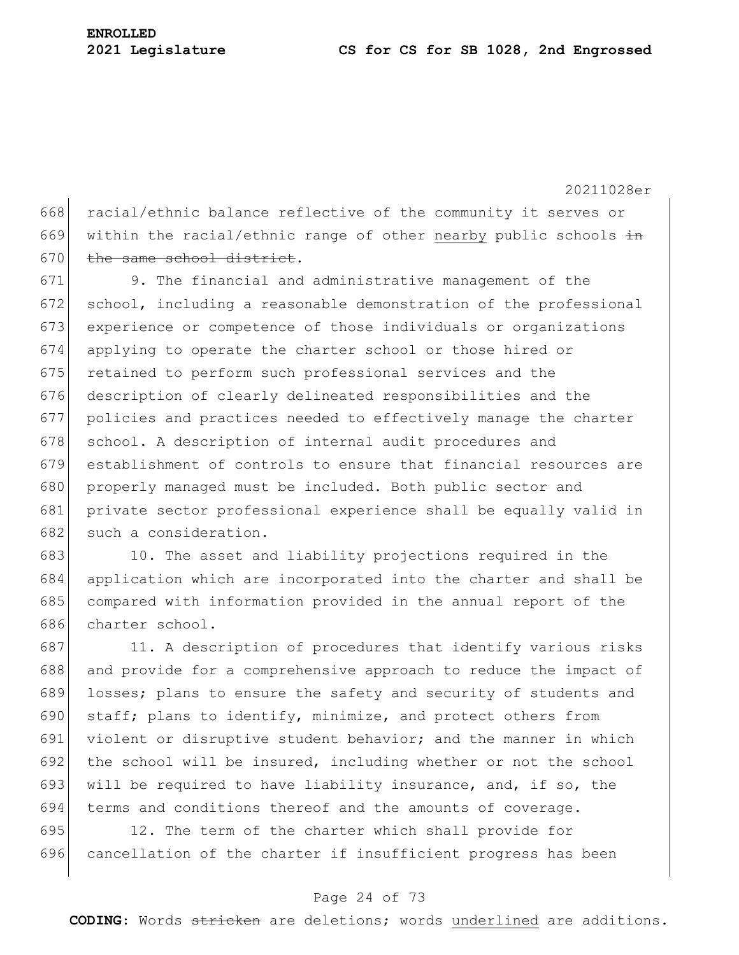668 racial/ethnic balance reflective of the community it serves or 669 within the racial/ethnic range of other nearby public schools  $\pm n$ 670 the same school district.

671 9. The financial and administrative management of the 672 school, including a reasonable demonstration of the professional 673 experience or competence of those individuals or organizations 674 applying to operate the charter school or those hired or 675 retained to perform such professional services and the 676 description of clearly delineated responsibilities and the 677 policies and practices needed to effectively manage the charter 678 school. A description of internal audit procedures and 679 establishment of controls to ensure that financial resources are 680 properly managed must be included. Both public sector and 681 private sector professional experience shall be equally valid in 682 such a consideration.

683 10. The asset and liability projections required in the application which are incorporated into the charter and shall be compared with information provided in the annual report of the charter school.

687 11. A description of procedures that identify various risks 688 and provide for a comprehensive approach to reduce the impact of 689 losses; plans to ensure the safety and security of students and 690 staff; plans to identify, minimize, and protect others from 691 violent or disruptive student behavior; and the manner in which 692 the school will be insured, including whether or not the school 693 will be required to have liability insurance, and, if so, the 694 terms and conditions thereof and the amounts of coverage.

695 12. The term of the charter which shall provide for 696 cancellation of the charter if insufficient progress has been

# Page 24 of 73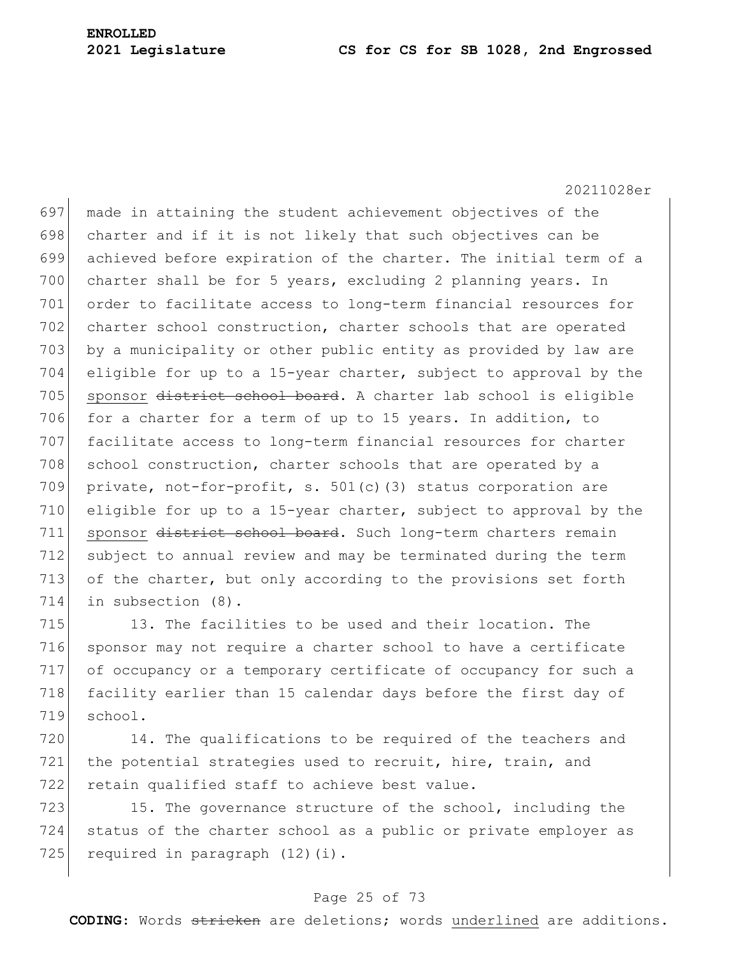697 made in attaining the student achievement objectives of the 698 charter and if it is not likely that such objectives can be 699 achieved before expiration of the charter. The initial term of a 700 charter shall be for 5 years, excluding 2 planning years. In 701 order to facilitate access to long-term financial resources for 702 charter school construction, charter schools that are operated 703 by a municipality or other public entity as provided by law are 704 eligible for up to a 15-year charter, subject to approval by the 705 sponsor district school board. A charter lab school is eligible 706 for a charter for a term of up to 15 years. In addition, to 707 facilitate access to long-term financial resources for charter 708 school construction, charter schools that are operated by a 709 private, not-for-profit, s.  $501(c)$  (3) status corporation are 710 eligible for up to a 15-year charter, subject to approval by the 711 sponsor district school board. Such long-term charters remain 712 subject to annual review and may be terminated during the term 713 of the charter, but only according to the provisions set forth 714 in subsection (8).

715 13. The facilities to be used and their location. The 716 sponsor may not require a charter school to have a certificate 717 of occupancy or a temporary certificate of occupancy for such a 718 facility earlier than 15 calendar days before the first day of 719 school.

720 14. The qualifications to be required of the teachers and 721 the potential strategies used to recruit, hire, train, and 722 retain qualified staff to achieve best value.

723 15. The governance structure of the school, including the 724 status of the charter school as a public or private employer as 725 required in paragraph  $(12)(i)$ .

# Page 25 of 73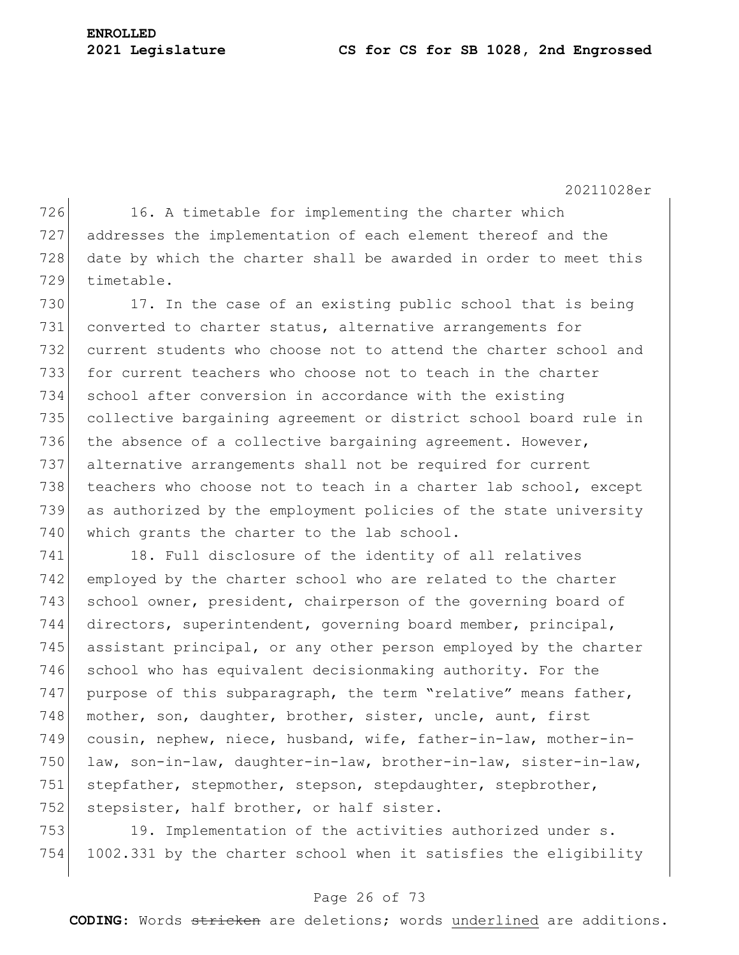**ENROLLED**

20211028er

726 16. A timetable for implementing the charter which 727 addresses the implementation of each element thereof and the 728 date by which the charter shall be awarded in order to meet this 729 timetable.

730 17. In the case of an existing public school that is being converted to charter status, alternative arrangements for current students who choose not to attend the charter school and for current teachers who choose not to teach in the charter school after conversion in accordance with the existing collective bargaining agreement or district school board rule in the absence of a collective bargaining agreement. However, alternative arrangements shall not be required for current teachers who choose not to teach in a charter lab school, except as authorized by the employment policies of the state university 740 which grants the charter to the lab school.

741 18. Full disclosure of the identity of all relatives 742 employed by the charter school who are related to the charter 743 school owner, president, chairperson of the governing board of 744 directors, superintendent, governing board member, principal, 745 assistant principal, or any other person employed by the charter 746 school who has equivalent decisionmaking authority. For the 747 purpose of this subparagraph, the term "relative" means father, 748 mother, son, daughter, brother, sister, uncle, aunt, first 749 cousin, nephew, niece, husband, wife, father-in-law, mother-in-750 law, son-in-law, daughter-in-law, brother-in-law, sister-in-law, 751 stepfather, stepmother, stepson, stepdaughter, stepbrother, 752 stepsister, half brother, or half sister.

753 19. Implementation of the activities authorized under s. 754 1002.331 by the charter school when it satisfies the eligibility

# Page 26 of 73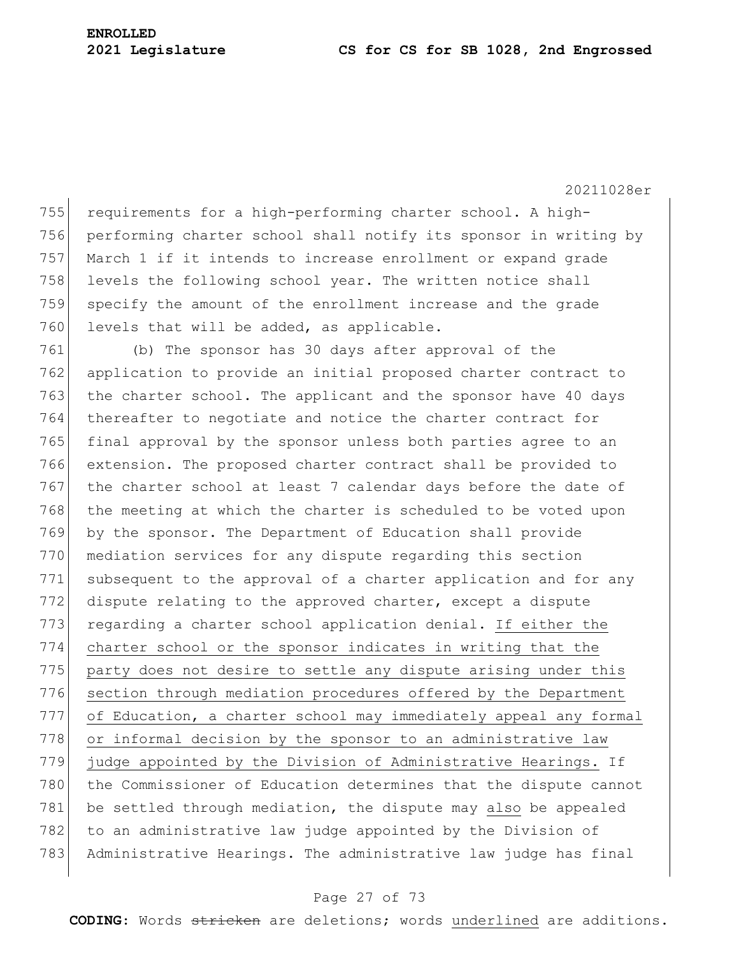755 requirements for a high-performing charter school. A high-756 performing charter school shall notify its sponsor in writing by 757 March 1 if it intends to increase enrollment or expand grade 758 levels the following school year. The written notice shall 759 specify the amount of the enrollment increase and the grade 760 levels that will be added, as applicable. 761 (b) The sponsor has 30 days after approval of the 762 application to provide an initial proposed charter contract to 763 the charter school. The applicant and the sponsor have 40 days 764 thereafter to negotiate and notice the charter contract for 765 final approval by the sponsor unless both parties agree to an 766 extension. The proposed charter contract shall be provided to 767 the charter school at least 7 calendar days before the date of 768 the meeting at which the charter is scheduled to be voted upon 769 by the sponsor. The Department of Education shall provide 770 mediation services for any dispute regarding this section 771 subsequent to the approval of a charter application and for any 772 dispute relating to the approved charter, except a dispute 773 regarding a charter school application denial. If either the 774 charter school or the sponsor indicates in writing that the 775 party does not desire to settle any dispute arising under this 776 section through mediation procedures offered by the Department 777 of Education, a charter school may immediately appeal any formal 778 or informal decision by the sponsor to an administrative law 779 judge appointed by the Division of Administrative Hearings. If 780 the Commissioner of Education determines that the dispute cannot 781 be settled through mediation, the dispute may also be appealed 782 to an administrative law judge appointed by the Division of 783 Administrative Hearings. The administrative law judge has final

#### Page 27 of 73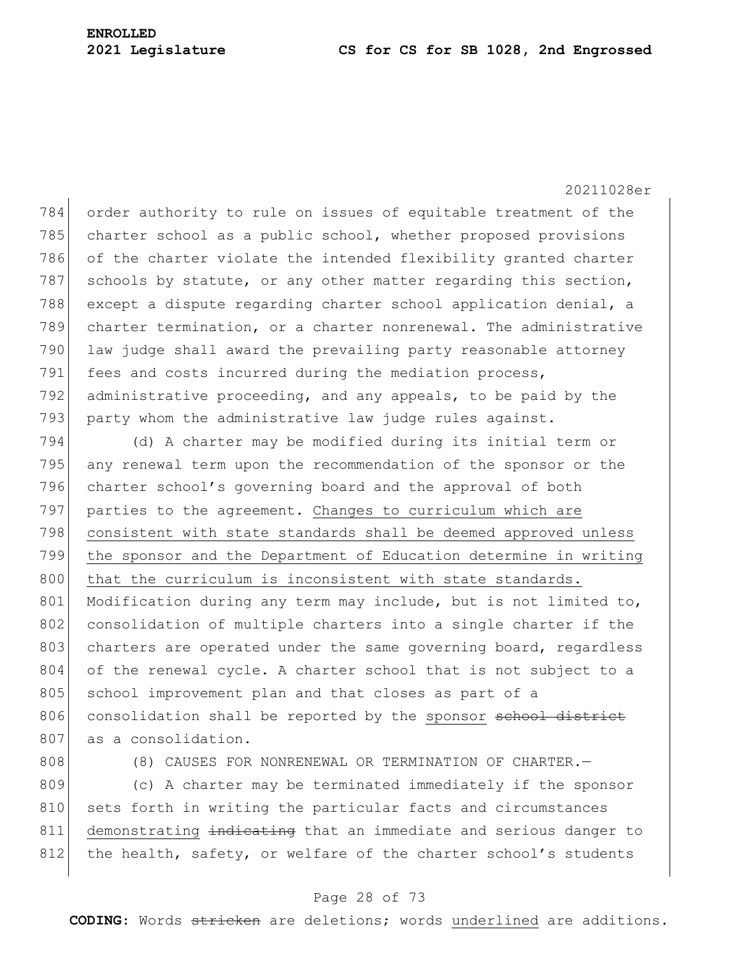784 order authority to rule on issues of equitable treatment of the 785 charter school as a public school, whether proposed provisions 786 of the charter violate the intended flexibility granted charter 787 schools by statute, or any other matter regarding this section, 788 except a dispute regarding charter school application denial, a 789 charter termination, or a charter nonrenewal. The administrative 790 law judge shall award the prevailing party reasonable attorney 791 fees and costs incurred during the mediation process, 792 administrative proceeding, and any appeals, to be paid by the 793 party whom the administrative law judge rules against.

794 (d) A charter may be modified during its initial term or 795 any renewal term upon the recommendation of the sponsor or the 796 charter school's governing board and the approval of both 797 parties to the agreement. Changes to curriculum which are 798 consistent with state standards shall be deemed approved unless 799 the sponsor and the Department of Education determine in writing 800 that the curriculum is inconsistent with state standards. 801 Modification during any term may include, but is not limited to, 802 consolidation of multiple charters into a single charter if the 803 charters are operated under the same governing board, regardless 804 of the renewal cycle. A charter school that is not subject to a 805 school improvement plan and that closes as part of a 806 consolidation shall be reported by the sponsor school district 807 as a consolidation.

808 (8) CAUSES FOR NONRENEWAL OR TERMINATION OF CHARTER.

809 (c) A charter may be terminated immediately if the sponsor 810 sets forth in writing the particular facts and circumstances 811 demonstrating indicating that an immediate and serious danger to 812 the health, safety, or welfare of the charter school's students

# Page 28 of 73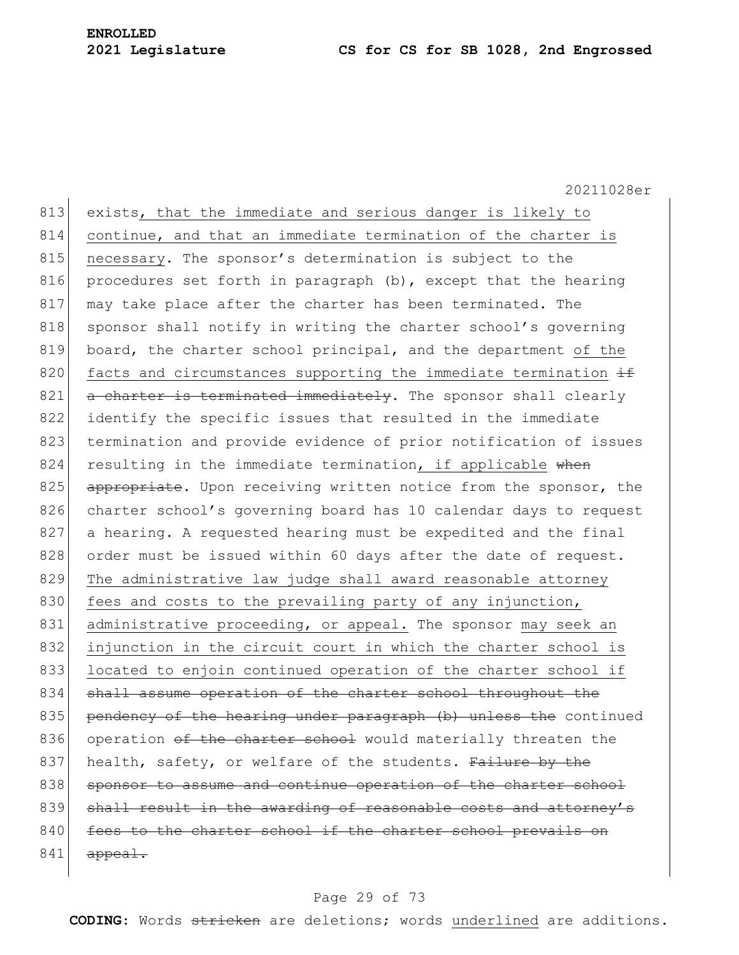813 exists, that the immediate and serious danger is likely to 814 continue, and that an immediate termination of the charter is 815 necessary. The sponsor's determination is subject to the 816 procedures set forth in paragraph  $(b)$ , except that the hearing 817 may take place after the charter has been terminated. The 818 sponsor shall notify in writing the charter school's governing 819 board, the charter school principal, and the department of the 820 facts and circumstances supporting the immediate termination  $\pm$  $821$  a charter is terminated immediately. The sponsor shall clearly 822 identify the specific issues that resulted in the immediate 823 termination and provide evidence of prior notification of issues 824 resulting in the immediate termination, if applicable when 825 appropriate. Upon receiving written notice from the sponsor, the 826 charter school's governing board has 10 calendar days to request 827 a hearing. A requested hearing must be expedited and the final 828 order must be issued within 60 days after the date of request. 829 The administrative law judge shall award reasonable attorney 830 fees and costs to the prevailing party of any injunction, 831 administrative proceeding, or appeal. The sponsor may seek an 832 injunction in the circuit court in which the charter school is 833 located to enjoin continued operation of the charter school if 834 shall assume operation of the charter school throughout the 835 pendency of the hearing under paragraph (b) unless the continued 836 operation of the charter school would materially threaten the 837 health, safety, or welfare of the students. Failure by the 838 sponsor to assume and continue operation of the charter school 839 shall result in the awarding of reasonable costs and attorney's 840 fees to the charter school if the charter school prevails on  $841$  appeal.

# Page 29 of 73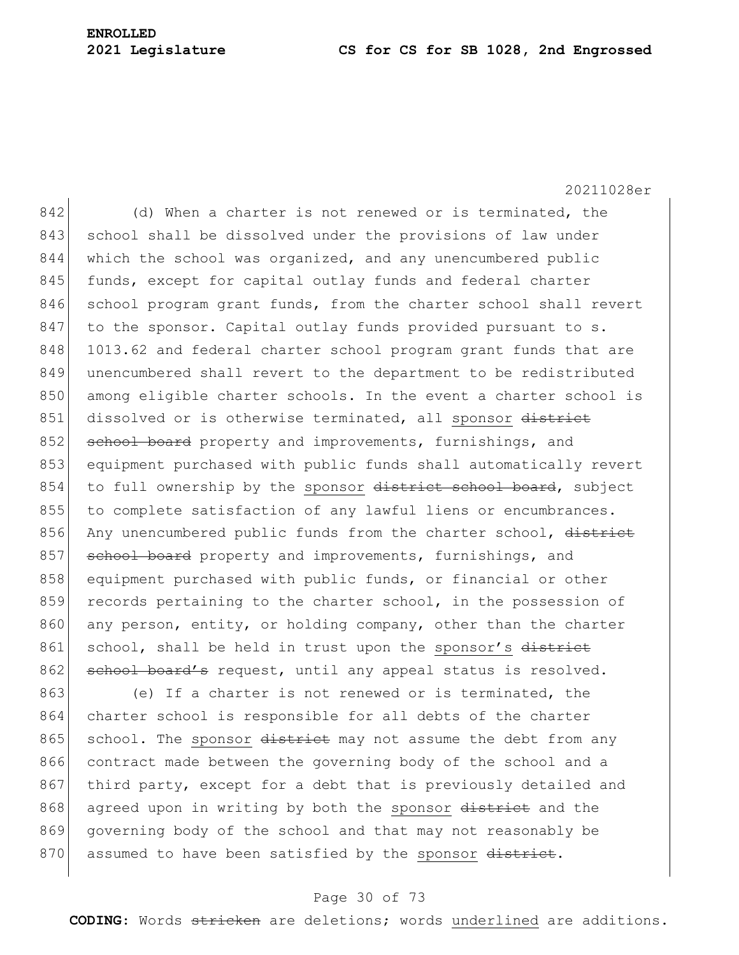# **ENROLLED**

20211028er  $842$  (d) When a charter is not renewed or is terminated, the 843 school shall be dissolved under the provisions of law under 844 which the school was organized, and any unencumbered public 845 funds, except for capital outlay funds and federal charter 846 school program grant funds, from the charter school shall revert  $847$  to the sponsor. Capital outlay funds provided pursuant to s. 848 1013.62 and federal charter school program grant funds that are 849 unencumbered shall revert to the department to be redistributed 850 among eligible charter schools. In the event a charter school is 851 dissolved or is otherwise terminated, all sponsor district 852 school board property and improvements, furnishings, and 853 equipment purchased with public funds shall automatically revert 854 to full ownership by the sponsor district school board, subject 855 to complete satisfaction of any lawful liens or encumbrances. 856 Any unencumbered public funds from the charter school, district 857 school board property and improvements, furnishings, and 858 equipment purchased with public funds, or financial or other 859 records pertaining to the charter school, in the possession of 860 any person, entity, or holding company, other than the charter 861 school, shall be held in trust upon the sponsor's district 862 school board's request, until any appeal status is resolved. 863 (e) If a charter is not renewed or is terminated, the

864 charter school is responsible for all debts of the charter 865 school. The sponsor  $d$ istrict may not assume the debt from any 866 contract made between the governing body of the school and a 867 | third party, except for a debt that is previously detailed and 868 agreed upon in writing by both the sponsor district and the 869 governing body of the school and that may not reasonably be 870 assumed to have been satisfied by the sponsor district.

# Page 30 of 73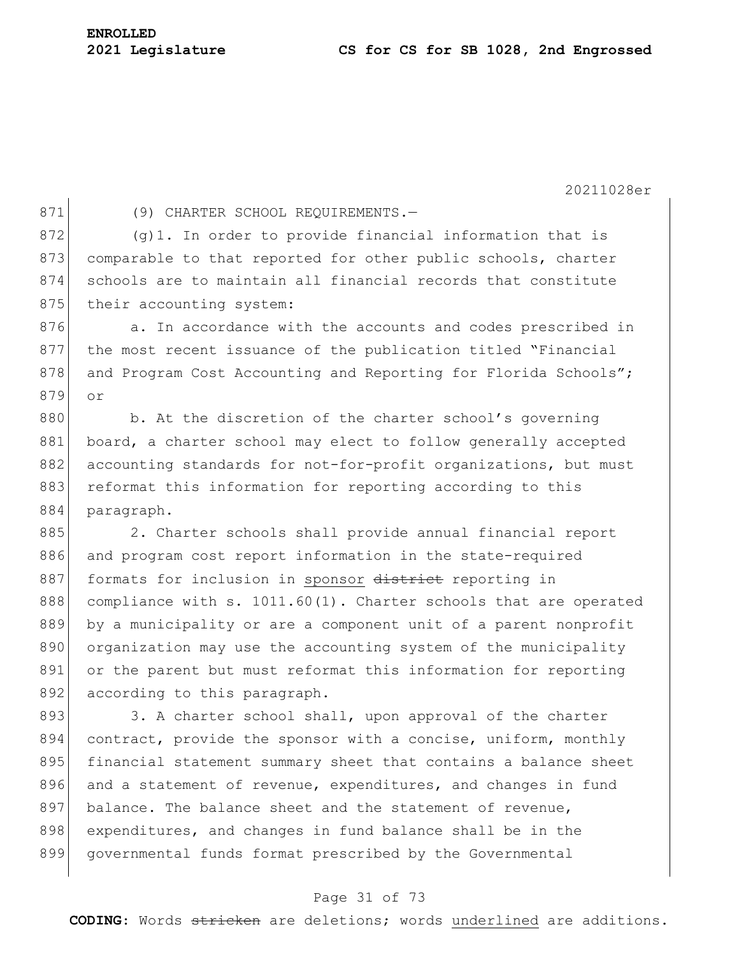871 (9) CHARTER SCHOOL REQUIREMENTS.

 $872$  (g)1. In order to provide financial information that is 873 comparable to that reported for other public schools, charter 874 schools are to maintain all financial records that constitute 875 their accounting system:

876 a. In accordance with the accounts and codes prescribed in 877 the most recent issuance of the publication titled "Financial 878 and Program Cost Accounting and Reporting for Florida Schools"; 879 or

880 b. At the discretion of the charter school's governing 881 board, a charter school may elect to follow generally accepted 882 accounting standards for not-for-profit organizations, but must 883 reformat this information for reporting according to this 884 paragraph.

885 2. Charter schools shall provide annual financial report 886 and program cost report information in the state-required 887 formats for inclusion in sponsor district reporting in 888 compliance with s. 1011.60(1). Charter schools that are operated 889 by a municipality or are a component unit of a parent nonprofit 890 organization may use the accounting system of the municipality 891 or the parent but must reformat this information for reporting 892 according to this paragraph.

 $893$  3. A charter school shall, upon approval of the charter 894 contract, provide the sponsor with a concise, uniform, monthly 895 financial statement summary sheet that contains a balance sheet 896 and a statement of revenue, expenditures, and changes in fund 897 balance. The balance sheet and the statement of revenue, 898 expenditures, and changes in fund balance shall be in the 899 governmental funds format prescribed by the Governmental

# Page 31 of 73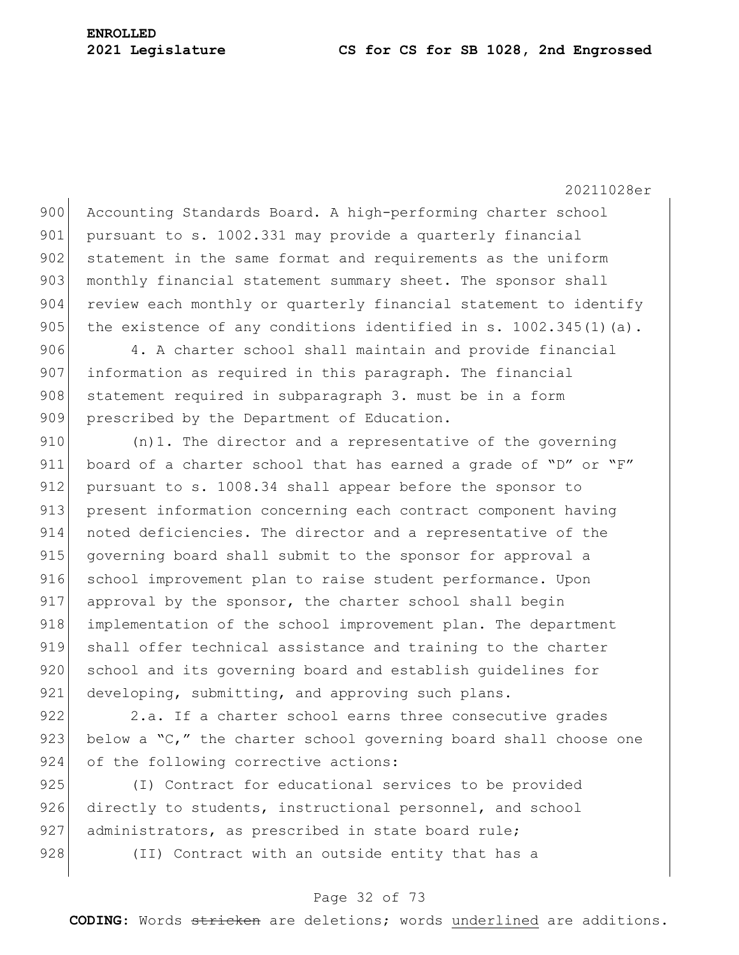20211028er

900 Accounting Standards Board. A high-performing charter school 901 pursuant to s. 1002.331 may provide a quarterly financial 902 statement in the same format and requirements as the uniform 903 monthly financial statement summary sheet. The sponsor shall 904 review each monthly or quarterly financial statement to identify 905 the existence of any conditions identified in s.  $1002.345(1)(a)$ .

906 4. A charter school shall maintain and provide financial 907 information as required in this paragraph. The financial 908 statement required in subparagraph 3. must be in a form 909 prescribed by the Department of Education.

910 (n)1. The director and a representative of the governing 911 board of a charter school that has earned a grade of "D" or "F" 912 pursuant to s. 1008.34 shall appear before the sponsor to 913 present information concerning each contract component having 914 noted deficiencies. The director and a representative of the 915 governing board shall submit to the sponsor for approval a 916 school improvement plan to raise student performance. Upon 917 approval by the sponsor, the charter school shall begin 918 implementation of the school improvement plan. The department 919 shall offer technical assistance and training to the charter 920 school and its governing board and establish guidelines for 921 developing, submitting, and approving such plans.

922 2.a. If a charter school earns three consecutive grades 923 below a "C," the charter school governing board shall choose one 924 of the following corrective actions:

925 (I) Contract for educational services to be provided 926 directly to students, instructional personnel, and school 927 administrators, as prescribed in state board rule; 928 (II) Contract with an outside entity that has a

# Page 32 of 73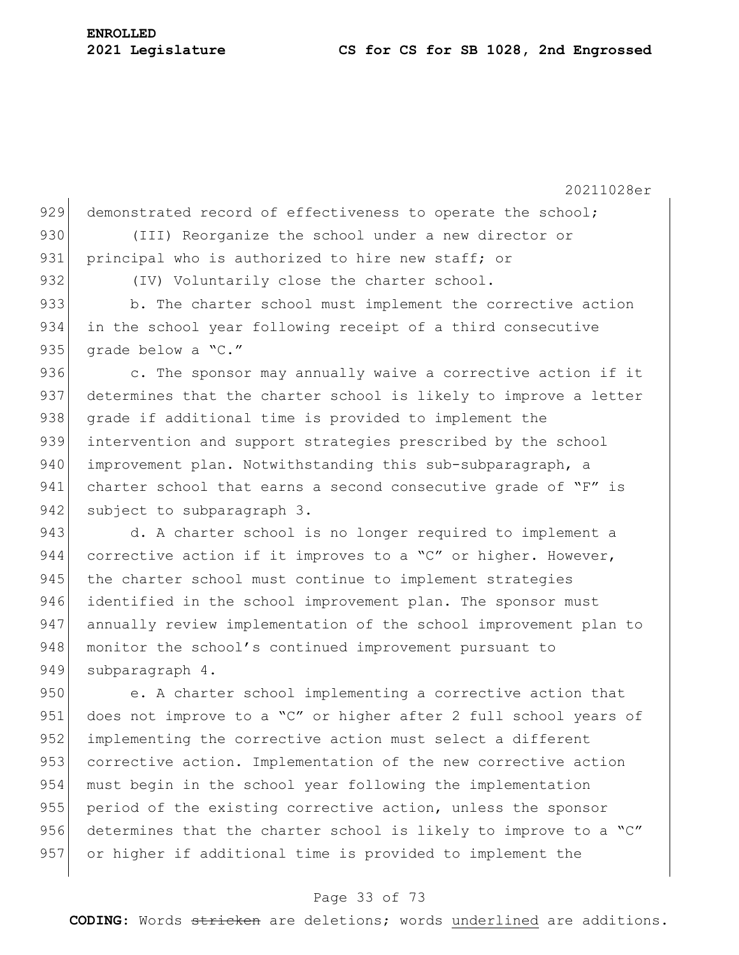20211028er 929 demonstrated record of effectiveness to operate the school; 930 (III) Reorganize the school under a new director or 931 principal who is authorized to hire new staff; or 932 (IV) Voluntarily close the charter school. 933 b. The charter school must implement the corrective action 934 in the school year following receipt of a third consecutive 935 grade below a "C." 936 c. The sponsor may annually waive a corrective action if it 937 determines that the charter school is likely to improve a letter 938 grade if additional time is provided to implement the 939 intervention and support strategies prescribed by the school 940 improvement plan. Notwithstanding this sub-subparagraph, a 941 charter school that earns a second consecutive grade of "F" is 942 subject to subparagraph 3. 943 d. A charter school is no longer required to implement a 944 corrective action if it improves to a "C" or higher. However, 945 the charter school must continue to implement strategies 946 identified in the school improvement plan. The sponsor must 947 annually review implementation of the school improvement plan to 948 monitor the school's continued improvement pursuant to 949 subparagraph 4. 950 e. A charter school implementing a corrective action that 951 does not improve to a "C" or higher after 2 full school years of 952 implementing the corrective action must select a different 953 corrective action. Implementation of the new corrective action 954 must begin in the school year following the implementation 955 period of the existing corrective action, unless the sponsor 956 determines that the charter school is likely to improve to a " $C''$ 957 or higher if additional time is provided to implement the

# Page 33 of 73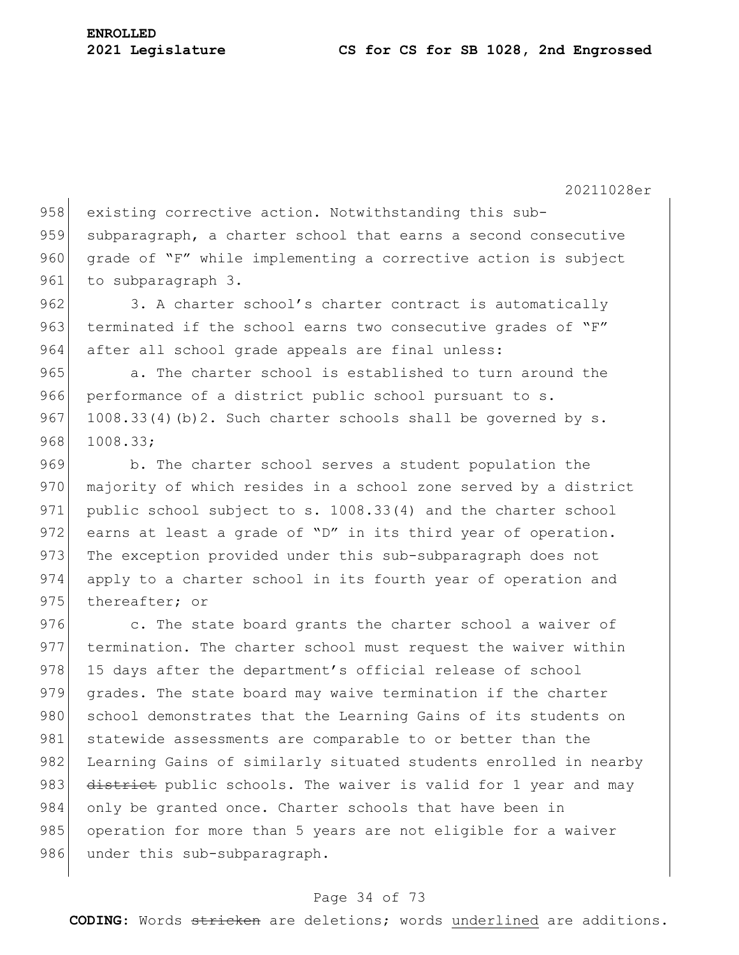958 existing corrective action. Notwithstanding this sub-959 subparagraph, a charter school that earns a second consecutive 960 grade of "F" while implementing a corrective action is subject 961 to subparagraph 3.

962 3. A charter school's charter contract is automatically 963 terminated if the school earns two consecutive grades of  $"F"$ 964 after all school grade appeals are final unless:

965 a. The charter school is established to turn around the 966 performance of a district public school pursuant to s. 967 1008.33(4)(b)2. Such charter schools shall be governed by s. 968 1008.33;

969 b. The charter school serves a student population the 970 majority of which resides in a school zone served by a district 971 public school subject to s. 1008.33(4) and the charter school 972 earns at least a grade of "D" in its third year of operation. 973 The exception provided under this sub-subparagraph does not 974 apply to a charter school in its fourth year of operation and 975 thereafter; or

 $976$  c. The state board grants the charter school a waiver of 977 termination. The charter school must request the waiver within 978 15 days after the department's official release of school 979 grades. The state board may waive termination if the charter 980 school demonstrates that the Learning Gains of its students on 981 statewide assessments are comparable to or better than the 982 Learning Gains of similarly situated students enrolled in nearby 983 district public schools. The waiver is valid for 1 year and may 984 only be granted once. Charter schools that have been in 985 operation for more than 5 years are not eligible for a waiver 986 under this sub-subparagraph.

# Page 34 of 73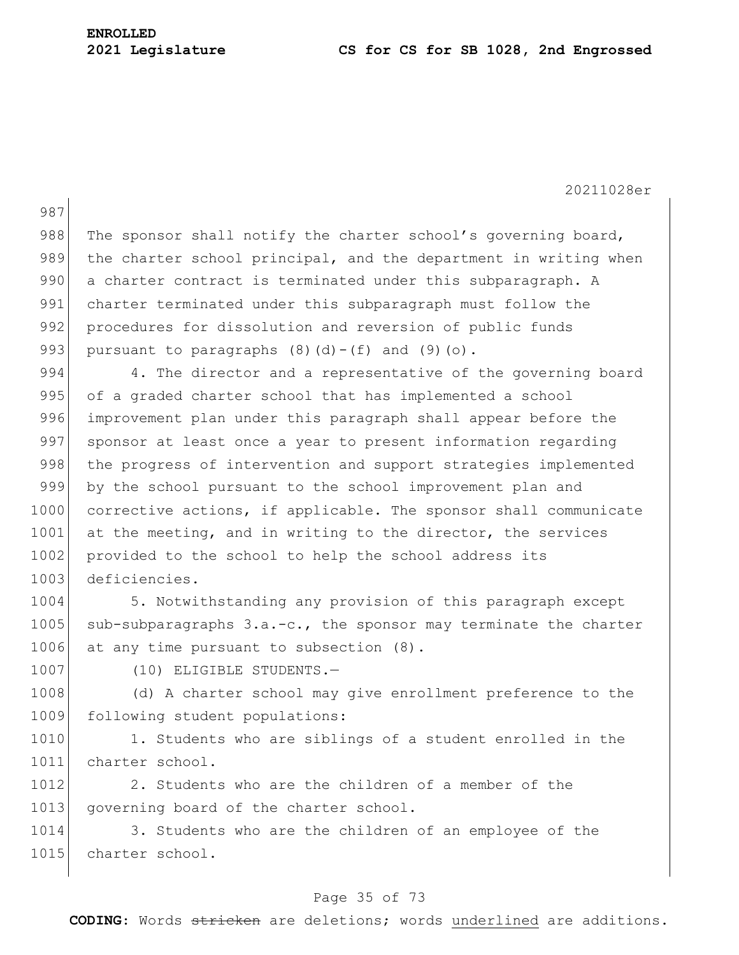20211028er 987 988 The sponsor shall notify the charter school's governing board, 989 the charter school principal, and the department in writing when 990 a charter contract is terminated under this subparagraph. A 991 charter terminated under this subparagraph must follow the 992 procedures for dissolution and reversion of public funds 993 pursuant to paragraphs  $(8)(d)-(f)$  and  $(9)(o)$ . 994 4. The director and a representative of the governing board 995 of a graded charter school that has implemented a school 996 improvement plan under this paragraph shall appear before the 997 sponsor at least once a year to present information regarding 998 | the progress of intervention and support strategies implemented 999 by the school pursuant to the school improvement plan and 1000 corrective actions, if applicable. The sponsor shall communicate 1001 at the meeting, and in writing to the director, the services 1002 provided to the school to help the school address its 1003 deficiencies. 1004 5. Notwithstanding any provision of this paragraph except 1005 sub-subparagraphs  $3.a.-c.,$  the sponsor may terminate the charter 1006 at any time pursuant to subsection (8). 1007 (10) ELIGIBLE STUDENTS.-1008 (d) A charter school may give enrollment preference to the 1009 following student populations: 1010 1. Students who are siblings of a student enrolled in the 1011 charter school. 1012 2. Students who are the children of a member of the 1013 governing board of the charter school. 1014 3. Students who are the children of an employee of the 1015 charter school.

# Page 35 of 73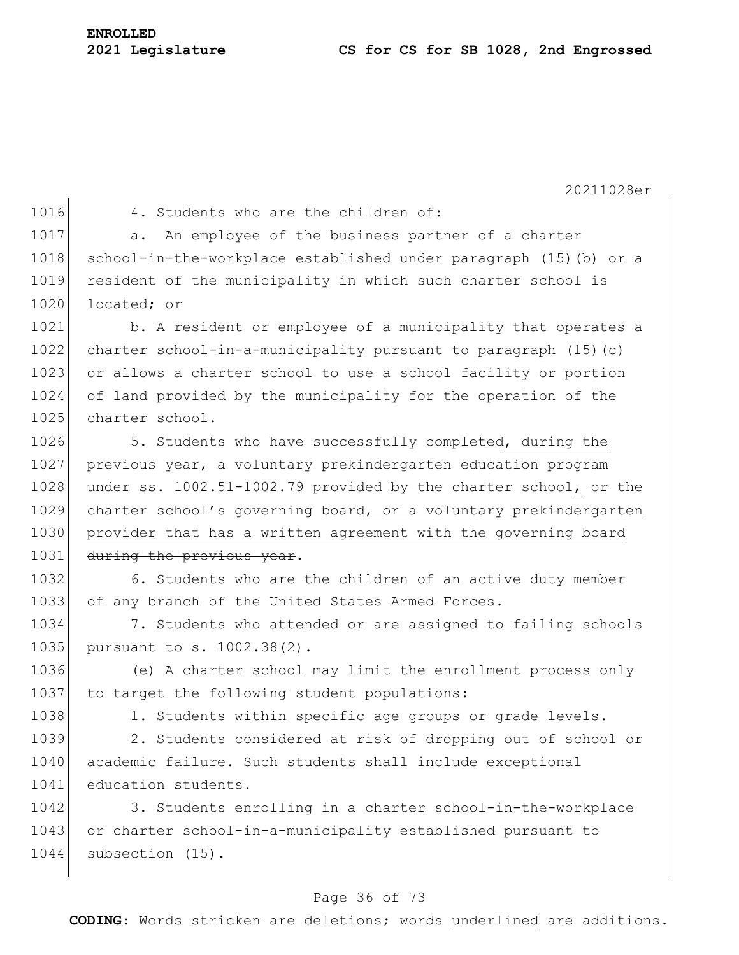20211028er 1016 4. Students who are the children of: 1017 a. An employee of the business partner of a charter 1018 school-in-the-workplace established under paragraph (15) (b) or a 1019 resident of the municipality in which such charter school is 1020 located; or 1021 b. A resident or employee of a municipality that operates a 1022 charter school-in-a-municipality pursuant to paragraph (15)(c) 1023 or allows a charter school to use a school facility or portion 1024 of land provided by the municipality for the operation of the 1025 charter school. 1026 5. Students who have successfully completed, during the 1027 previous year, a voluntary prekindergarten education program 1028 under ss. 1002.51-1002.79 provided by the charter school,  $\Theta$ r the 1029 charter school's governing board, or a voluntary prekindergarten 1030 provider that has a written agreement with the governing board 1031 during the previous year. 1032 6. Students who are the children of an active duty member 1033 of any branch of the United States Armed Forces. 1034 7. Students who attended or are assigned to failing schools 1035 pursuant to s. 1002.38(2). 1036 (e) A charter school may limit the enrollment process only 1037 to target the following student populations: 1038 1. Students within specific age groups or grade levels. 1039 2. Students considered at risk of dropping out of school or 1040 academic failure. Such students shall include exceptional 1041 education students. 1042 3. Students enrolling in a charter school-in-the-workplace 1043 or charter school-in-a-municipality established pursuant to 1044 subsection (15).

# Page 36 of 73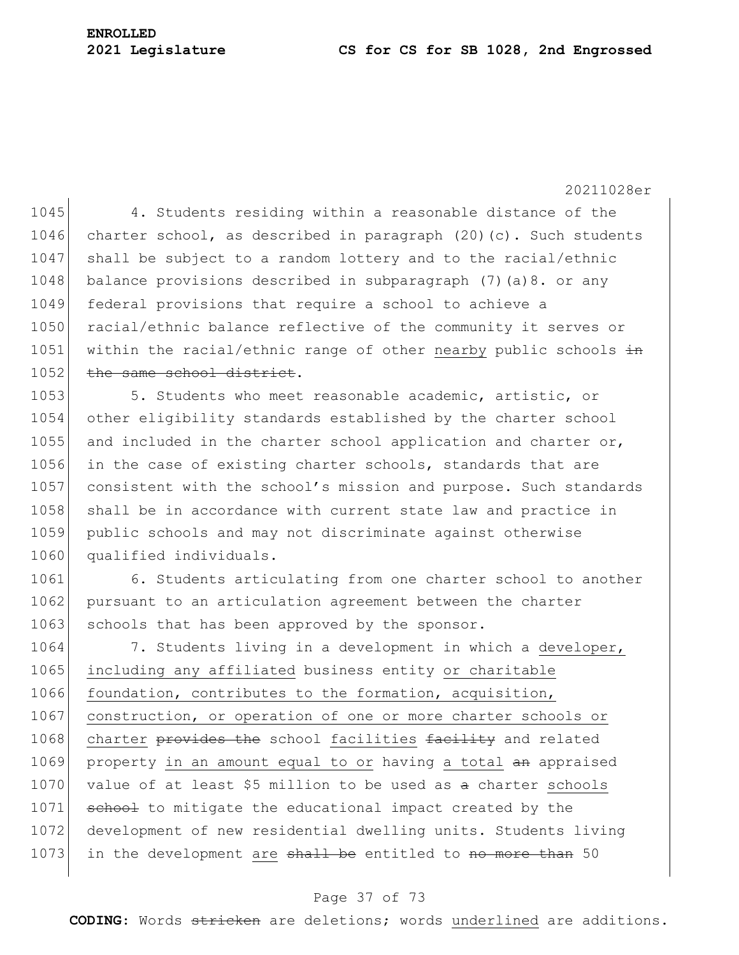20211028er 1045 4. Students residing within a reasonable distance of the 1046 charter school, as described in paragraph  $(20)(c)$ . Such students 1047 shall be subject to a random lottery and to the racial/ethnic 1048 balance provisions described in subparagraph  $(7)$  (a)8. or any 1049 federal provisions that require a school to achieve a 1050 racial/ethnic balance reflective of the community it serves or 1051 within the racial/ethnic range of other nearby public schools in 1052 the same school district. 1053 5. Students who meet reasonable academic, artistic, or 1054 other eligibility standards established by the charter school 1055 and included in the charter school application and charter or, 1056 in the case of existing charter schools, standards that are 1057 consistent with the school's mission and purpose. Such standards 1058 shall be in accordance with current state law and practice in 1059 public schools and may not discriminate against otherwise 1060 qualified individuals. 1061 6. Students articulating from one charter school to another 1062 pursuant to an articulation agreement between the charter 1063 schools that has been approved by the sponsor. 1064 7. Students living in a development in which a developer, 1065 including any affiliated business entity or charitable 1066 foundation, contributes to the formation, acquisition, 1067 construction, or operation of one or more charter schools or 1068 charter provides the school facilities facility and related 1069 property in an amount equal to or having a total an appraised 1070 value of at least \$5 million to be used as  $a$  charter schools 1071 school to mitigate the educational impact created by the

1072 development of new residential dwelling units. Students living 1073 in the development are shall be entitled to no more than 50

## Page 37 of 73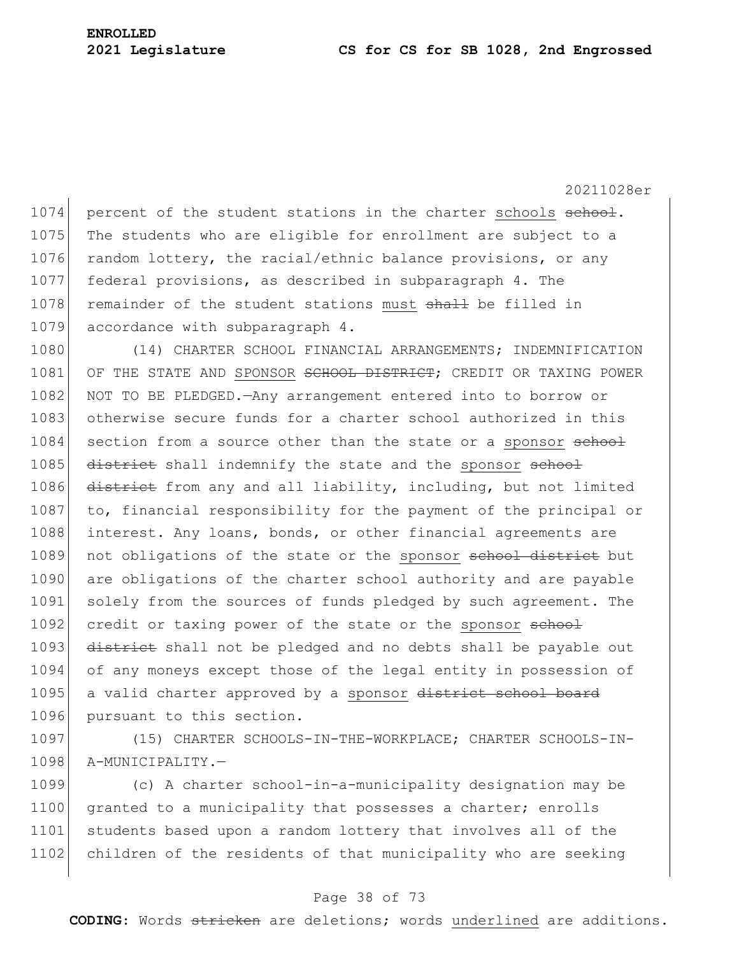1074 percent of the student stations in the charter schools school. 1075 The students who are eligible for enrollment are subject to a 1076 random lottery, the racial/ethnic balance provisions, or any 1077 federal provisions, as described in subparagraph 4. The 1078 remainder of the student stations must shall be filled in 1079 accordance with subparagraph 4.

1080 (14) CHARTER SCHOOL FINANCIAL ARRANGEMENTS; INDEMNIFICATION 1081 OF THE STATE AND SPONSOR SCHOOL DISTRICT; CREDIT OR TAXING POWER 1082 NOT TO BE PLEDGED. Any arrangement entered into to borrow or 1083 otherwise secure funds for a charter school authorized in this 1084 section from a source other than the state or a sponsor school 1085 district shall indemnify the state and the sponsor school 1086 district from any and all liability, including, but not limited 1087 to, financial responsibility for the payment of the principal or 1088 interest. Any loans, bonds, or other financial agreements are 1089 not obligations of the state or the sponsor school district but 1090 are obligations of the charter school authority and are payable 1091 solely from the sources of funds pledged by such agreement. The 1092 credit or taxing power of the state or the sponsor school 1093 district shall not be pledged and no debts shall be payable out 1094 of any moneys except those of the legal entity in possession of 1095 a valid charter approved by a sponsor district school board 1096 pursuant to this section.

1097 (15) CHARTER SCHOOLS-IN-THE-WORKPLACE; CHARTER SCHOOLS-IN-1098 A-MUNICIPALITY.—

1099 (c) A charter school-in-a-municipality designation may be 1100 granted to a municipality that possesses a charter; enrolls 1101 students based upon a random lottery that involves all of the 1102 children of the residents of that municipality who are seeking

## Page 38 of 73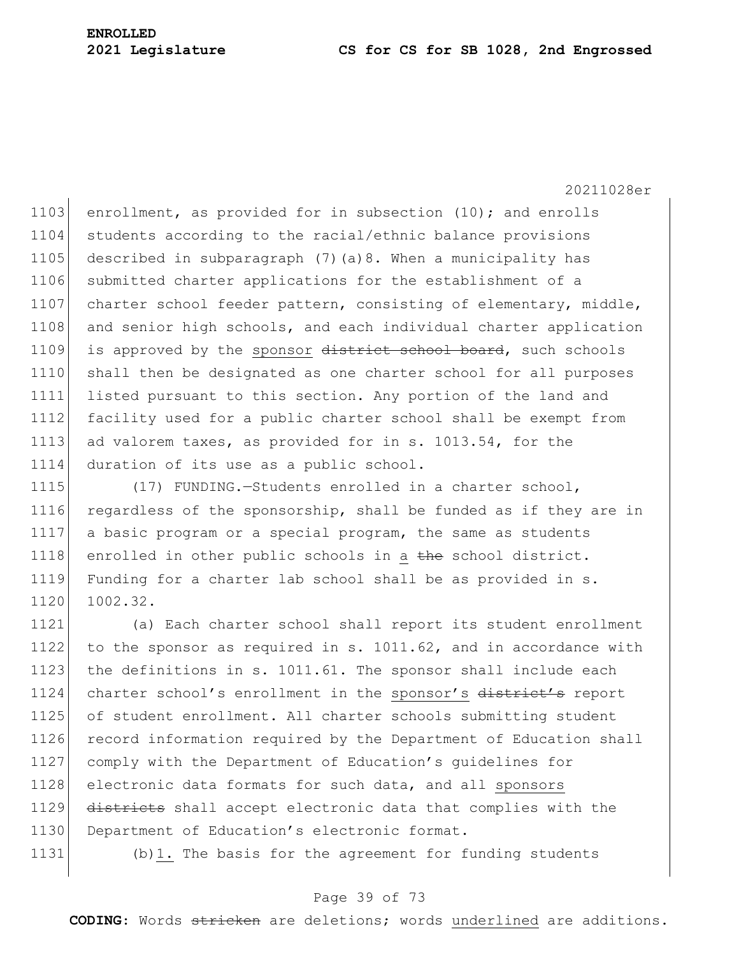1103 enrollment, as provided for in subsection  $(10)$ ; and enrolls 1104 students according to the racial/ethnic balance provisions 1105 described in subparagraph  $(7)$  (a)8. When a municipality has 1106 submitted charter applications for the establishment of a 1107 charter school feeder pattern, consisting of elementary, middle, 1108 and senior high schools, and each individual charter application 1109 is approved by the sponsor district school board, such schools 1110 shall then be designated as one charter school for all purposes 1111 listed pursuant to this section. Any portion of the land and 1112 facility used for a public charter school shall be exempt from 1113 ad valorem taxes, as provided for in s. 1013.54, for the 1114 duration of its use as a public school.

1115 (17) FUNDING.-Students enrolled in a charter school, 1116 regardless of the sponsorship, shall be funded as if they are in 1117 a basic program or a special program, the same as students 1118 enrolled in other public schools in a the school district. 1119 Funding for a charter lab school shall be as provided in s. 1120 1002.32.

1121 (a) Each charter school shall report its student enrollment 1122 to the sponsor as required in s. 1011.62, and in accordance with 1123 the definitions in s. 1011.61. The sponsor shall include each 1124 charter school's enrollment in the sponsor's district's report 1125 of student enrollment. All charter schools submitting student 1126 record information required by the Department of Education shall 1127 comply with the Department of Education's guidelines for 1128 electronic data formats for such data, and all sponsors 1129 districts shall accept electronic data that complies with the 1130 Department of Education's electronic format.

1131 (b) 1. The basis for the agreement for funding students

# Page 39 of 73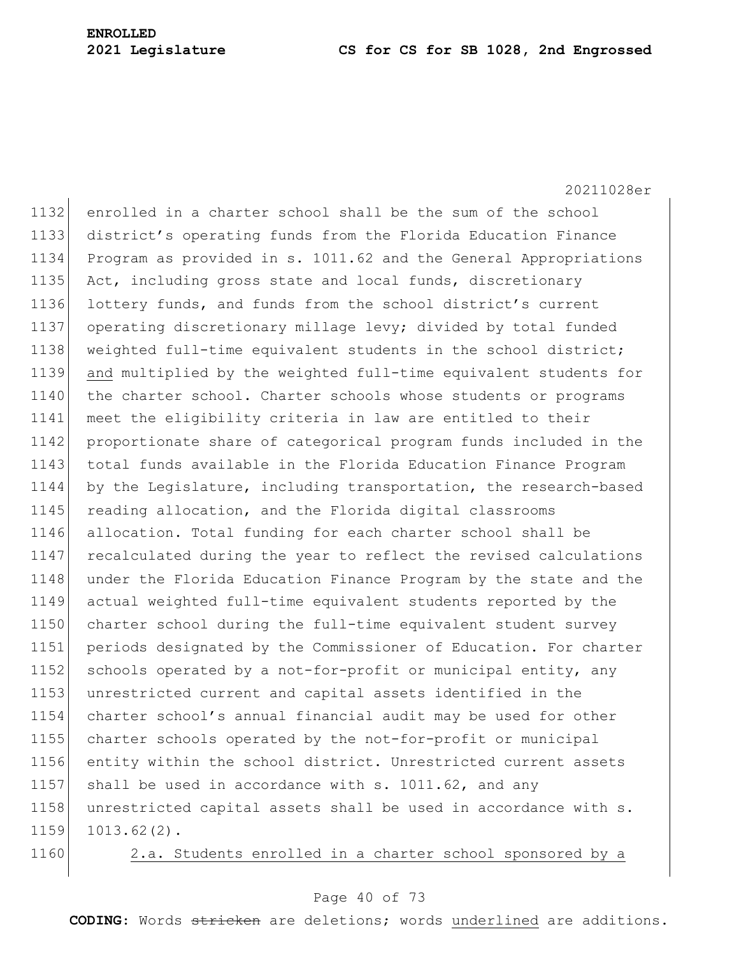20211028er enrolled in a charter school shall be the sum of the school district's operating funds from the Florida Education Finance Program as provided in s. 1011.62 and the General Appropriations 1135 Act, including gross state and local funds, discretionary lottery funds, and funds from the school district's current operating discretionary millage levy; divided by total funded 1138 weighted full-time equivalent students in the school district; and multiplied by the weighted full-time equivalent students for 1140 the charter school. Charter schools whose students or programs meet the eligibility criteria in law are entitled to their proportionate share of categorical program funds included in the total funds available in the Florida Education Finance Program by the Legislature, including transportation, the research-based 1145 reading allocation, and the Florida digital classrooms allocation. Total funding for each charter school shall be recalculated during the year to reflect the revised calculations 1148 under the Florida Education Finance Program by the state and the actual weighted full-time equivalent students reported by the charter school during the full-time equivalent student survey periods designated by the Commissioner of Education. For charter 1152 schools operated by a not-for-profit or municipal entity, any unrestricted current and capital assets identified in the charter school's annual financial audit may be used for other charter schools operated by the not-for-profit or municipal entity within the school district. Unrestricted current assets 1157 shall be used in accordance with s.  $1011.62$ , and any 1158 unrestricted capital assets shall be used in accordance with s. 1013.62(2).

1160 2.a. Students enrolled in a charter school sponsored by a

## Page 40 of 73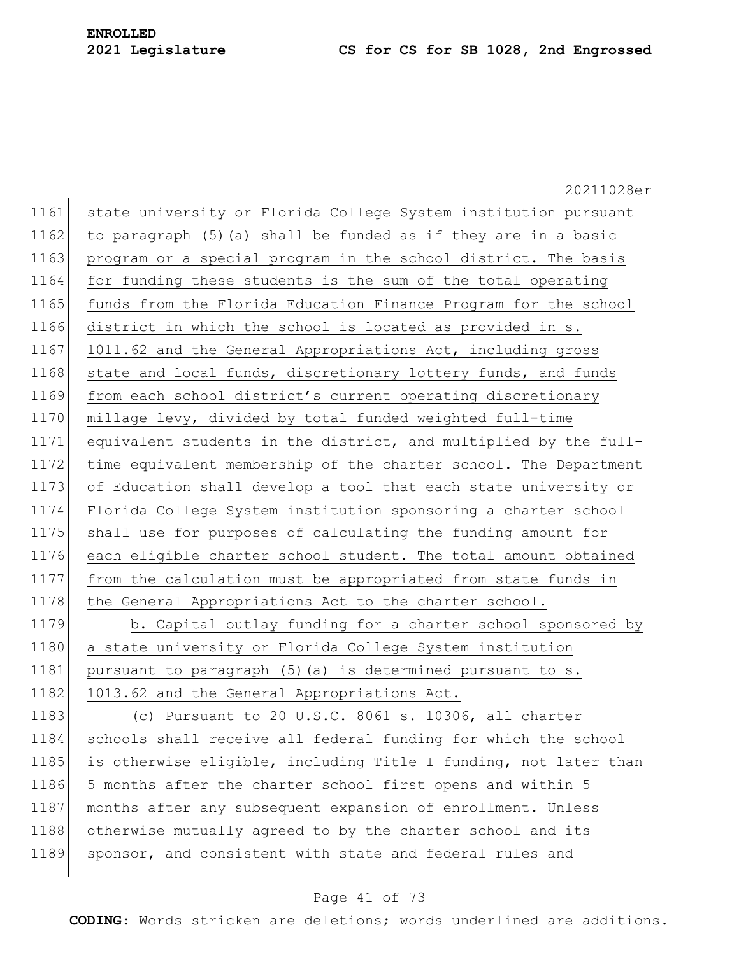20211028er 1161 state university or Florida College System institution pursuant 1162 to paragraph (5) (a) shall be funded as if they are in a basic 1163 program or a special program in the school district. The basis 1164 for funding these students is the sum of the total operating 1165 funds from the Florida Education Finance Program for the school 1166 district in which the school is located as provided in s. 1167 1011.62 and the General Appropriations Act, including gross 1168 state and local funds, discretionary lottery funds, and funds 1169 from each school district's current operating discretionary 1170 millage levy, divided by total funded weighted full-time 1171 equivalent students in the district, and multiplied by the full-1172 time equivalent membership of the charter school. The Department 1173 of Education shall develop a tool that each state university or 1174 Florida College System institution sponsoring a charter school 1175 shall use for purposes of calculating the funding amount for 1176 each eligible charter school student. The total amount obtained 1177 from the calculation must be appropriated from state funds in 1178 the General Appropriations Act to the charter school. 1179 b. Capital outlay funding for a charter school sponsored by 1180 a state university or Florida College System institution 1181 pursuant to paragraph (5) (a) is determined pursuant to s. 1182 1013.62 and the General Appropriations Act.

1183 (c) Pursuant to 20 U.S.C. 8061 s. 10306, all charter 1184 schools shall receive all federal funding for which the school 1185 is otherwise eligible, including Title I funding, not later than 1186 5 months after the charter school first opens and within 5 1187 months after any subsequent expansion of enrollment. Unless 1188 otherwise mutually agreed to by the charter school and its 1189 sponsor, and consistent with state and federal rules and

## Page 41 of 73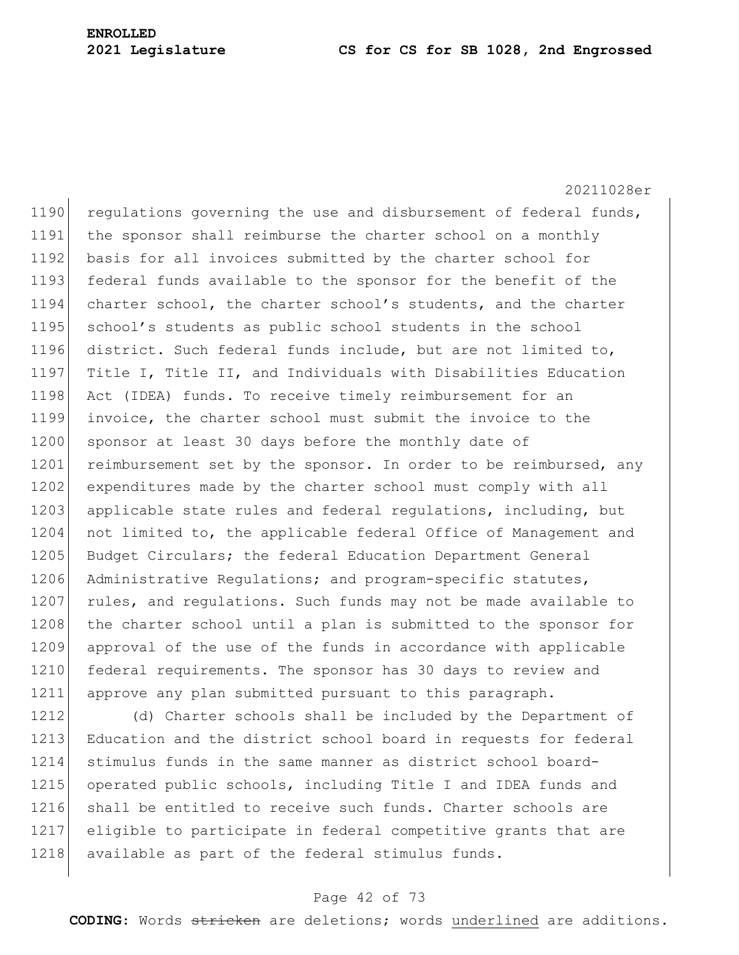20211028er 1190 regulations governing the use and disbursement of federal funds, 1191 the sponsor shall reimburse the charter school on a monthly 1192 basis for all invoices submitted by the charter school for 1193 federal funds available to the sponsor for the benefit of the 1194 charter school, the charter school's students, and the charter 1195 school's students as public school students in the school 1196 district. Such federal funds include, but are not limited to, 1197 Title I, Title II, and Individuals with Disabilities Education 1198 Act (IDEA) funds. To receive timely reimbursement for an 1199 invoice, the charter school must submit the invoice to the 1200 sponsor at least 30 days before the monthly date of 1201 reimbursement set by the sponsor. In order to be reimbursed, any 1202 expenditures made by the charter school must comply with all 1203 applicable state rules and federal regulations, including, but 1204 not limited to, the applicable federal Office of Management and 1205 Budget Circulars; the federal Education Department General 1206 Administrative Regulations; and program-specific statutes, 1207 rules, and regulations. Such funds may not be made available to 1208 the charter school until a plan is submitted to the sponsor for 1209 approval of the use of the funds in accordance with applicable 1210 federal requirements. The sponsor has 30 days to review and 1211 approve any plan submitted pursuant to this paragraph.

1212 (d) Charter schools shall be included by the Department of 1213 Education and the district school board in requests for federal 1214 stimulus funds in the same manner as district school board-1215 operated public schools, including Title I and IDEA funds and 1216 shall be entitled to receive such funds. Charter schools are 1217 eligible to participate in federal competitive grants that are 1218 available as part of the federal stimulus funds.

## Page 42 of 73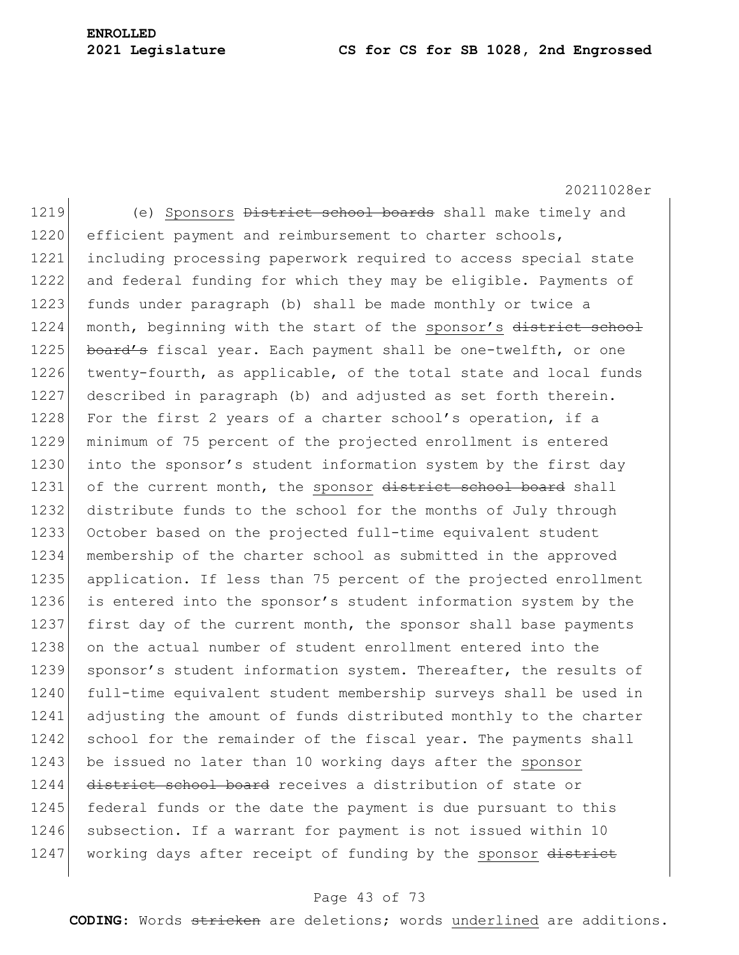20211028er 1219 (e) Sponsors District school boards shall make timely and 1220 efficient payment and reimbursement to charter schools, 1221 including processing paperwork required to access special state 1222 and federal funding for which they may be eligible. Payments of 1223 funds under paragraph (b) shall be made monthly or twice a 1224 month, beginning with the start of the sponsor's district school 1225 board's fiscal year. Each payment shall be one-twelfth, or one 1226 twenty-fourth, as applicable, of the total state and local funds 1227 described in paragraph (b) and adjusted as set forth therein. 1228 For the first 2 years of a charter school's operation, if a 1229 minimum of 75 percent of the projected enrollment is entered 1230 into the sponsor's student information system by the first day 1231 of the current month, the sponsor district school board shall 1232 distribute funds to the school for the months of July through 1233 October based on the projected full-time equivalent student 1234 membership of the charter school as submitted in the approved 1235 application. If less than 75 percent of the projected enrollment 1236 is entered into the sponsor's student information system by the 1237 first day of the current month, the sponsor shall base payments 1238 on the actual number of student enrollment entered into the 1239 sponsor's student information system. Thereafter, the results of 1240 full-time equivalent student membership surveys shall be used in 1241 adjusting the amount of funds distributed monthly to the charter 1242 school for the remainder of the fiscal year. The payments shall 1243 be issued no later than 10 working days after the sponsor 1244 district school board receives a distribution of state or 1245 federal funds or the date the payment is due pursuant to this 1246 subsection. If a warrant for payment is not issued within 10 1247 working days after receipt of funding by the sponsor district

## Page 43 of 73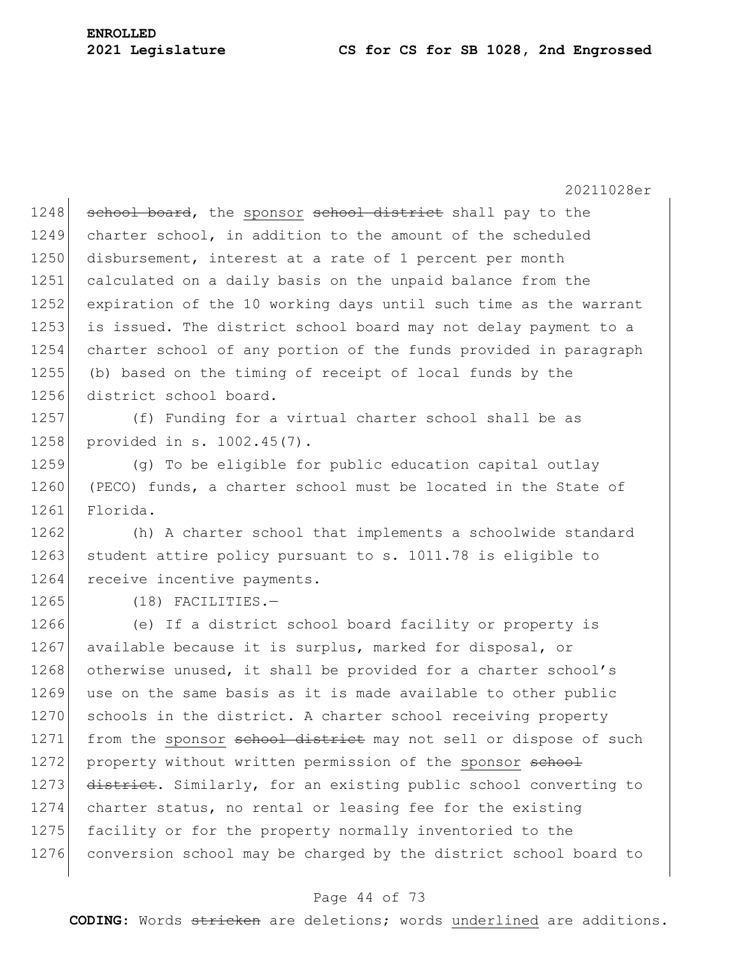20211028er 1248 school board, the sponsor school district shall pay to the 1249 charter school, in addition to the amount of the scheduled 1250 disbursement, interest at a rate of 1 percent per month 1251 calculated on a daily basis on the unpaid balance from the 1252 expiration of the 10 working days until such time as the warrant 1253 is issued. The district school board may not delay payment to a 1254 charter school of any portion of the funds provided in paragraph 1255 (b) based on the timing of receipt of local funds by the 1256 district school board. 1257 (f) Funding for a virtual charter school shall be as 1258 provided in s. 1002.45(7). 1259 (g) To be eligible for public education capital outlay 1260 (PECO) funds, a charter school must be located in the State of 1261 Florida. 1262 (h) A charter school that implements a schoolwide standard 1263 student attire policy pursuant to  $s$ . 1011.78 is eligible to 1264 receive incentive payments. 1265 (18) FACILITIES. 1266 (e) If a district school board facility or property is 1267 available because it is surplus, marked for disposal, or 1268 otherwise unused, it shall be provided for a charter school's 1269 use on the same basis as it is made available to other public 1270 schools in the district. A charter school receiving property 1271 from the sponsor school district may not sell or dispose of such 1272 property without written permission of the sponsor school 1273 district. Similarly, for an existing public school converting to 1274 charter status, no rental or leasing fee for the existing 1275 facility or for the property normally inventoried to the 1276 conversion school may be charged by the district school board to

## Page 44 of 73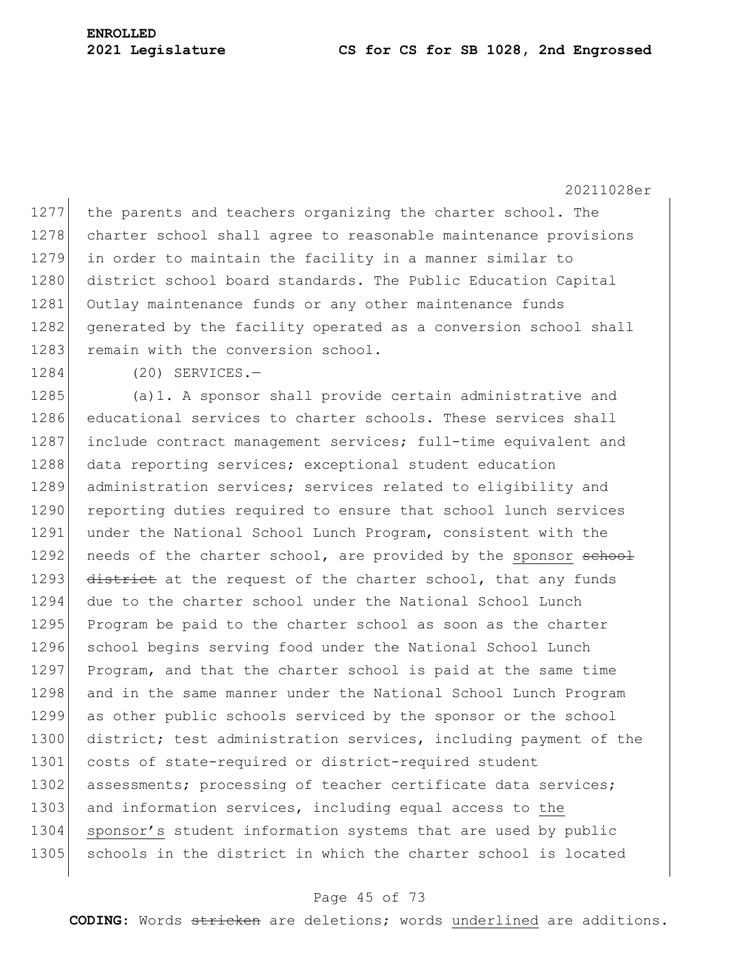1277 the parents and teachers organizing the charter school. The 1278 charter school shall agree to reasonable maintenance provisions 1279 in order to maintain the facility in a manner similar to 1280 district school board standards. The Public Education Capital 1281 Outlay maintenance funds or any other maintenance funds 1282 generated by the facility operated as a conversion school shall 1283 remain with the conversion school.

1284 (20) SERVICES.—

1285 (a)1. A sponsor shall provide certain administrative and 1286 educational services to charter schools. These services shall 1287 include contract management services; full-time equivalent and 1288 data reporting services; exceptional student education 1289 administration services; services related to eligibility and 1290 reporting duties required to ensure that school lunch services 1291 under the National School Lunch Program, consistent with the 1292 needs of the charter school, are provided by the sponsor school 1293 district at the request of the charter school, that any funds 1294 due to the charter school under the National School Lunch 1295 Program be paid to the charter school as soon as the charter 1296 school begins serving food under the National School Lunch 1297 Program, and that the charter school is paid at the same time 1298 and in the same manner under the National School Lunch Program 1299 as other public schools serviced by the sponsor or the school 1300 district; test administration services, including payment of the 1301 costs of state-required or district-required student 1302 assessments; processing of teacher certificate data services; 1303 and information services, including equal access to the 1304 sponsor's student information systems that are used by public 1305 schools in the district in which the charter school is located

## Page 45 of 73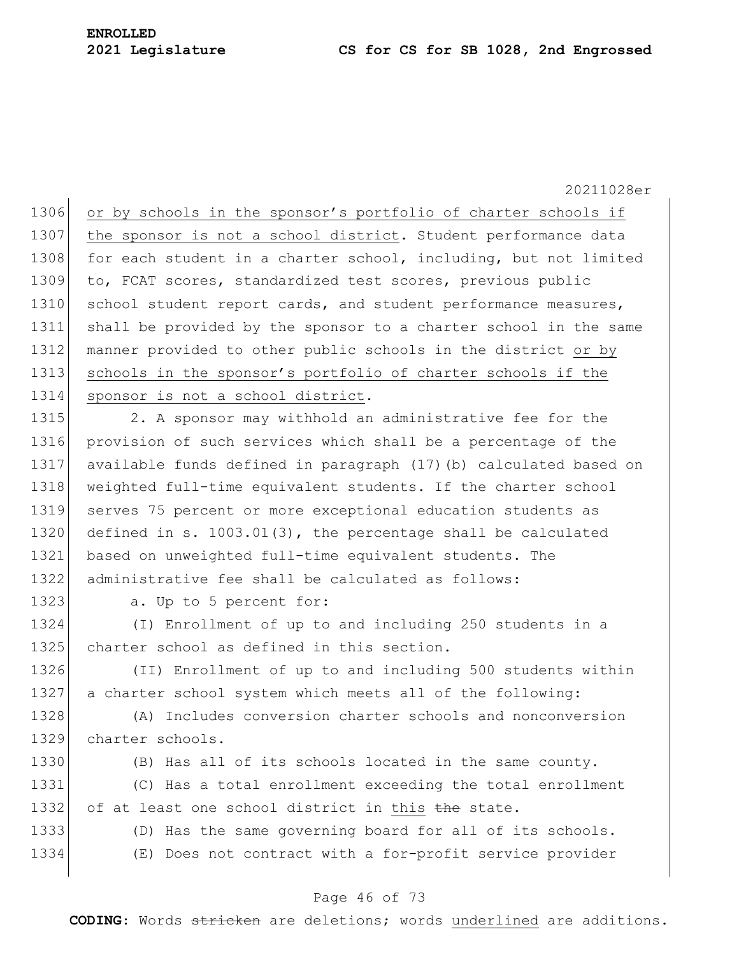1306 or by schools in the sponsor's portfolio of charter schools if 1307 the sponsor is not a school district. Student performance data 1308 for each student in a charter school, including, but not limited 1309 to, FCAT scores, standardized test scores, previous public 1310 school student report cards, and student performance measures, 1311 shall be provided by the sponsor to a charter school in the same 1312 manner provided to other public schools in the district or by 1313 schools in the sponsor's portfolio of charter schools if the 1314 sponsor is not a school district.

1315 2. A sponsor may withhold an administrative fee for the provision of such services which shall be a percentage of the available funds defined in paragraph (17)(b) calculated based on weighted full-time equivalent students. If the charter school serves 75 percent or more exceptional education students as defined in s. 1003.01(3), the percentage shall be calculated based on unweighted full-time equivalent students. The administrative fee shall be calculated as follows:

1323 a. Up to 5 percent for:

1324 (I) Enrollment of up to and including 250 students in a 1325 charter school as defined in this section.

1326 (II) Enrollment of up to and including 500 students within 1327 a charter school system which meets all of the following:

1328 (A) Includes conversion charter schools and nonconversion 1329 charter schools.

1330 (B) Has all of its schools located in the same county. 1331 (C) Has a total enrollment exceeding the total enrollment 1332 of at least one school district in this the state.

1333 (D) Has the same governing board for all of its schools. 1334 (E) Does not contract with a for-profit service provider

## Page 46 of 73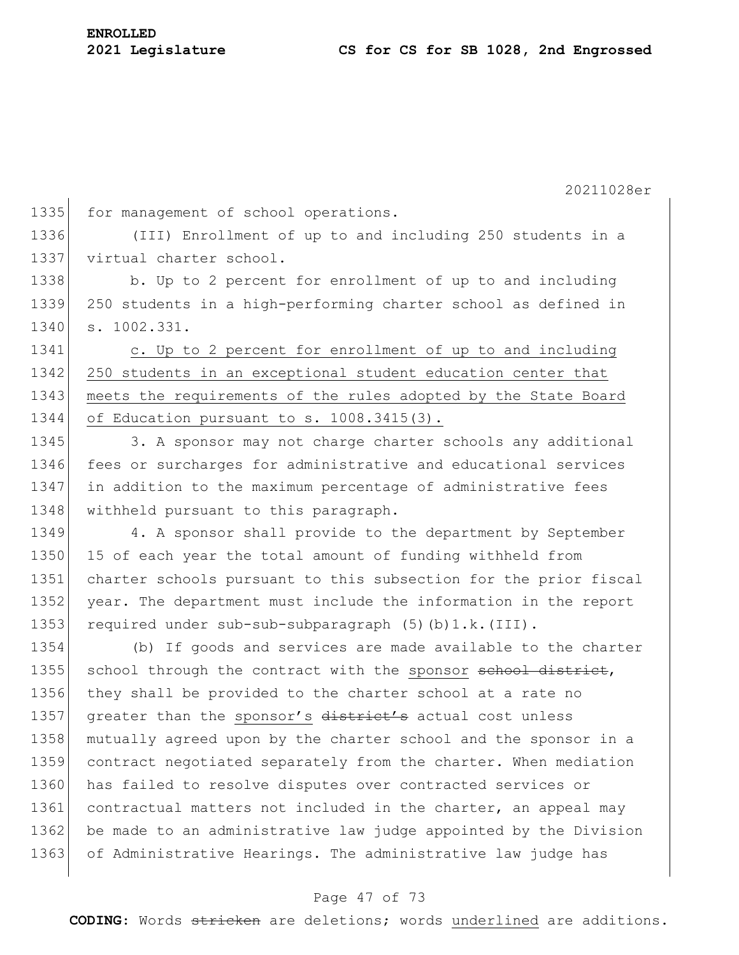20211028er 1335 for management of school operations. 1336 (III) Enrollment of up to and including 250 students in a 1337 virtual charter school. 1338 b. Up to 2 percent for enrollment of up to and including 1339 250 students in a high-performing charter school as defined in 1340 s. 1002.331. 1341 c. Up to 2 percent for enrollment of up to and including 1342 250 students in an exceptional student education center that 1343 meets the requirements of the rules adopted by the State Board 1344 of Education pursuant to s. 1008.3415(3). 1345 3. A sponsor may not charge charter schools any additional 1346 fees or surcharges for administrative and educational services 1347 in addition to the maximum percentage of administrative fees 1348 withheld pursuant to this paragraph. 1349 4. A sponsor shall provide to the department by September 1350 15 of each year the total amount of funding withheld from 1351 charter schools pursuant to this subsection for the prior fiscal 1352 year. The department must include the information in the report 1353 required under sub-sub-subparagraph (5)(b)1.k.(III). 1354 (b) If goods and services are made available to the charter 1355 school through the contract with the sponsor school district, 1356 they shall be provided to the charter school at a rate no 1357 greater than the sponsor's district's actual cost unless 1358 mutually agreed upon by the charter school and the sponsor in a 1359 contract negotiated separately from the charter. When mediation 1360 has failed to resolve disputes over contracted services or 1361 contractual matters not included in the charter, an appeal may 1362 be made to an administrative law judge appointed by the Division 1363 of Administrative Hearings. The administrative law judge has

## Page 47 of 73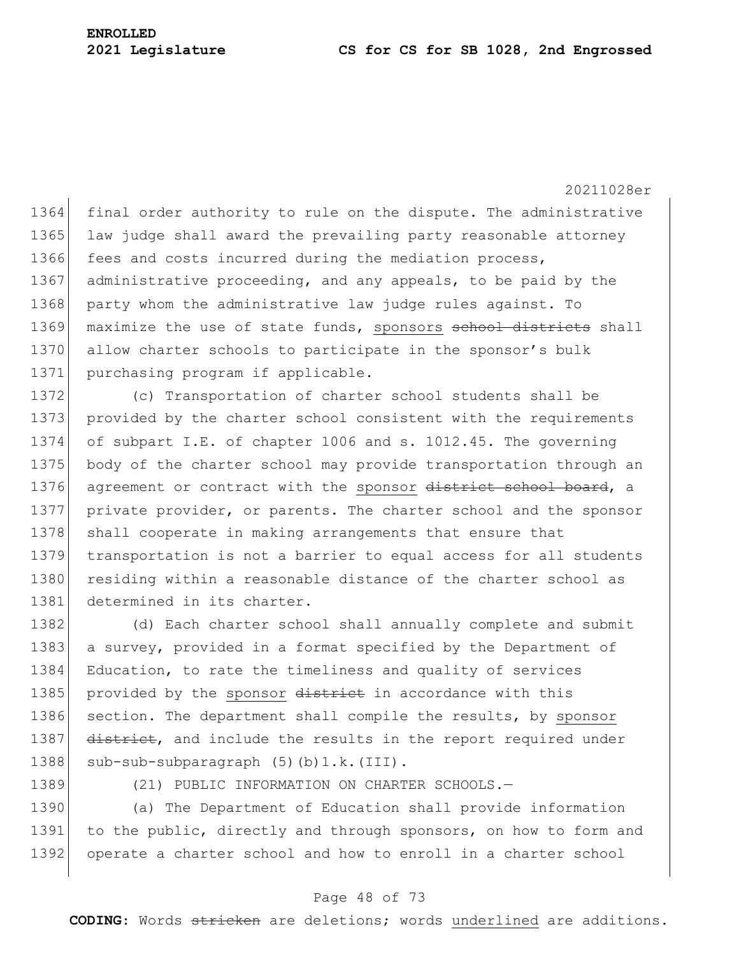1364 final order authority to rule on the dispute. The administrative 1365 law judge shall award the prevailing party reasonable attorney 1366 fees and costs incurred during the mediation process, 1367 administrative proceeding, and any appeals, to be paid by the 1368 party whom the administrative law judge rules against. To 1369 maximize the use of state funds, sponsors school districts shall 1370 allow charter schools to participate in the sponsor's bulk 1371 purchasing program if applicable.

1372 (c) Transportation of charter school students shall be 1373 provided by the charter school consistent with the requirements 1374 of subpart I.E. of chapter 1006 and s. 1012.45. The governing 1375 body of the charter school may provide transportation through an 1376 agreement or contract with the sponsor district school board, a 1377 private provider, or parents. The charter school and the sponsor 1378 shall cooperate in making arrangements that ensure that 1379 transportation is not a barrier to equal access for all students 1380 residing within a reasonable distance of the charter school as 1381 determined in its charter.

1382 (d) Each charter school shall annually complete and submit 1383 a survey, provided in a format specified by the Department of 1384 Education, to rate the timeliness and quality of services 1385 provided by the sponsor district in accordance with this 1386 section. The department shall compile the results, by sponsor 1387 district, and include the results in the report required under 1388 sub-sub-subparagraph (5)(b)1.k.(III).

1389 (21) PUBLIC INFORMATION ON CHARTER SCHOOLS.

1390 (a) The Department of Education shall provide information 1391 to the public, directly and through sponsors, on how to form and 1392 operate a charter school and how to enroll in a charter school

## Page 48 of 73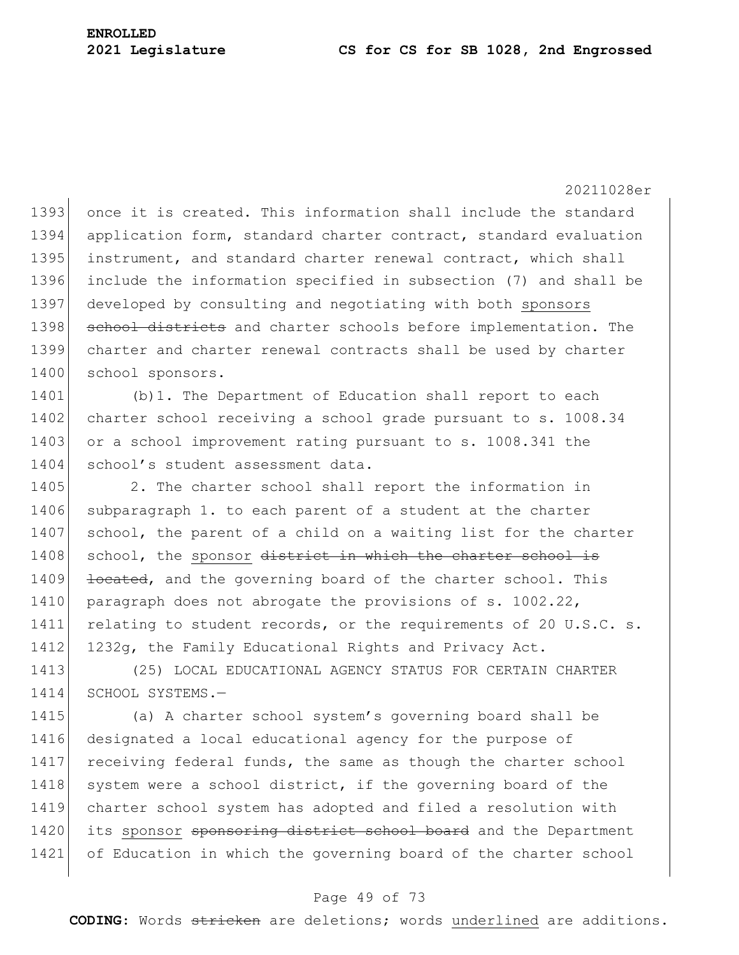1393 once it is created. This information shall include the standard 1394 application form, standard charter contract, standard evaluation 1395 instrument, and standard charter renewal contract, which shall 1396 include the information specified in subsection (7) and shall be 1397 developed by consulting and negotiating with both sponsors 1398 school districts and charter schools before implementation. The 1399 charter and charter renewal contracts shall be used by charter 1400 school sponsors.

1401 (b)1. The Department of Education shall report to each 1402 charter school receiving a school grade pursuant to s. 1008.34 1403 or a school improvement rating pursuant to s. 1008.341 the 1404 school's student assessment data.

1405 2. The charter school shall report the information in 1406 subparagraph 1. to each parent of a student at the charter 1407 school, the parent of a child on a waiting list for the charter 1408 school, the sponsor district in which the charter school is 1409 <del>located</del>, and the governing board of the charter school. This 1410 paragraph does not abrogate the provisions of s. 1002.22, 1411 relating to student records, or the requirements of 20 U.S.C. s. 1412 1232g, the Family Educational Rights and Privacy Act.

1413 (25) LOCAL EDUCATIONAL AGENCY STATUS FOR CERTAIN CHARTER 1414 SCHOOL SYSTEMS.—

1415 (a) A charter school system's governing board shall be 1416 designated a local educational agency for the purpose of 1417 receiving federal funds, the same as though the charter school 1418 system were a school district, if the governing board of the 1419 charter school system has adopted and filed a resolution with 1420 its sponsor sponsoring district school board and the Department 1421 of Education in which the governing board of the charter school

## Page 49 of 73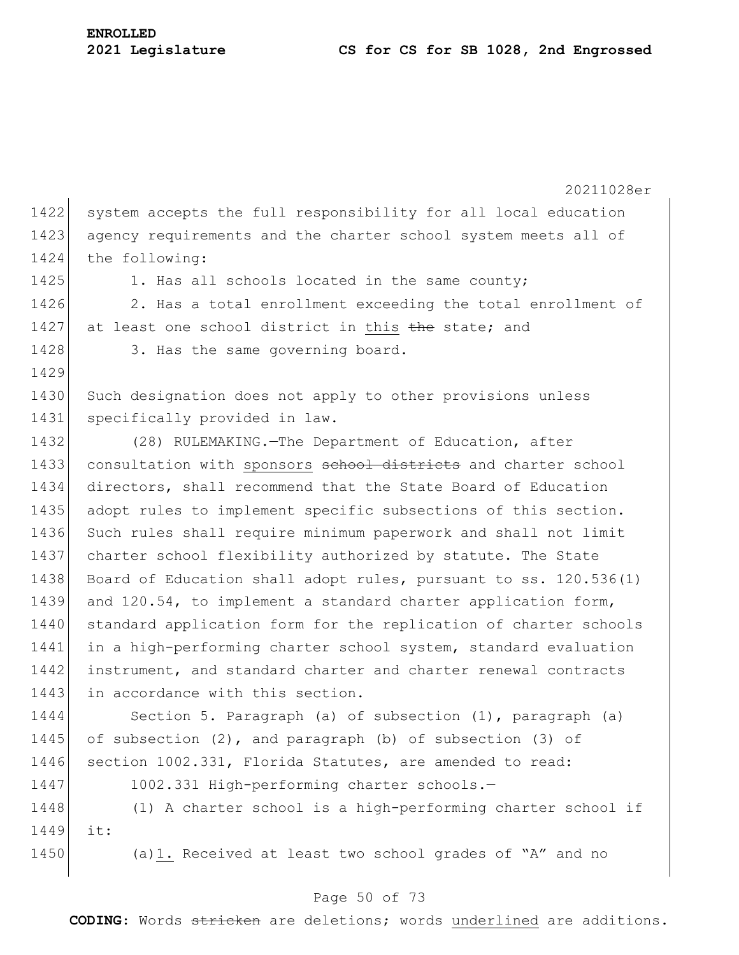20211028er 1422 system accepts the full responsibility for all local education 1423 agency requirements and the charter school system meets all of 1424 the following: 1425 1. Has all schools located in the same county; 1426 2. Has a total enrollment exceeding the total enrollment of 1427 at least one school district in this the state; and 1428 3. Has the same governing board. 1429 1430 Such designation does not apply to other provisions unless 1431 specifically provided in law. 1432 (28) RULEMAKING. The Department of Education, after 1433 consultation with sponsors school districts and charter school 1434 directors, shall recommend that the State Board of Education 1435 adopt rules to implement specific subsections of this section. 1436 Such rules shall require minimum paperwork and shall not limit 1437 charter school flexibility authorized by statute. The State 1438 Board of Education shall adopt rules, pursuant to ss. 120.536(1) 1439 and 120.54, to implement a standard charter application form, 1440 standard application form for the replication of charter schools 1441 in a high-performing charter school system, standard evaluation 1442 instrument, and standard charter and charter renewal contracts 1443 in accordance with this section. 1444 Section 5. Paragraph (a) of subsection (1), paragraph (a) 1445 of subsection (2), and paragraph (b) of subsection (3) of 1446 section 1002.331, Florida Statutes, are amended to read: 1447 1002.331 High-performing charter schools.— 1448 (1) A charter school is a high-performing charter school if 1449 it: 1450 (a)1. Received at least two school grades of "A" and no

## Page 50 of 73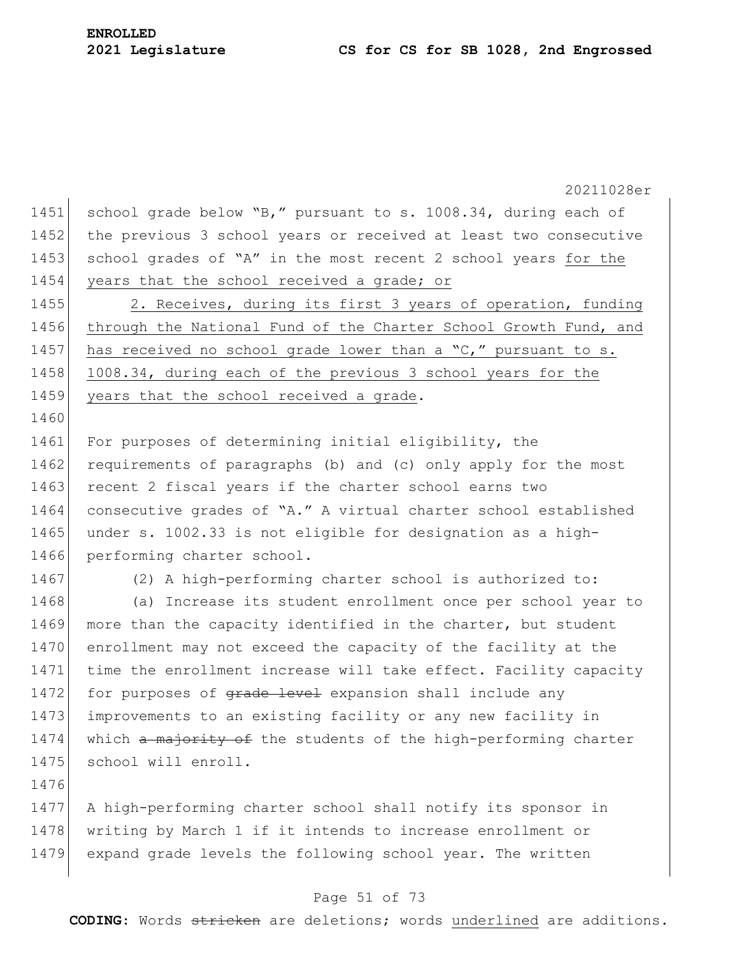20211028er 1451 school grade below "B," pursuant to s. 1008.34, during each of 1452 the previous 3 school years or received at least two consecutive 1453 school grades of "A" in the most recent 2 school years for the 1454 years that the school received a grade; or 1455 2. Receives, during its first 3 years of operation, funding 1456 through the National Fund of the Charter School Growth Fund, and 1457 has received no school grade lower than a "C," pursuant to s. 1458 1008.34, during each of the previous 3 school years for the 1459 years that the school received a grade. 1460 1461 For purposes of determining initial eligibility, the 1462 requirements of paragraphs (b) and (c) only apply for the most 1463 recent 2 fiscal years if the charter school earns two 1464 consecutive grades of "A." A virtual charter school established 1465 under s. 1002.33 is not eligible for designation as a high-1466 performing charter school. 1467 (2) A high-performing charter school is authorized to: 1468 (a) Increase its student enrollment once per school year to 1469 more than the capacity identified in the charter, but student 1470 enrollment may not exceed the capacity of the facility at the 1471 time the enrollment increase will take effect. Facility capacity 1472 for purposes of  $\frac{1}{4}$  expansion shall include any 1473 improvements to an existing facility or any new facility in 1474 which a majority of the students of the high-performing charter 1475 school will enroll. 1476 1477 A high-performing charter school shall notify its sponsor in 1478 writing by March 1 if it intends to increase enrollment or 1479 expand grade levels the following school year. The written

# Page 51 of 73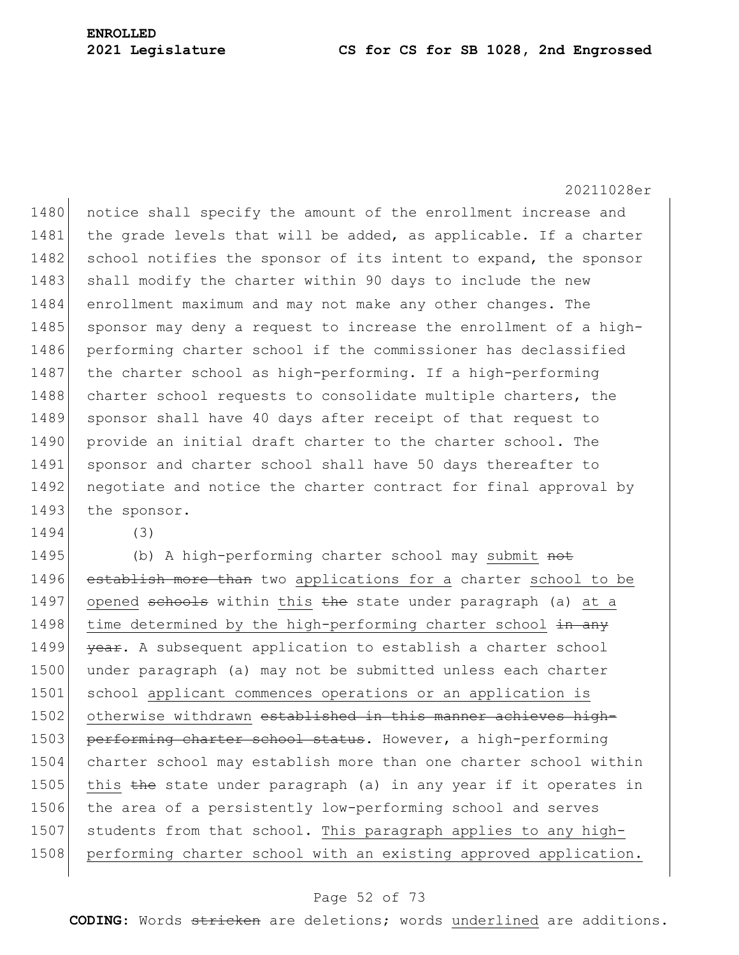20211028er 1480 notice shall specify the amount of the enrollment increase and 1481 the grade levels that will be added, as applicable. If a charter 1482 school notifies the sponsor of its intent to expand, the sponsor 1483 shall modify the charter within 90 days to include the new 1484 enrollment maximum and may not make any other changes. The 1485 sponsor may deny a request to increase the enrollment of a high-1486 performing charter school if the commissioner has declassified 1487 the charter school as high-performing. If a high-performing 1488 charter school requests to consolidate multiple charters, the 1489 sponsor shall have 40 days after receipt of that request to 1490 provide an initial draft charter to the charter school. The 1491 sponsor and charter school shall have 50 days thereafter to 1492 negotiate and notice the charter contract for final approval by 1493 the sponsor.

1494 (3)

1495 (b) A high-performing charter school may submit not 1496 establish more than two applications for a charter school to be 1497 opened schools within this the state under paragraph (a) at a 1498 time determined by the high-performing charter school in any 1499 <del>year</del>. A subsequent application to establish a charter school 1500 under paragraph (a) may not be submitted unless each charter 1501 school applicant commences operations or an application is 1502 otherwise withdrawn established in this manner achieves high-1503 performing charter school status. However, a high-performing 1504 charter school may establish more than one charter school within 1505 this the state under paragraph (a) in any year if it operates in 1506 the area of a persistently low-performing school and serves 1507 students from that school. This paragraph applies to any high-1508 performing charter school with an existing approved application.

## Page 52 of 73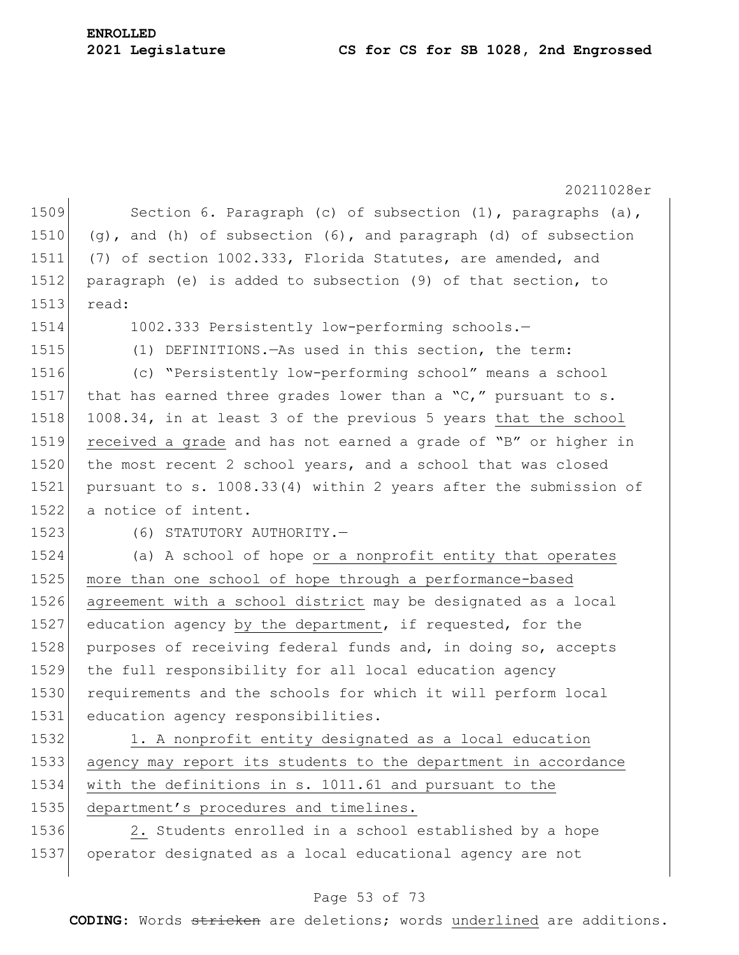|      | 20211028er                                                         |
|------|--------------------------------------------------------------------|
| 1509 | Section 6. Paragraph (c) of subsection $(1)$ , paragraphs $(a)$ ,  |
| 1510 | $(q)$ , and (h) of subsection (6), and paragraph (d) of subsection |
| 1511 | (7) of section 1002.333, Florida Statutes, are amended, and        |
| 1512 | paragraph (e) is added to subsection (9) of that section, to       |
| 1513 | read:                                                              |
| 1514 | 1002.333 Persistently low-performing schools.-                     |
| 1515 | (1) DEFINITIONS. - As used in this section, the term:              |
| 1516 | (c) "Persistently low-performing school" means a school            |
| 1517 | that has earned three grades lower than a "C," pursuant to s.      |
| 1518 | 1008.34, in at least 3 of the previous 5 years that the school     |
| 1519 | received a grade and has not earned a grade of "B" or higher in    |
| 1520 | the most recent 2 school years, and a school that was closed       |
| 1521 | pursuant to s. 1008.33(4) within 2 years after the submission of   |
| 1522 | a notice of intent.                                                |
| 1523 | (6) STATUTORY AUTHORITY.-                                          |
| 1524 | (a) A school of hope or a nonprofit entity that operates           |
| 1525 | more than one school of hope through a performance-based           |
| 1526 | agreement with a school district may be designated as a local      |
| 1527 | education agency by the department, if requested, for the          |
| 1528 | purposes of receiving federal funds and, in doing so, accepts      |
| 1529 | the full responsibility for all local education agency             |
| 1530 | requirements and the schools for which it will perform local       |
| 1531 | education agency responsibilities.                                 |
| 1532 | 1. A nonprofit entity designated as a local education              |
| 1533 | agency may report its students to the department in accordance     |
| 1534 | with the definitions in s. 1011.61 and pursuant to the             |
| 1535 | department's procedures and timelines.                             |
| 1536 | 2. Students enrolled in a school established by a hope             |
| 1537 | operator designated as a local educational agency are not          |

# Page 53 of 73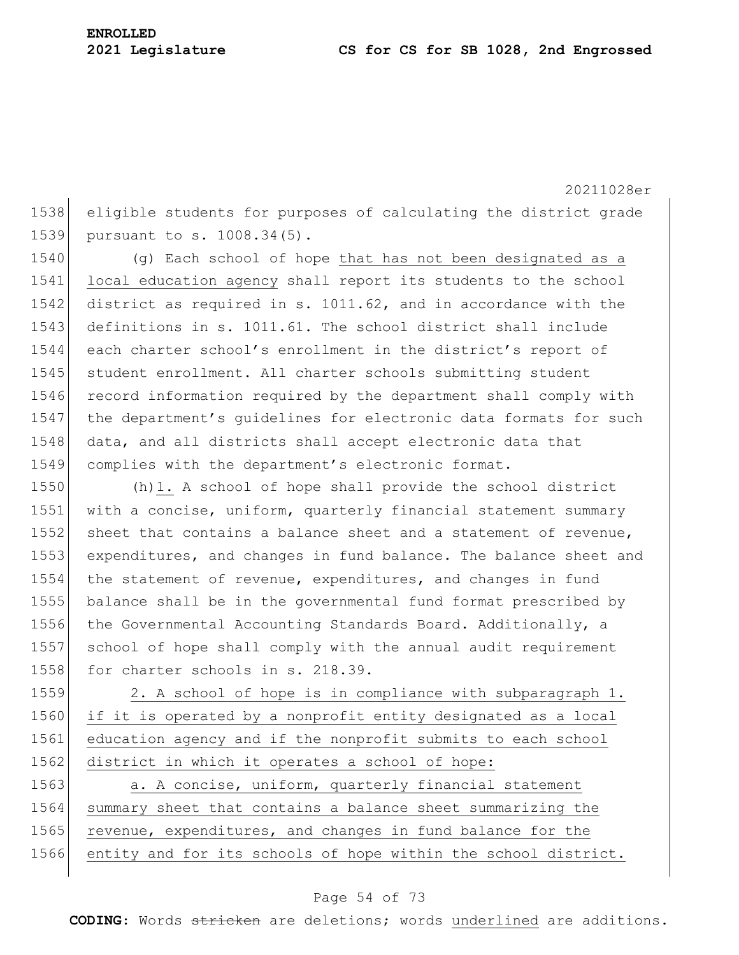1538 eligible students for purposes of calculating the district grade 1539 pursuant to s. 1008.34(5).

1540 (g) Each school of hope that has not been designated as a 1541 local education agency shall report its students to the school 1542 district as required in s. 1011.62, and in accordance with the 1543 definitions in s. 1011.61. The school district shall include 1544 each charter school's enrollment in the district's report of 1545 student enrollment. All charter schools submitting student 1546 record information required by the department shall comply with 1547 the department's quidelines for electronic data formats for such 1548 data, and all districts shall accept electronic data that 1549 complies with the department's electronic format.

1550 (h)1. A school of hope shall provide the school district 1551 with a concise, uniform, quarterly financial statement summary 1552 sheet that contains a balance sheet and a statement of revenue, 1553 expenditures, and changes in fund balance. The balance sheet and 1554 the statement of revenue, expenditures, and changes in fund 1555 balance shall be in the governmental fund format prescribed by 1556 the Governmental Accounting Standards Board. Additionally, a 1557 school of hope shall comply with the annual audit requirement 1558 for charter schools in s. 218.39.

 2. A school of hope is in compliance with subparagraph 1. if it is operated by a nonprofit entity designated as a local education agency and if the nonprofit submits to each school 1562 district in which it operates a school of hope:

1563 a. A concise, uniform, quarterly financial statement 1564 summary sheet that contains a balance sheet summarizing the 1565 revenue, expenditures, and changes in fund balance for the 1566 entity and for its schools of hope within the school district.

## Page 54 of 73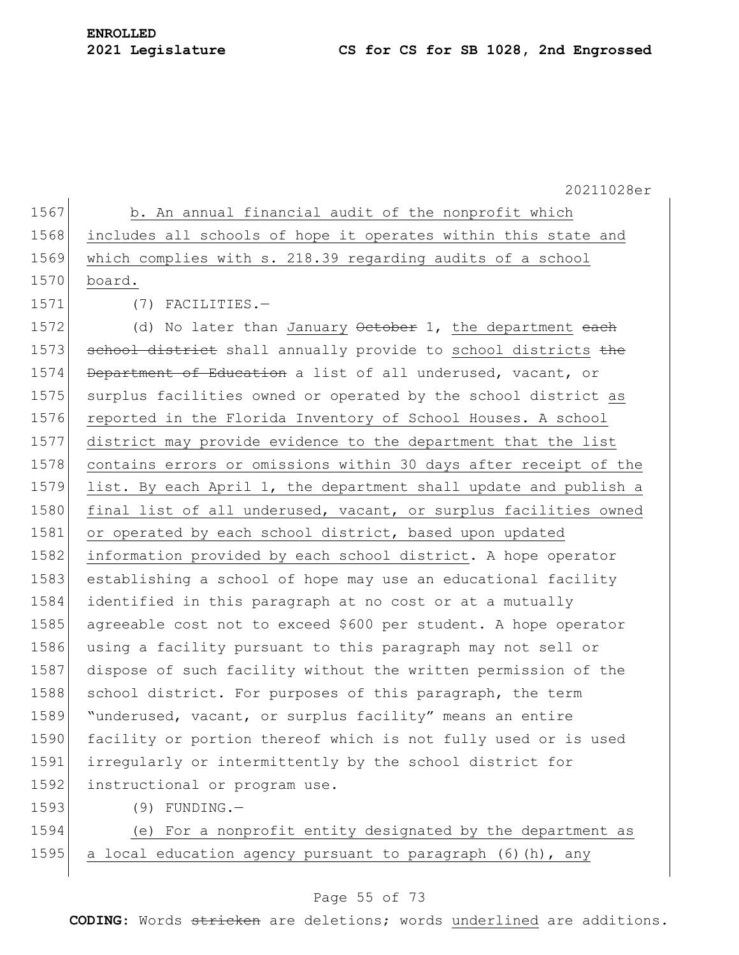| 1567 | b. An annual financial audit of the nonprofit which                 |
|------|---------------------------------------------------------------------|
|      | 1568 includes all schools of hope it operates within this state and |
|      | 1569 which complies with s. 218.39 regarding audits of a school     |
|      | 1570 board.                                                         |
|      |                                                                     |

1571 (7) FACILITIES.—

1572 (d) No later than January October 1, the department each 1573 school district shall annually provide to school districts the 1574 Department of Education a list of all underused, vacant, or 1575 surplus facilities owned or operated by the school district as 1576 reported in the Florida Inventory of School Houses. A school 1577 district may provide evidence to the department that the list 1578 contains errors or omissions within 30 days after receipt of the 1579 list. By each April 1, the department shall update and publish a 1580 final list of all underused, vacant, or surplus facilities owned 1581 or operated by each school district, based upon updated 1582 information provided by each school district. A hope operator 1583 establishing a school of hope may use an educational facility 1584 identified in this paragraph at no cost or at a mutually 1585 agreeable cost not to exceed \$600 per student. A hope operator 1586 using a facility pursuant to this paragraph may not sell or 1587 dispose of such facility without the written permission of the 1588 school district. For purposes of this paragraph, the term 1589 "underused, vacant, or surplus facility" means an entire 1590 facility or portion thereof which is not fully used or is used 1591 irregularly or intermittently by the school district for 1592 instructional or program use.

1593 (9) FUNDING.

1594 (e) For a nonprofit entity designated by the department as 1595 a local education agency pursuant to paragraph  $(6)$  (h), any

# Page 55 of 73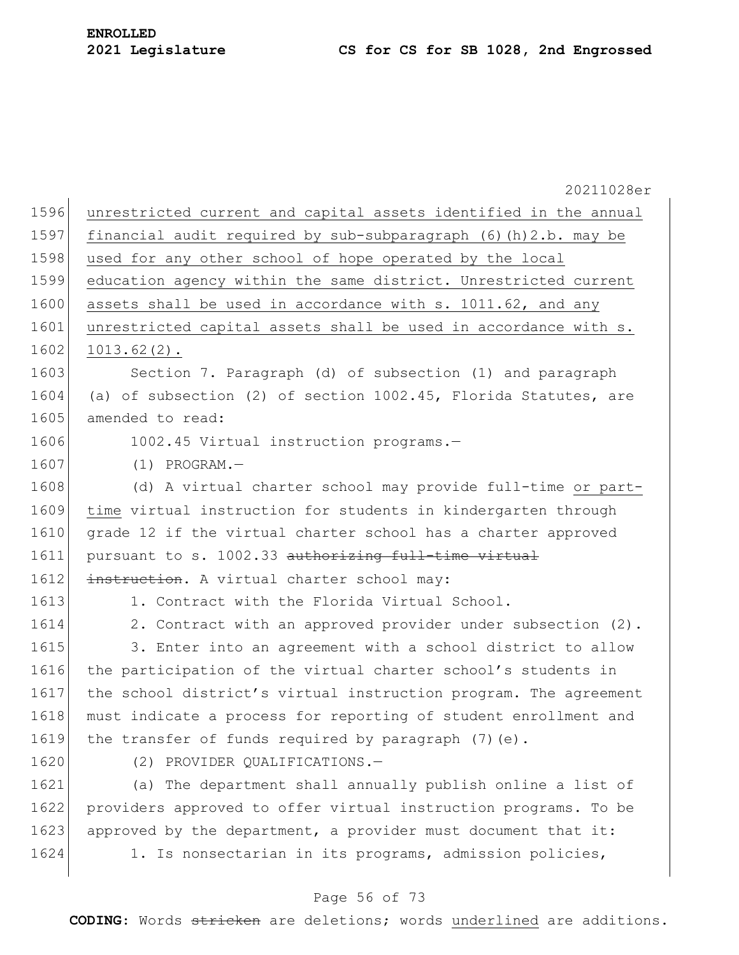|      | 20211028er                                                       |
|------|------------------------------------------------------------------|
| 1596 | unrestricted current and capital assets identified in the annual |
| 1597 | financial audit required by sub-subparagraph (6) (h) 2.b. may be |
| 1598 | used for any other school of hope operated by the local          |
| 1599 | education agency within the same district. Unrestricted current  |
| 1600 | assets shall be used in accordance with s. 1011.62, and any      |
| 1601 | unrestricted capital assets shall be used in accordance with s.  |
| 1602 | $1013.62(2)$ .                                                   |
| 1603 | Section 7. Paragraph (d) of subsection (1) and paragraph         |
| 1604 | (a) of subsection (2) of section 1002.45, Florida Statutes, are  |
| 1605 | amended to read:                                                 |
| 1606 | 1002.45 Virtual instruction programs.-                           |
| 1607 | $(1)$ PROGRAM.-                                                  |
| 1608 | (d) A virtual charter school may provide full-time or part-      |
| 1609 | time virtual instruction for students in kindergarten through    |
| 1610 | grade 12 if the virtual charter school has a charter approved    |
| 1611 | pursuant to s. 1002.33 authorizing full-time virtual             |
| 1612 | instruction. A virtual charter school may:                       |
| 1613 | 1. Contract with the Florida Virtual School.                     |
| 1614 | 2. Contract with an approved provider under subsection (2).      |
| 1615 | 3. Enter into an agreement with a school district to allow       |
| 1616 | the participation of the virtual charter school's students in    |
| 1617 | the school district's virtual instruction program. The agreement |
| 1618 | must indicate a process for reporting of student enrollment and  |
| 1619 | the transfer of funds required by paragraph (7) (e).             |
| 1620 | (2) PROVIDER QUALIFICATIONS.-                                    |
| 1621 | (a) The department shall annually publish online a list of       |
| 1622 | providers approved to offer virtual instruction programs. To be  |
| 1623 | approved by the department, a provider must document that it:    |
| 1624 | 1. Is nonsectarian in its programs, admission policies,          |
|      |                                                                  |

# Page 56 of 73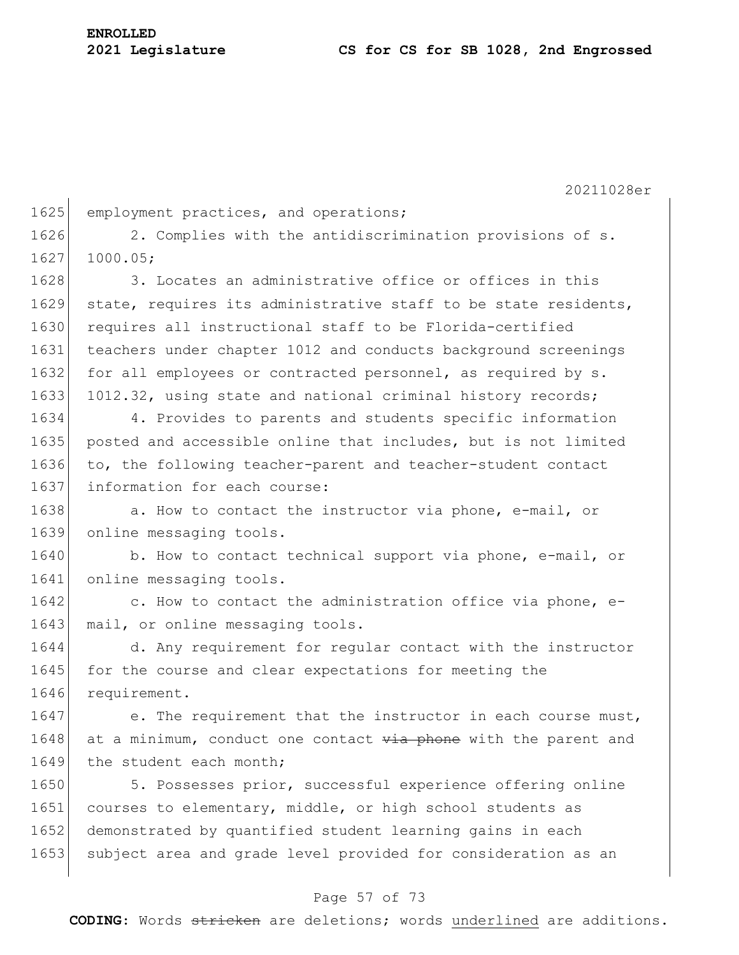20211028er 1625 employment practices, and operations; 1626 2. Complies with the antidiscrimination provisions of s. 1627 1000.05; 1628 3. Locates an administrative office or offices in this 1629 state, requires its administrative staff to be state residents, 1630 requires all instructional staff to be Florida-certified 1631 teachers under chapter 1012 and conducts background screenings 1632 for all employees or contracted personnel, as required by s. 1633 1012.32, using state and national criminal history records; 1634 4. Provides to parents and students specific information 1635 posted and accessible online that includes, but is not limited 1636 to, the following teacher-parent and teacher-student contact 1637 information for each course: 1638 a. How to contact the instructor via phone, e-mail, or 1639 online messaging tools. 1640 b. How to contact technical support via phone, e-mail, or 1641 online messaging tools. 1642 c. How to contact the administration office via phone, e-1643 mail, or online messaging tools. 1644 d. Any requirement for regular contact with the instructor 1645 for the course and clear expectations for meeting the 1646 requirement. 1647 e. The requirement that the instructor in each course must, 1648 at a minimum, conduct one contact  $\frac{1}{4}$  where with the parent and 1649 the student each month: 1650 5. Possesses prior, successful experience offering online 1651 courses to elementary, middle, or high school students as 1652 demonstrated by quantified student learning gains in each 1653 subject area and grade level provided for consideration as an

## Page 57 of 73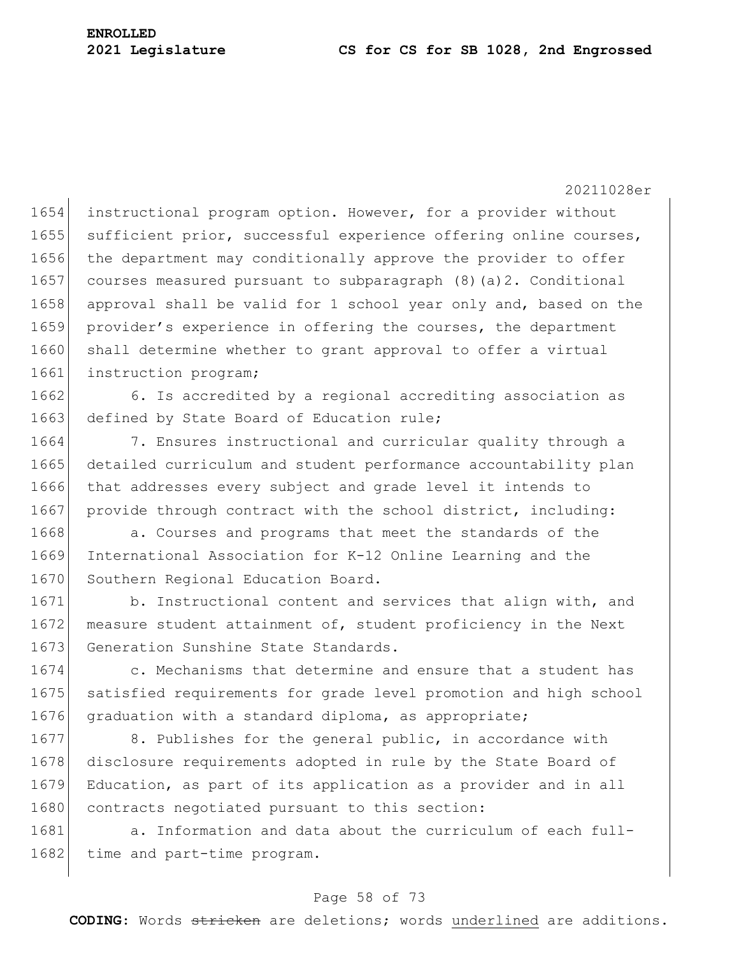1654 instructional program option. However, for a provider without 1655 sufficient prior, successful experience offering online courses, 1656 the department may conditionally approve the provider to offer 1657 courses measured pursuant to subparagraph (8)(a)2. Conditional 1658 approval shall be valid for 1 school year only and, based on the 1659 provider's experience in offering the courses, the department 1660 shall determine whether to grant approval to offer a virtual 1661 instruction program;

1662 6. Is accredited by a regional accrediting association as 1663 defined by State Board of Education rule;

 7. Ensures instructional and curricular quality through a detailed curriculum and student performance accountability plan that addresses every subject and grade level it intends to 1667 provide through contract with the school district, including:

1668 a. Courses and programs that meet the standards of the 1669 International Association for K-12 Online Learning and the 1670 Southern Regional Education Board.

1671 b. Instructional content and services that align with, and 1672 measure student attainment of, student proficiency in the Next 1673 Generation Sunshine State Standards.

1674 c. Mechanisms that determine and ensure that a student has 1675 satisfied requirements for grade level promotion and high school 1676 graduation with a standard diploma, as appropriate;

1677 8. Publishes for the general public, in accordance with 1678 disclosure requirements adopted in rule by the State Board of 1679 Education, as part of its application as a provider and in all 1680 contracts negotiated pursuant to this section:

1681 a. Information and data about the curriculum of each full-1682 time and part-time program.

### Page 58 of 73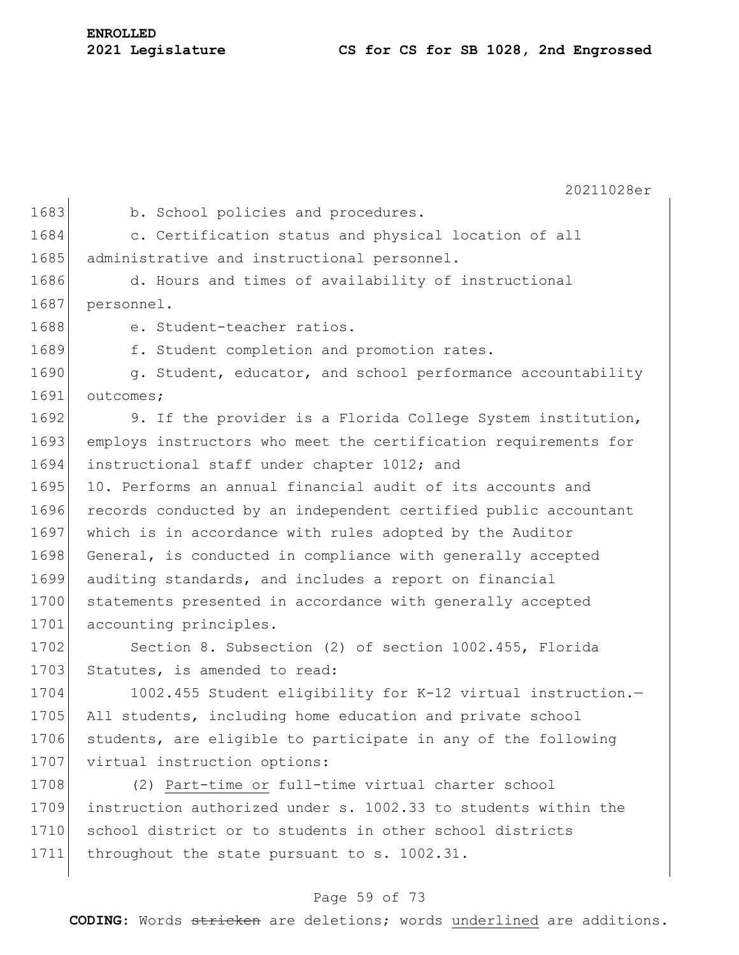| <b>ENROLLED</b> |                  |
|-----------------|------------------|
|                 | 2021 Legislature |

20211028er 1683 b. School policies and procedures. 1684 c. Certification status and physical location of all 1685 administrative and instructional personnel. 1686 d. Hours and times of availability of instructional 1687 personnel. 1688 e. Student-teacher ratios. 1689 f. Student completion and promotion rates. 1690 g. Student, educator, and school performance accountability 1691 outcomes; 1692 9. If the provider is a Florida College System institution, 1693 employs instructors who meet the certification requirements for 1694 instructional staff under chapter 1012; and 1695 10. Performs an annual financial audit of its accounts and 1696 records conducted by an independent certified public accountant 1697 which is in accordance with rules adopted by the Auditor 1698 General, is conducted in compliance with generally accepted 1699 auditing standards, and includes a report on financial 1700 statements presented in accordance with generally accepted 1701 accounting principles. 1702 Section 8. Subsection (2) of section 1002.455, Florida 1703 Statutes, is amended to read: 1704 1002.455 Student eligibility for K-12 virtual instruction.-1705 All students, including home education and private school 1706 students, are eligible to participate in any of the following 1707 virtual instruction options: 1708 (2) Part-time or full-time virtual charter school 1709 instruction authorized under s. 1002.33 to students within the 1710 school district or to students in other school districts 1711 throughout the state pursuant to s. 1002.31.

## Page 59 of 73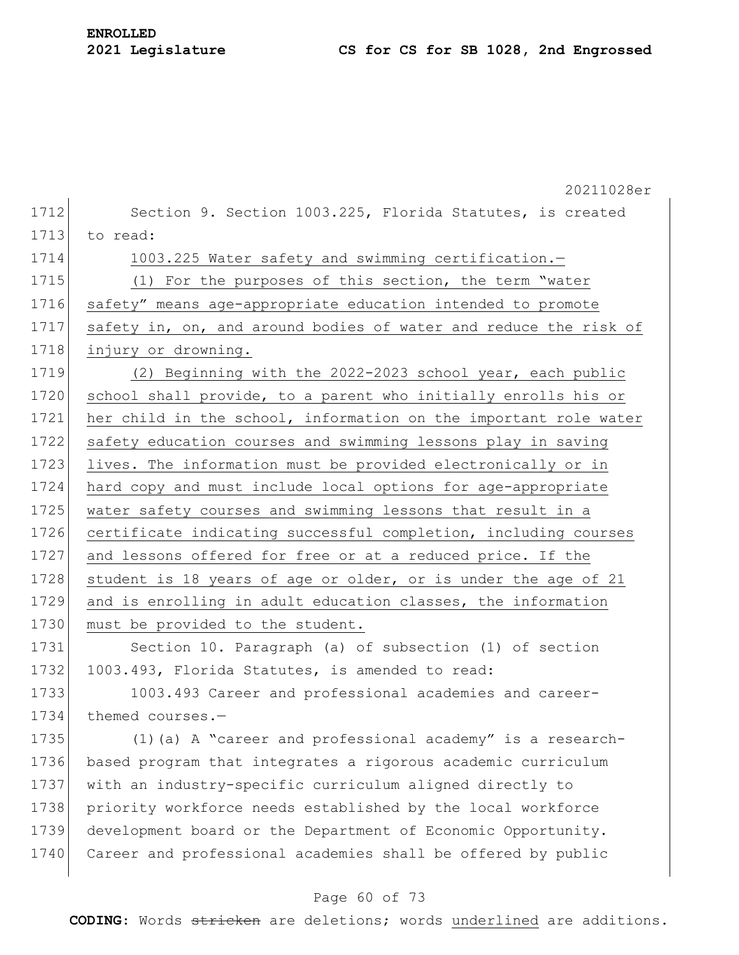|      | 20211028er                                                       |
|------|------------------------------------------------------------------|
| 1712 | Section 9. Section 1003.225, Florida Statutes, is created        |
| 1713 | to read:                                                         |
| 1714 | 1003.225 Water safety and swimming certification.-               |
| 1715 | (1) For the purposes of this section, the term "water            |
| 1716 | safety" means age-appropriate education intended to promote      |
| 1717 | safety in, on, and around bodies of water and reduce the risk of |
| 1718 | injury or drowning.                                              |
| 1719 | (2) Beginning with the 2022-2023 school year, each public        |
| 1720 | school shall provide, to a parent who initially enrolls his or   |
| 1721 | her child in the school, information on the important role water |
| 1722 | safety education courses and swimming lessons play in saving     |
| 1723 | lives. The information must be provided electronically or in     |
| 1724 | hard copy and must include local options for age-appropriate     |
| 1725 | water safety courses and swimming lessons that result in a       |
| 1726 | certificate indicating successful completion, including courses  |
| 1727 | and lessons offered for free or at a reduced price. If the       |
| 1728 | student is 18 years of age or older, or is under the age of 21   |
| 1729 | and is enrolling in adult education classes, the information     |
| 1730 | must be provided to the student.                                 |
| 1731 | Section 10. Paragraph (a) of subsection (1) of section           |
| 1732 | 1003.493, Florida Statutes, is amended to read:                  |
| 1733 | 1003.493 Career and professional academies and career-           |
| 1734 | themed courses.-                                                 |
| 1735 | $(1)$ (a) A "career and professional academy" is a research-     |
| 1736 | based program that integrates a rigorous academic curriculum     |
| 1737 | with an industry-specific curriculum aligned directly to         |
| 1738 | priority workforce needs established by the local workforce      |
| 1739 | development board or the Department of Economic Opportunity.     |
| 1740 | Career and professional academies shall be offered by public     |
|      |                                                                  |
|      | 60.0572                                                          |

## Page 60 of 73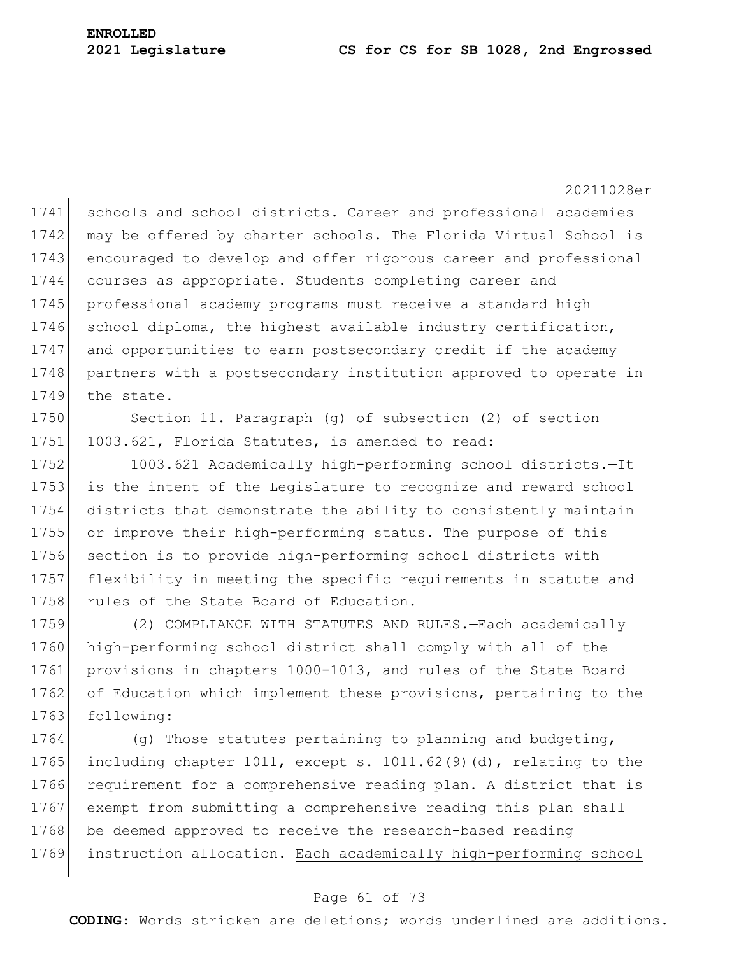20211028er 1741 schools and school districts. Career and professional academies 1742 may be offered by charter schools. The Florida Virtual School is 1743 encouraged to develop and offer rigorous career and professional 1744 courses as appropriate. Students completing career and 1745 professional academy programs must receive a standard high 1746 school diploma, the highest available industry certification, 1747 and opportunities to earn postsecondary credit if the academy 1748 partners with a postsecondary institution approved to operate in 1749 the state.

1750 Section 11. Paragraph (g) of subsection (2) of section 1751 1003.621, Florida Statutes, is amended to read:

 1003.621 Academically high-performing school districts.—It is the intent of the Legislature to recognize and reward school districts that demonstrate the ability to consistently maintain or improve their high-performing status. The purpose of this section is to provide high-performing school districts with flexibility in meeting the specific requirements in statute and 1758 rules of the State Board of Education.

1759 (2) COMPLIANCE WITH STATUTES AND RULES.—Each academically 1760 high-performing school district shall comply with all of the 1761 provisions in chapters 1000-1013, and rules of the State Board 1762 of Education which implement these provisions, pertaining to the 1763 following:

1764 (g) Those statutes pertaining to planning and budgeting, 1765 including chapter 1011, except s. 1011.62(9)(d), relating to the 1766 requirement for a comprehensive reading plan. A district that is 1767 exempt from submitting a comprehensive reading this plan shall 1768 be deemed approved to receive the research-based reading 1769 instruction allocation. Each academically high-performing school

### Page 61 of 73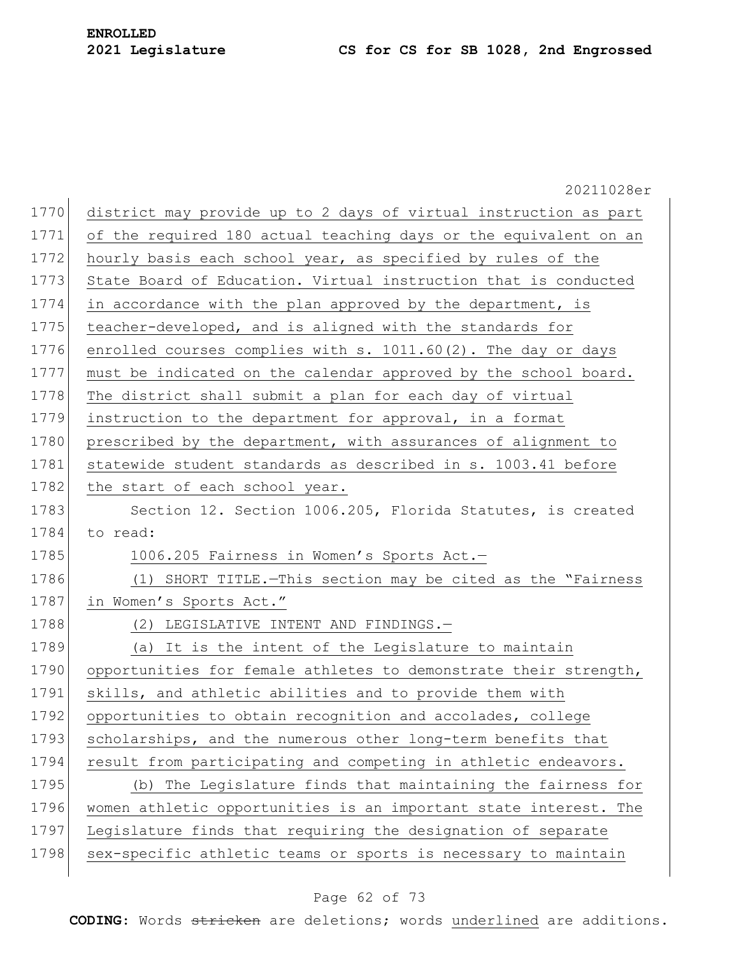|      | 20211028er                                                       |
|------|------------------------------------------------------------------|
| 1770 | district may provide up to 2 days of virtual instruction as part |
| 1771 | of the required 180 actual teaching days or the equivalent on an |
| 1772 | hourly basis each school year, as specified by rules of the      |
| 1773 | State Board of Education. Virtual instruction that is conducted  |
| 1774 | in accordance with the plan approved by the department, is       |
| 1775 | teacher-developed, and is aligned with the standards for         |
| 1776 | enrolled courses complies with s. 1011.60(2). The day or days    |
| 1777 | must be indicated on the calendar approved by the school board.  |
| 1778 | The district shall submit a plan for each day of virtual         |
| 1779 | instruction to the department for approval, in a format          |
| 1780 | prescribed by the department, with assurances of alignment to    |
| 1781 | statewide student standards as described in s. 1003.41 before    |
| 1782 | the start of each school year.                                   |
| 1783 | Section 12. Section 1006.205, Florida Statutes, is created       |
| 1784 | to read:                                                         |
| 1785 | 1006.205 Fairness in Women's Sports Act.-                        |
| 1786 | (1) SHORT TITLE. - This section may be cited as the "Fairness    |
| 1787 | in Women's Sports Act."                                          |
| 1788 | (2) LEGISLATIVE INTENT AND FINDINGS.-                            |
| 1789 | (a) It is the intent of the Legislature to maintain              |
| 1790 | opportunities for female athletes to demonstrate their strength, |
| 1791 | skills, and athletic abilities and to provide them with          |
| 1792 | opportunities to obtain recognition and accolades, college       |
| 1793 | scholarships, and the numerous other long-term benefits that     |
| 1794 | result from participating and competing in athletic endeavors.   |
| 1795 | (b) The Legislature finds that maintaining the fairness for      |
| 1796 | women athletic opportunities is an important state interest. The |
| 1797 | Legislature finds that requiring the designation of separate     |
| 1798 | sex-specific athletic teams or sports is necessary to maintain   |
|      |                                                                  |

# Page 62 of 73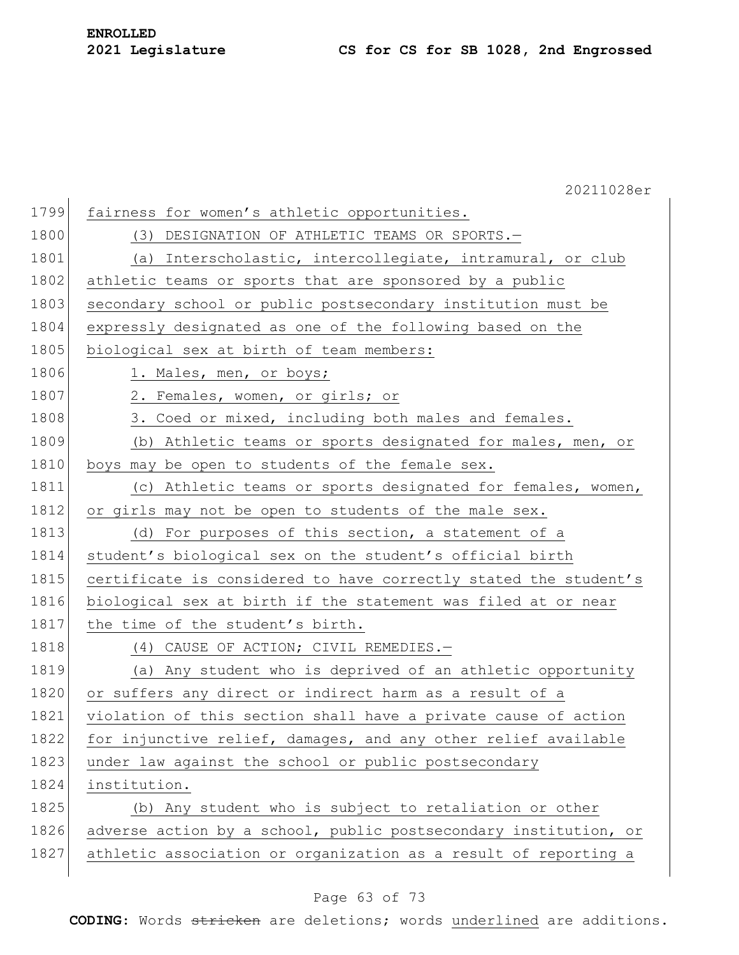|      | 20211028er                                                       |
|------|------------------------------------------------------------------|
| 1799 | fairness for women's athletic opportunities.                     |
| 1800 | (3) DESIGNATION OF ATHLETIC TEAMS OR SPORTS.-                    |
| 1801 | (a) Interscholastic, intercollegiate, intramural, or club        |
| 1802 | athletic teams or sports that are sponsored by a public          |
| 1803 | secondary school or public postsecondary institution must be     |
| 1804 | expressly designated as one of the following based on the        |
| 1805 | biological sex at birth of team members:                         |
| 1806 | 1. Males, men, or boys;                                          |
| 1807 | 2. Females, women, or girls; or                                  |
| 1808 | 3. Coed or mixed, including both males and females.              |
| 1809 | (b) Athletic teams or sports designated for males, men, or       |
| 1810 | boys may be open to students of the female sex.                  |
| 1811 | (c) Athletic teams or sports designated for females, women,      |
| 1812 | or girls may not be open to students of the male sex.            |
| 1813 | (d) For purposes of this section, a statement of a               |
| 1814 | student's biological sex on the student's official birth         |
| 1815 | certificate is considered to have correctly stated the student's |
| 1816 | biological sex at birth if the statement was filed at or near    |
| 1817 | the time of the student's birth.                                 |
| 1818 | (4) CAUSE OF ACTION; CIVIL REMEDIES.-                            |
| 1819 | (a) Any student who is deprived of an athletic opportunity       |
| 1820 | or suffers any direct or indirect harm as a result of a          |
| 1821 | violation of this section shall have a private cause of action   |
| 1822 | for injunctive relief, damages, and any other relief available   |
| 1823 | under law against the school or public postsecondary             |
| 1824 | institution.                                                     |
| 1825 | (b) Any student who is subject to retaliation or other           |
| 1826 | adverse action by a school, public postsecondary institution, or |
| 1827 | athletic association or organization as a result of reporting a  |

# Page 63 of 73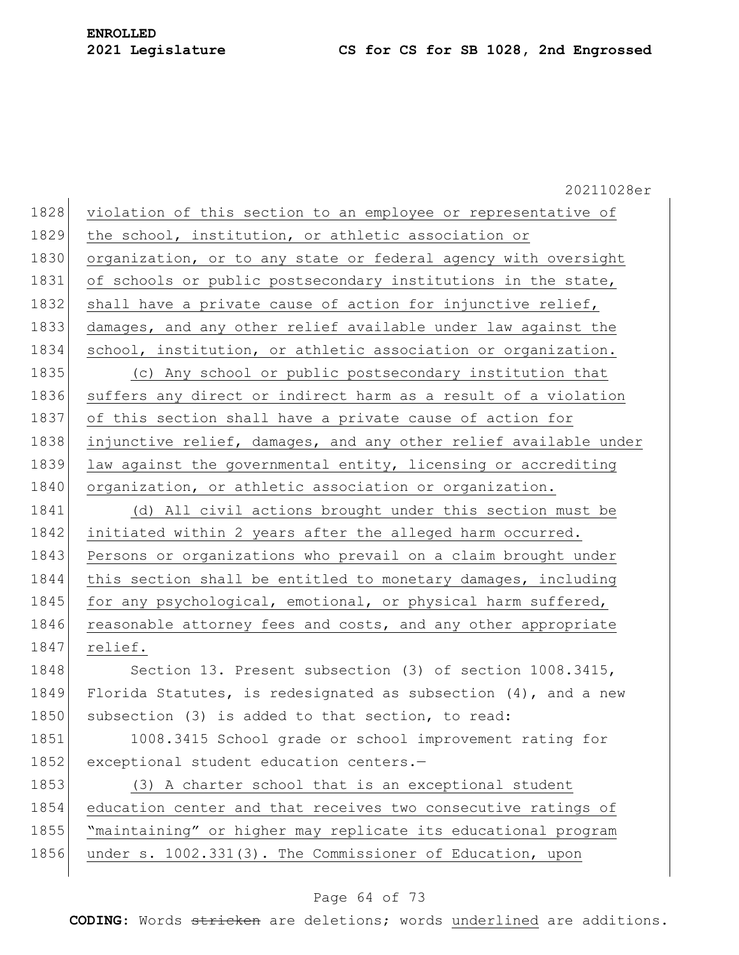|      | 20211028er                                                        |
|------|-------------------------------------------------------------------|
| 1828 | violation of this section to an employee or representative of     |
| 1829 | the school, institution, or athletic association or               |
| 1830 | organization, or to any state or federal agency with oversight    |
| 1831 | of schools or public postsecondary institutions in the state,     |
| 1832 | shall have a private cause of action for injunctive relief,       |
| 1833 | damages, and any other relief available under law against the     |
| 1834 | school, institution, or athletic association or organization.     |
| 1835 | (c) Any school or public postsecondary institution that           |
| 1836 | suffers any direct or indirect harm as a result of a violation    |
| 1837 | of this section shall have a private cause of action for          |
| 1838 | injunctive relief, damages, and any other relief available under  |
| 1839 | law against the governmental entity, licensing or accrediting     |
| 1840 | organization, or athletic association or organization.            |
| 1841 | (d) All civil actions brought under this section must be          |
| 1842 | initiated within 2 years after the alleged harm occurred.         |
| 1843 | Persons or organizations who prevail on a claim brought under     |
| 1844 | this section shall be entitled to monetary damages, including     |
| 1845 | for any psychological, emotional, or physical harm suffered,      |
| 1846 | reasonable attorney fees and costs, and any other appropriate     |
| 1847 | relief.                                                           |
| 1848 | Section 13. Present subsection (3) of section 1008.3415,          |
| 1849 | Florida Statutes, is redesignated as subsection $(4)$ , and a new |
| 1850 | subsection (3) is added to that section, to read:                 |
| 1851 | 1008.3415 School grade or school improvement rating for           |
| 1852 | exceptional student education centers.-                           |
| 1853 | (3) A charter school that is an exceptional student               |
| 1854 | education center and that receives two consecutive ratings of     |
| 1855 | "maintaining" or higher may replicate its educational program     |
| 1856 | under s. 1002.331(3). The Commissioner of Education, upon         |
|      |                                                                   |

# Page 64 of 73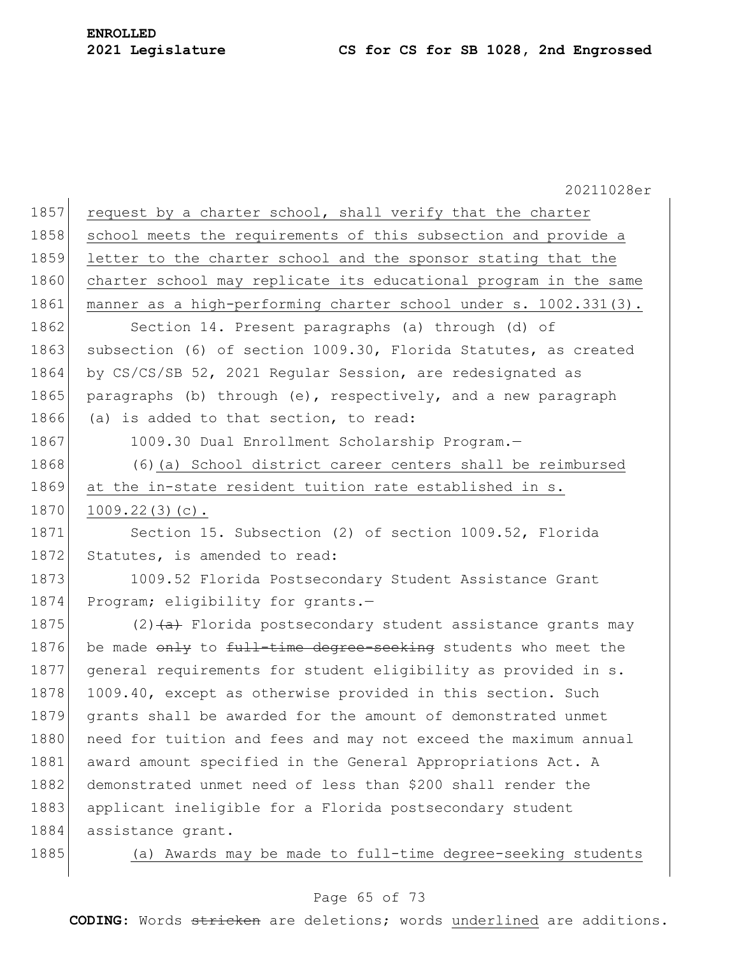|      | 20211028er                                                       |
|------|------------------------------------------------------------------|
| 1857 | request by a charter school, shall verify that the charter       |
| 1858 | school meets the requirements of this subsection and provide a   |
| 1859 | letter to the charter school and the sponsor stating that the    |
| 1860 | charter school may replicate its educational program in the same |
| 1861 | manner as a high-performing charter school under s. 1002.331(3). |
| 1862 | Section 14. Present paragraphs (a) through (d) of                |
| 1863 | subsection (6) of section 1009.30, Florida Statutes, as created  |
| 1864 | by CS/CS/SB 52, 2021 Regular Session, are redesignated as        |
| 1865 | paragraphs (b) through (e), respectively, and a new paragraph    |
| 1866 | (a) is added to that section, to read:                           |
| 1867 | 1009.30 Dual Enrollment Scholarship Program.-                    |
| 1868 | (6) (a) School district career centers shall be reimbursed       |
| 1869 | at the in-state resident tuition rate established in s.          |
| 1870 | $1009.22(3)(c)$ .                                                |
| 1871 | Section 15. Subsection (2) of section 1009.52, Florida           |
| 1872 | Statutes, is amended to read:                                    |
| 1873 | 1009.52 Florida Postsecondary Student Assistance Grant           |
| 1874 | Program; eligibility for grants.-                                |
| 1875 | $(2)$ $(a)$ Florida postsecondary student assistance grants may  |
| 1876 | be made only to full-time degree-seeking students who meet the   |
| 1877 | general requirements for student eligibility as provided in s.   |
| 1878 | 1009.40, except as otherwise provided in this section. Such      |
| 1879 | grants shall be awarded for the amount of demonstrated unmet     |
| 1880 | need for tuition and fees and may not exceed the maximum annual  |
| 1881 | award amount specified in the General Appropriations Act. A      |
| 1882 | demonstrated unmet need of less than \$200 shall render the      |
| 1883 | applicant ineligible for a Florida postsecondary student         |
| 1884 | assistance grant.                                                |
| 1885 | (a) Awards may be made to full-time degree-seeking students      |
|      |                                                                  |

# Page 65 of 73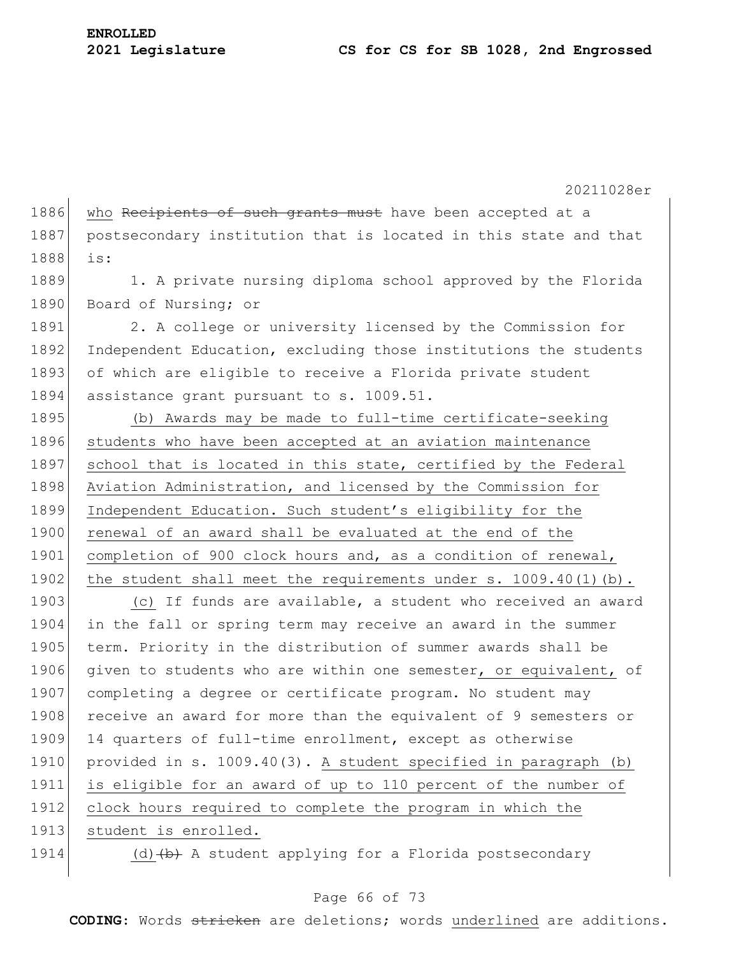1886 who Recipients of such grants must have been accepted at a 1887 postsecondary institution that is located in this state and that 1888 is:

1889 1. A private nursing diploma school approved by the Florida 1890 Board of Nursing; or

1891 2. A college or university licensed by the Commission for 1892 Independent Education, excluding those institutions the students 1893 of which are eligible to receive a Florida private student 1894 assistance grant pursuant to s. 1009.51.

1895 (b) Awards may be made to full-time certificate-seeking 1896 students who have been accepted at an aviation maintenance 1897 school that is located in this state, certified by the Federal 1898 Aviation Administration, and licensed by the Commission for 1899 Independent Education. Such student's eligibility for the 1900 renewal of an award shall be evaluated at the end of the 1901 completion of 900 clock hours and, as a condition of renewal, 1902 the student shall meet the requirements under s.  $1009.40(1)(b)$ .

1903 (c) If funds are available, a student who received an award 1904 in the fall or spring term may receive an award in the summer 1905 term. Priority in the distribution of summer awards shall be 1906 given to students who are within one semester, or equivalent, of 1907 completing a degree or certificate program. No student may 1908 receive an award for more than the equivalent of 9 semesters or 1909 14 quarters of full-time enrollment, except as otherwise 1910 provided in s. 1009.40(3). A student specified in paragraph (b) 1911 is eligible for an award of up to 110 percent of the number of 1912 clock hours required to complete the program in which the 1913 student is enrolled. 1914 (d) $\left\{\rightarrow\right\}$  A student applying for a Florida postsecondary

### Page 66 of 73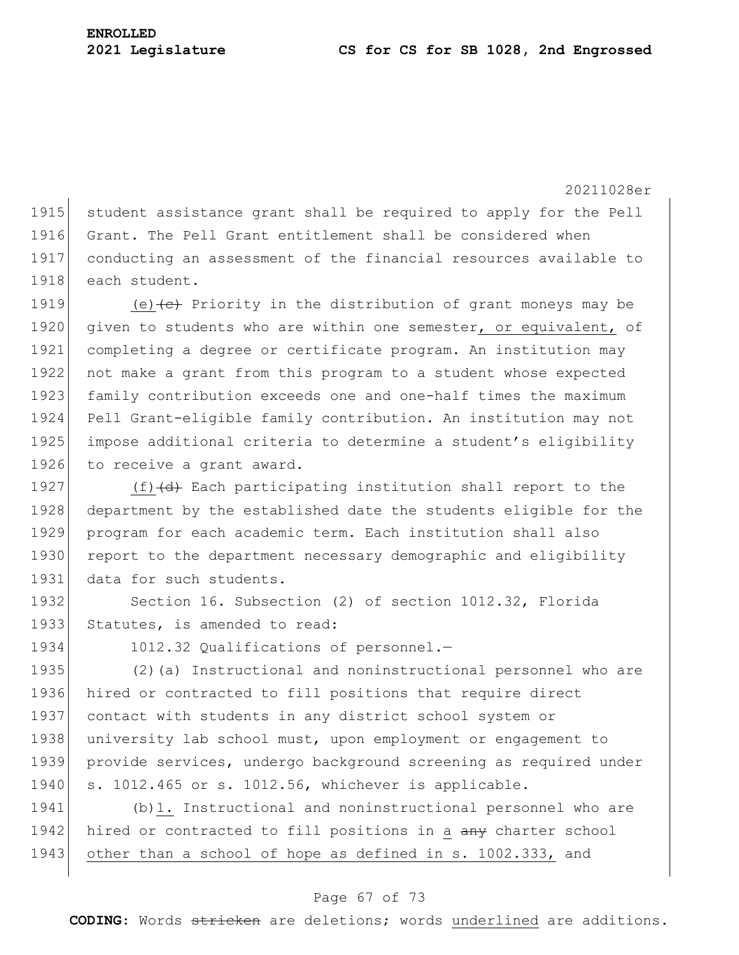student assistance grant shall be required to apply for the Pell Grant. The Pell Grant entitlement shall be considered when conducting an assessment of the financial resources available to 1918 each student. 1919 (e)  $\left\{ \left( e \right)$  Priority in the distribution of grant moneys may be 1920 given to students who are within one semester, or equivalent, of completing a degree or certificate program. An institution may not make a grant from this program to a student whose expected family contribution exceeds one and one-half times the maximum Pell Grant-eligible family contribution. An institution may not impose additional criteria to determine a student's eligibility 1926 to receive a grant award.  $(f)$  (f)  $(d)$  Each participating institution shall report to the

1928 department by the established date the students eligible for the 1929 program for each academic term. Each institution shall also 1930 report to the department necessary demographic and eligibility 1931 data for such students.

1932 Section 16. Subsection (2) of section 1012.32, Florida 1933 Statutes, is amended to read:

1934 1012.32 Qualifications of personnel.—

 (2)(a) Instructional and noninstructional personnel who are hired or contracted to fill positions that require direct 1937 contact with students in any district school system or university lab school must, upon employment or engagement to provide services, undergo background screening as required under 1940 s. 1012.465 or s. 1012.56, whichever is applicable.

1941 (b)1. Instructional and noninstructional personnel who are 1942 hired or contracted to fill positions in a any charter school 1943 other than a school of hope as defined in s. 1002.333, and

## Page 67 of 73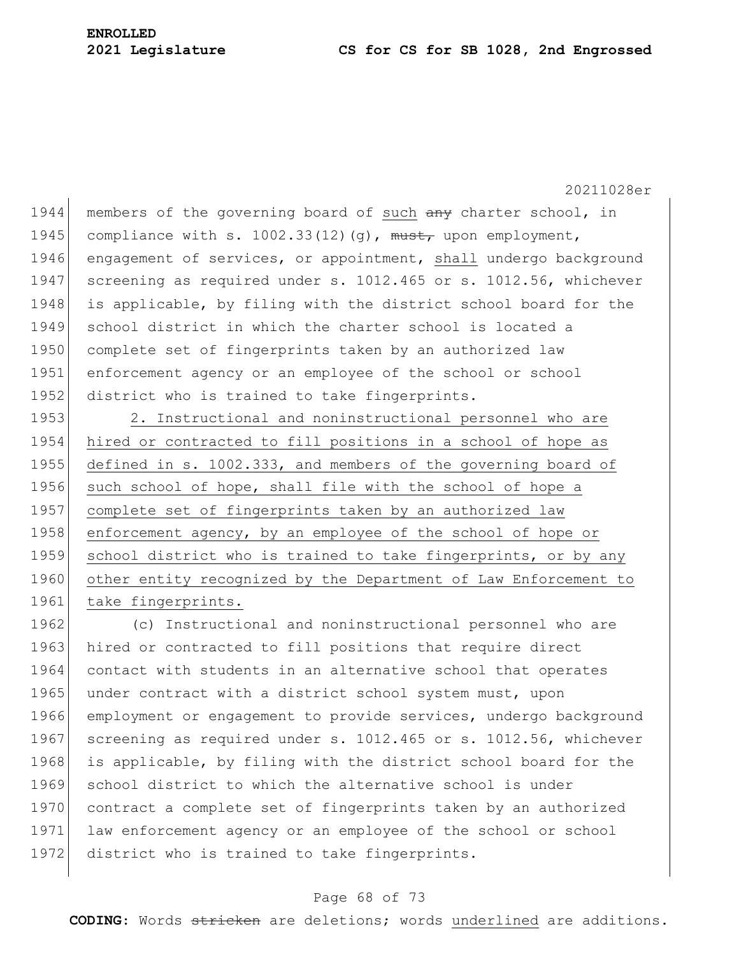1944 members of the governing board of such any charter school, in 1945 compliance with s. 1002.33(12)(g),  $\frac{m}{m}$ , upon employment, 1946 engagement of services, or appointment, shall undergo background 1947 screening as required under s. 1012.465 or s. 1012.56, whichever 1948 is applicable, by filing with the district school board for the 1949 school district in which the charter school is located a 1950 complete set of fingerprints taken by an authorized law 1951 enforcement agency or an employee of the school or school 1952 district who is trained to take fingerprints. 1953 2. Instructional and noninstructional personnel who are 1954 hired or contracted to fill positions in a school of hope as 1955 defined in s. 1002.333, and members of the governing board of 1956 such school of hope, shall file with the school of hope a 1957 complete set of fingerprints taken by an authorized law 1958 enforcement agency, by an employee of the school of hope or 1959 school district who is trained to take fingerprints, or by any 1960 other entity recognized by the Department of Law Enforcement to 1961 take fingerprints.

1962 (c) Instructional and noninstructional personnel who are 1963 hired or contracted to fill positions that require direct 1964 contact with students in an alternative school that operates 1965 under contract with a district school system must, upon 1966 employment or engagement to provide services, undergo background 1967 screening as required under s. 1012.465 or s. 1012.56, whichever 1968 is applicable, by filing with the district school board for the 1969 school district to which the alternative school is under 1970 contract a complete set of fingerprints taken by an authorized 1971 law enforcement agency or an employee of the school or school 1972 district who is trained to take fingerprints.

## Page 68 of 73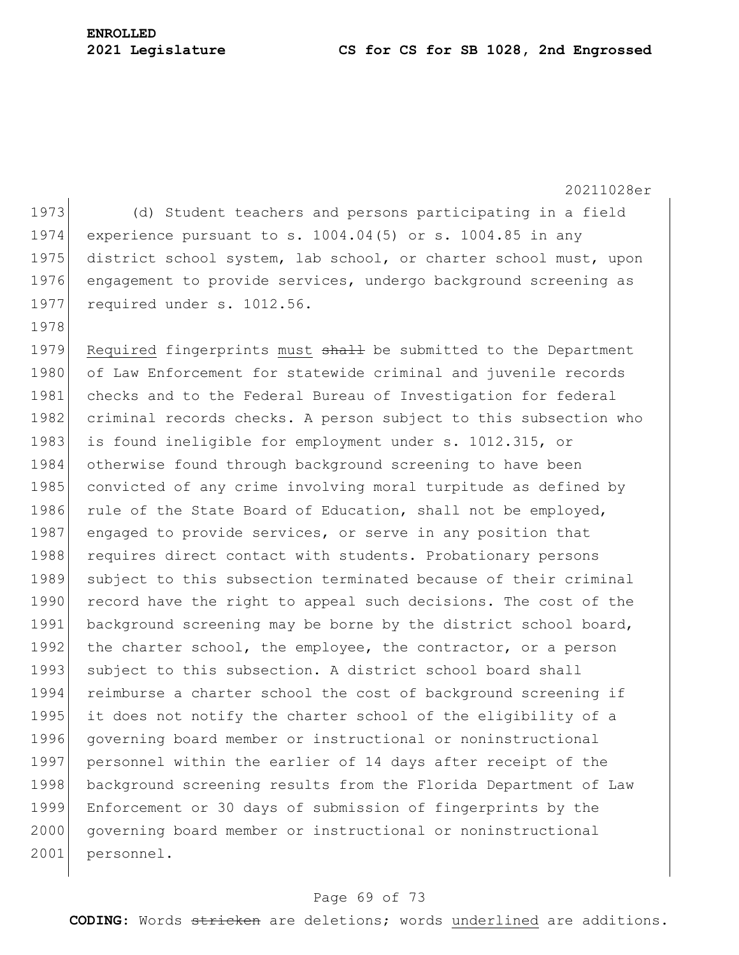20211028er 1973 (d) Student teachers and persons participating in a field 1974 experience pursuant to s.  $1004.04(5)$  or s.  $1004.85$  in any 1975 district school system, lab school, or charter school must, upon 1976 engagement to provide services, undergo background screening as 1977 required under s. 1012.56. 1978 1979 Required fingerprints must shall be submitted to the Department 1980 of Law Enforcement for statewide criminal and juvenile records 1981 checks and to the Federal Bureau of Investigation for federal 1982 criminal records checks. A person subject to this subsection who 1983 is found ineligible for employment under s. 1012.315, or 1984 otherwise found through background screening to have been 1985 convicted of any crime involving moral turpitude as defined by 1986 rule of the State Board of Education, shall not be employed, 1987 engaged to provide services, or serve in any position that 1988 requires direct contact with students. Probationary persons 1989 subject to this subsection terminated because of their criminal 1990 record have the right to appeal such decisions. The cost of the 1991 background screening may be borne by the district school board, 1992 the charter school, the employee, the contractor, or a person 1993 subject to this subsection. A district school board shall 1994 reimburse a charter school the cost of background screening if 1995 it does not notify the charter school of the eligibility of a 1996 governing board member or instructional or noninstructional 1997 personnel within the earlier of 14 days after receipt of the 1998 background screening results from the Florida Department of Law 1999 Enforcement or 30 days of submission of fingerprints by the 2000 governing board member or instructional or noninstructional 2001 personnel.

## Page 69 of 73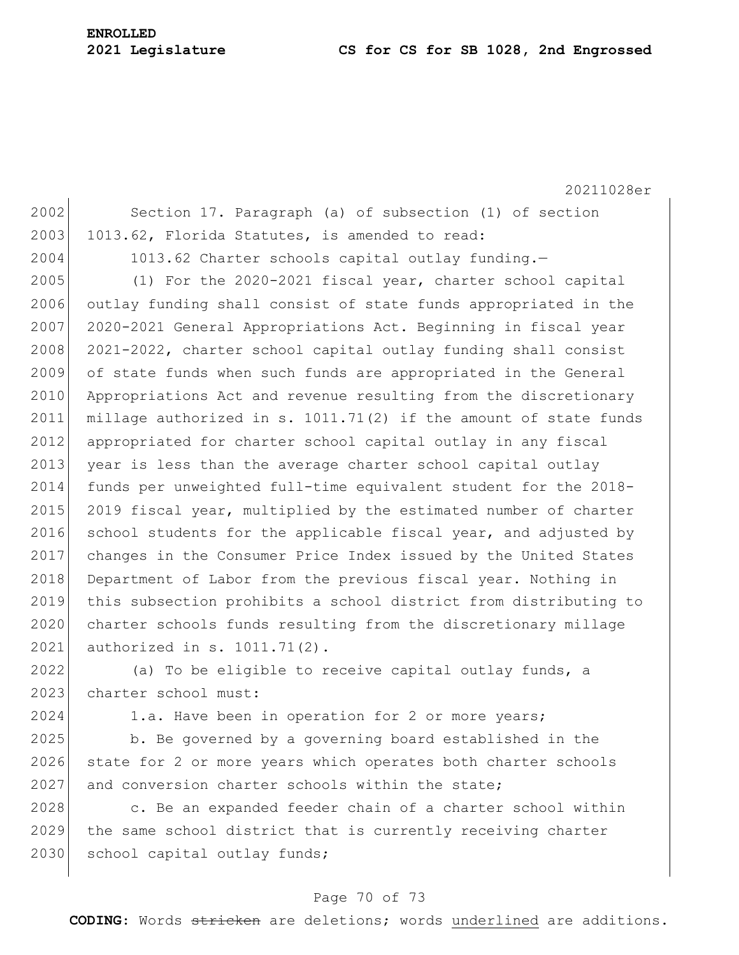20211028er

2002 Section 17. Paragraph (a) of subsection (1) of section  $2003$  1013.62, Florida Statutes, is amended to read: 2004 1013.62 Charter schools capital outlay funding. 2005 (1) For the 2020-2021 fiscal year, charter school capital 2006 outlay funding shall consist of state funds appropriated in the 2007 2020-2021 General Appropriations Act. Beginning in fiscal year 2008 2021-2022, charter school capital outlay funding shall consist 2009 of state funds when such funds are appropriated in the General 2010 Appropriations Act and revenue resulting from the discretionary 2011 millage authorized in s. 1011.71(2) if the amount of state funds 2012 appropriated for charter school capital outlay in any fiscal 2013 year is less than the average charter school capital outlay 2014 funds per unweighted full-time equivalent student for the 2018- 2015 2019 fiscal year, multiplied by the estimated number of charter 2016 school students for the applicable fiscal year, and adjusted by 2017 changes in the Consumer Price Index issued by the United States 2018 Department of Labor from the previous fiscal year. Nothing in 2019 this subsection prohibits a school district from distributing to 2020 charter schools funds resulting from the discretionary millage 2021 authorized in s. 1011.71(2). 2022 (a) To be eligible to receive capital outlay funds, a

2023 charter school must:

2024 1.a. Have been in operation for 2 or more years;

2025 b. Be governed by a governing board established in the 2026 state for 2 or more years which operates both charter schools 2027 and conversion charter schools within the state:

2028 c. Be an expanded feeder chain of a charter school within 2029 the same school district that is currently receiving charter 2030 school capital outlay funds;

### Page 70 of 73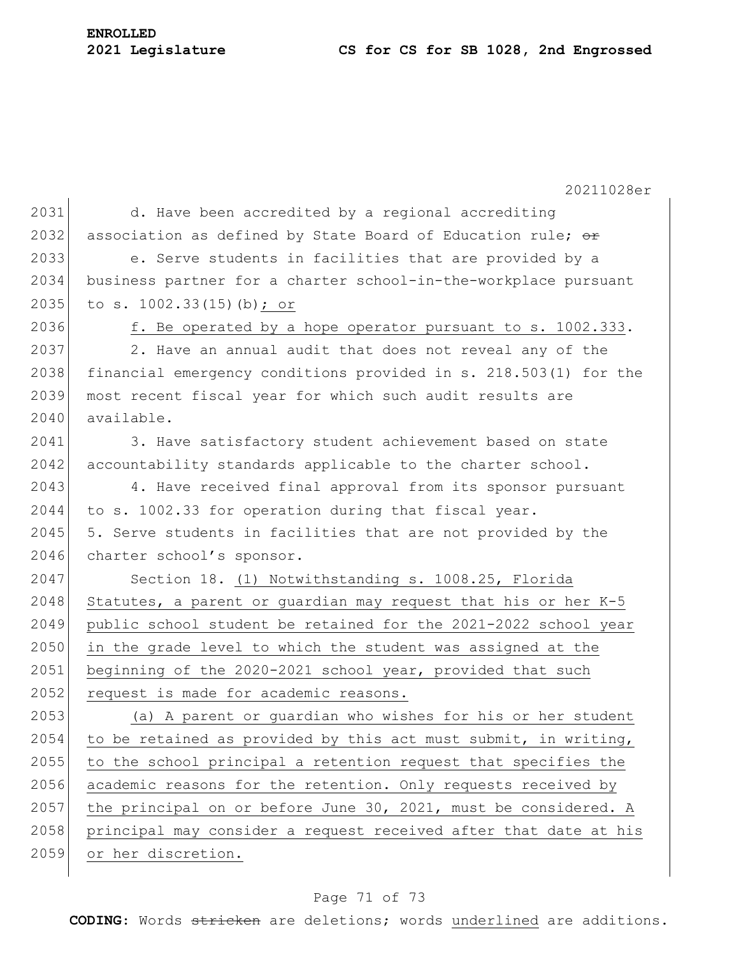**ENROLLED**

20211028er 2031 d. Have been accredited by a regional accrediting 2032 association as defined by State Board of Education rule;  $\Theta$ ref 2033 e. Serve students in facilities that are provided by a 2034 business partner for a charter school-in-the-workplace pursuant 2035 to s. 1002.33(15)(b); or 2036 f. Be operated by a hope operator pursuant to s. 1002.333. 2037 2. Have an annual audit that does not reveal any of the 2038 financial emergency conditions provided in s. 218.503(1) for the 2039 most recent fiscal year for which such audit results are 2040 available. 2041 3. Have satisfactory student achievement based on state 2042 accountability standards applicable to the charter school. 2043 4. Have received final approval from its sponsor pursuant 2044 to s. 1002.33 for operation during that fiscal year.  $2045$  5. Serve students in facilities that are not provided by the 2046 charter school's sponsor. 2047 Section 18. (1) Notwithstanding s. 1008.25, Florida 2048 Statutes, a parent or guardian may request that his or her  $K-5$ 2049 public school student be retained for the 2021-2022 school year 2050 in the grade level to which the student was assigned at the 2051 beginning of the 2020-2021 school year, provided that such 2052 request is made for academic reasons. 2053 (a) A parent or guardian who wishes for his or her student 2054 to be retained as provided by this act must submit, in writing, 2055 to the school principal a retention request that specifies the 2056 academic reasons for the retention. Only requests received by 2057 the principal on or before June 30, 2021, must be considered. A 2058 principal may consider a request received after that date at his 2059 or her discretion.

## Page 71 of 73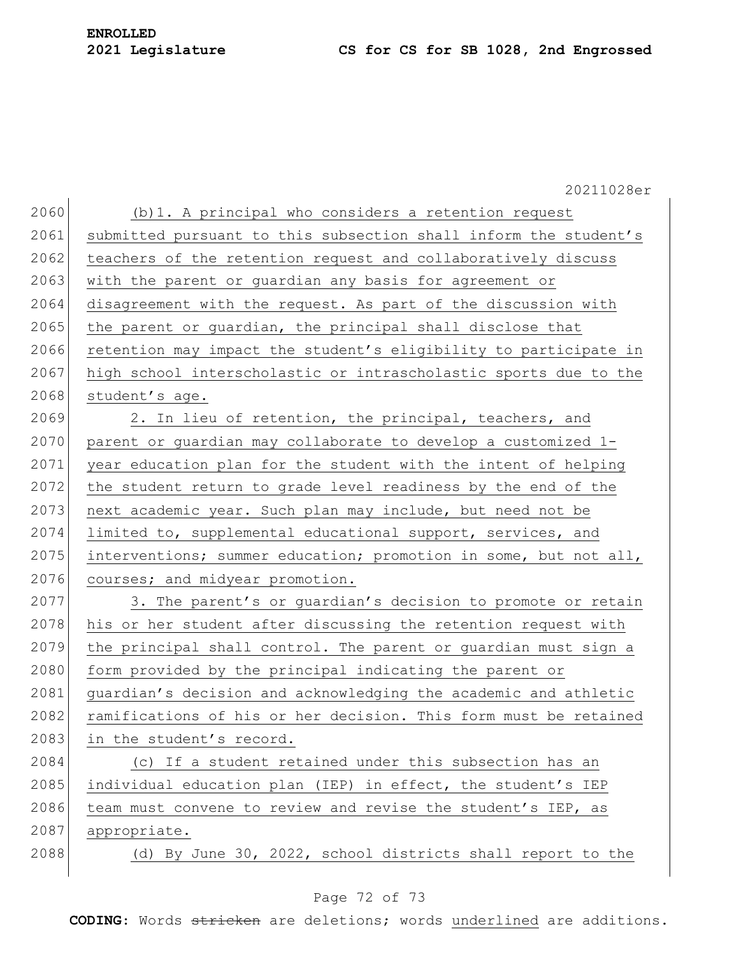20211028er 2060 (b)1. A principal who considers a retention request 2061 submitted pursuant to this subsection shall inform the student's 2062 teachers of the retention request and collaboratively discuss 2063 with the parent or quardian any basis for agreement or 2064 disagreement with the request. As part of the discussion with 2065 the parent or quardian, the principal shall disclose that 2066 retention may impact the student's eligibility to participate in 2067 high school interscholastic or intrascholastic sports due to the 2068 student's age. 2069 2. In lieu of retention, the principal, teachers, and 2070 parent or quardian may collaborate to develop a customized 1-2071 year education plan for the student with the intent of helping 2072 the student return to grade level readiness by the end of the 2073 next academic year. Such plan may include, but need not be 2074 limited to, supplemental educational support, services, and 2075 interventions; summer education; promotion in some, but not all, 2076 courses; and midyear promotion. 2077 3. The parent's or guardian's decision to promote or retain 2078 his or her student after discussing the retention request with 2079 the principal shall control. The parent or guardian must sign a 2080 form provided by the principal indicating the parent or 2081 guardian's decision and acknowledging the academic and athletic 2082 ramifications of his or her decision. This form must be retained 2083 in the student's record. 2084 (c) If a student retained under this subsection has an 2085 individual education plan (IEP) in effect, the student's IEP 2086 team must convene to review and revise the student's IEP, as 2087 appropriate. 2088 (d) By June 30, 2022, school districts shall report to the

## Page 72 of 73